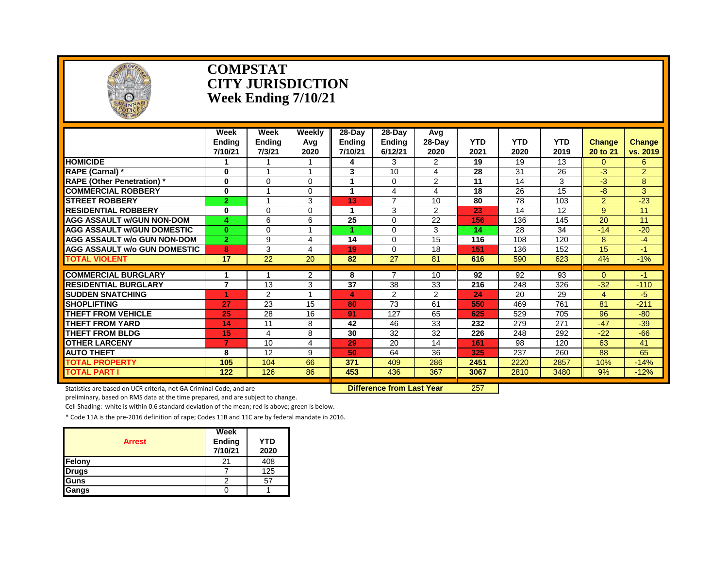

#### **COMPSTAT CITY JURISDICTION Week Ending 7/10/21**

|                                     | Week<br><b>Endina</b><br>7/10/21 | Week<br><b>Ending</b><br>7/3/21 | <b>Weekly</b><br>Avg<br>2020 | 28-Day<br>Endina<br>7/10/21 | 28-Day<br><b>Ending</b><br>6/12/21 | Avq<br>28-Day<br>2020 | <b>YTD</b><br>2021 | <b>YTD</b><br>2020 | <b>YTD</b><br>2019 | <b>Change</b><br>20 to 21 | <b>Change</b><br>vs. 2019 |
|-------------------------------------|----------------------------------|---------------------------------|------------------------------|-----------------------------|------------------------------------|-----------------------|--------------------|--------------------|--------------------|---------------------------|---------------------------|
| <b>HOMICIDE</b>                     | 1                                | 1                               |                              | 4                           | 3                                  | 2                     | 19                 | 19                 | 13                 | 0                         | 6                         |
| RAPE (Carnal) *                     | $\bf{0}$                         |                                 | 4                            | 3                           | 10                                 | 4                     | 28                 | 31                 | 26                 | -3                        | $\overline{2}$            |
| <b>RAPE (Other Penetration)</b> *   | $\bf{0}$                         | $\Omega$                        | $\Omega$                     |                             | $\Omega$                           | $\overline{2}$        | 11                 | 14                 | 3                  | $-3$                      | 8                         |
| <b>COMMERCIAL ROBBERY</b>           | $\bf{0}$                         |                                 | 0                            |                             | 4                                  | 4                     | 18                 | 26                 | 15                 | -8                        | 3                         |
| <b>ISTREET ROBBERY</b>              | $\overline{2}$                   | $\overline{ }$                  | 3                            | 13                          | $\overline{7}$                     | 10                    | 80                 | 78                 | 103                | $\overline{2}$            | $-23$                     |
| <b>RESIDENTIAL ROBBERY</b>          | 0                                | $\Omega$                        | 0                            |                             | 3                                  | 2                     | 23                 | 14                 | 12                 | 9                         | 11                        |
| <b>AGG ASSAULT W/GUN NON-DOM</b>    | 4                                | 6                               | 6                            | 25                          | $\Omega$                           | 22                    | 156                | 136                | 145                | 20                        | 11                        |
| AGG ASSAULT w/GUN DOMESTIC          | $\bf{0}$                         | $\Omega$                        |                              |                             | $\Omega$                           | 3                     | 14                 | 28                 | 34                 | $-14$                     | $-20$                     |
| <b>AGG ASSAULT w/o GUN NON-DOM</b>  | $\overline{2}$                   | 9                               | 4                            | 14                          | $\Omega$                           | 15                    | 116                | 108                | 120                | 8                         | $-4$                      |
| <b>AGG ASSAULT W/o GUN DOMESTIC</b> | 8                                | 3                               | 4                            | 19                          | $\Omega$                           | 18                    | 151                | 136                | 152                | 15                        | $-1$                      |
| TOTAL VIOLENT                       | 17                               | $\overline{22}$                 | 20                           | 82                          | 27                                 | 81                    | 616                | 590                | 623                | 4%                        | $-1%$                     |
| <b>COMMERCIAL BURGLARY</b>          |                                  |                                 | $\overline{2}$               | 8                           |                                    | 10                    | 92                 | 92                 | 93                 | $\Omega$                  | -1                        |
| <b>RESIDENTIAL BURGLARY</b>         | $\overline{7}$                   | 13                              | 3                            | 37                          | 38                                 | 33                    | 216                | 248                | 326                | $-32$                     | $-110$                    |
| <b>SUDDEN SNATCHING</b>             |                                  |                                 |                              | 4                           |                                    |                       | 24                 | 20                 |                    |                           |                           |
| <b>SHOPLIFTING</b>                  | 27                               | $\overline{2}$<br>23            | 15                           | 80                          | 2<br>73                            | 2<br>61               | 550                | 469                | 29<br>761          | 4<br>81                   | -5                        |
| THEFT FROM VEHICLE                  | 25                               | 28                              | 16                           | 91                          | 127                                | 65                    | 625                | 529                | 705                | 96                        | $-211$<br>$-80$           |
| <b>THEFT FROM YARD</b>              | 14                               | 11                              | 8                            | 42                          | 46                                 | 33                    | 232                | 279                | 271                | $-47$                     | $-39$                     |
| <b>THEFT FROM BLDG</b>              | 15                               | 4                               | 8                            | 30                          | 32                                 | 32                    | 226                | 248                | 292                | $-22$                     | $-66$                     |
| <b>OTHER LARCENY</b>                | 7                                | 10                              | 4                            | 29                          | 20                                 | 14                    | 161                | 98                 | 120                | 63                        | 41                        |
| <b>AUTO THEFT</b>                   | 8                                | 12                              | 9                            | 50                          | 64                                 | 36                    | 325                | 237                | 260                | 88                        | 65                        |
| <b>TOTAL PROPERTY</b>               | 105                              | 104                             | 66                           | 371                         | 409                                | 286                   | 2451               | 2220               | 2857               | 10%                       | $-14%$                    |
| TOTAL PART I                        | 122                              | 126                             | 86                           | 453                         | 436                                | 367                   | 3067               | 2810               | 3480               | 9%                        | $-12%$                    |
|                                     |                                  |                                 |                              |                             |                                    |                       |                    |                    |                    |                           |                           |

Statistics are based on UCR criteria, not GA Criminal Code, and are **Difference from Last Year** 257

preliminary, based on RMS data at the time prepared, and are subject to change.

Cell Shading: white is within 0.6 standard deviation of the mean; red is above; green is below.

| <b>Arrest</b> | Week<br>Ending<br>7/10/21 | YTD<br>2020 |
|---------------|---------------------------|-------------|
| Felony        | 21                        | 408         |
| <b>Drugs</b>  |                           | 125         |
| <b>Guns</b>   | Ω                         | 57          |
| Gangs         |                           |             |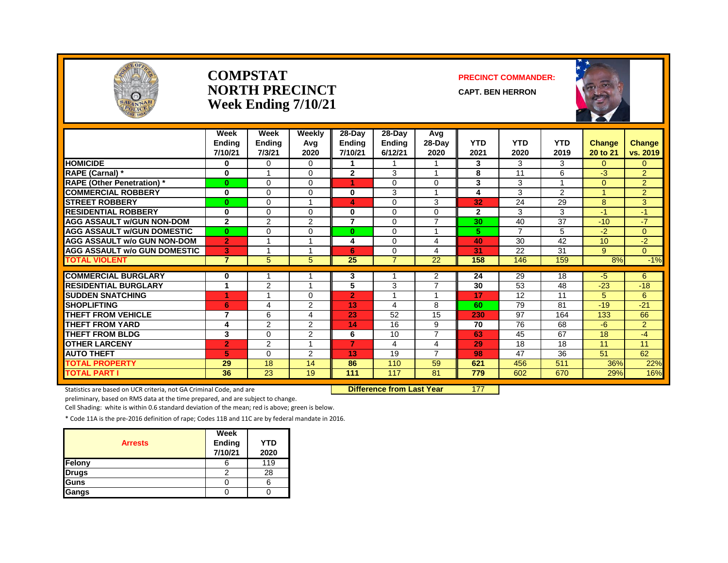

#### **COMPSTAT PRECINCT COMMANDER: NORTH PRECINCT** CAPT. BEN HERRON **Week Ending 7/10/21**





|                                     | Week<br><b>Ending</b><br>7/10/21 | Week<br><b>Ending</b><br>7/3/21 | Weekly<br>Avg<br>2020 | 28-Day<br><b>Ending</b><br>7/10/21 | 28-Day<br><b>Ending</b><br>6/12/21 | Avg<br>$28-Day$<br>2020 | <b>YTD</b><br>2021 | <b>YTD</b><br>2020 | <b>YTD</b><br>2019 | Change<br>20 to 21 | <b>Change</b><br>vs. 2019 |
|-------------------------------------|----------------------------------|---------------------------------|-----------------------|------------------------------------|------------------------------------|-------------------------|--------------------|--------------------|--------------------|--------------------|---------------------------|
| <b>HOMICIDE</b>                     | 0                                | $\Omega$                        | $\Omega$              |                                    |                                    |                         | 3                  | 3                  | 3                  | $\overline{0}$     | $\mathbf{0}$              |
| RAPE (Carnal) *                     | 0                                | 1                               | $\Omega$              | $\overline{2}$                     | 3                                  | $\overline{ }$          | 8                  | 11                 | 6                  | -3                 | $\overline{2}$            |
| <b>RAPE (Other Penetration)</b> *   | $\bf{0}$                         | 0                               | $\Omega$              | 1                                  | $\Omega$                           | $\Omega$                | 3                  | 3                  |                    | $\Omega$           | $\overline{2}$            |
| <b>COMMERCIAL ROBBERY</b>           | $\bf{0}$                         | 0                               | $\Omega$              | 0                                  | 3                                  |                         | 4                  | 3                  | $\overline{2}$     | 4                  | $\overline{2}$            |
| <b>STREET ROBBERY</b>               | $\bf{0}$                         | 0                               |                       | 4                                  | $\Omega$                           | 3                       | 32                 | 24                 | 29                 | 8                  | 3                         |
| <b>RESIDENTIAL ROBBERY</b>          | $\Omega$                         | 0                               | $\Omega$              | 0                                  | $\Omega$                           | $\Omega$                | $\overline{2}$     | 3                  | 3                  | $-1$               | $-1$                      |
| <b>AGG ASSAULT w/GUN NON-DOM</b>    | $\mathbf{2}$                     | 2                               | $\overline{2}$        | $\overline{7}$                     | $\Omega$                           | $\overline{7}$          | 30                 | 40                 | $\overline{37}$    | $-10$              | $-7$                      |
| <b>AGG ASSAULT w/GUN DOMESTIC</b>   | $\mathbf{0}$                     | 0                               | $\Omega$              | $\mathbf{0}$                       | $\Omega$                           | $\overline{ }$          | 5.                 | $\overline{7}$     | 5                  | $-2$               | $\Omega$                  |
| <b>AGG ASSAULT w/o GUN NON-DOM</b>  | $\overline{2}$                   | 1                               |                       | 4                                  | $\Omega$                           | 4                       | 40                 | 30                 | 42                 | 10                 | $-2$                      |
| <b>AGG ASSAULT w/o GUN DOMESTIC</b> | 3                                |                                 |                       | 6                                  | 0                                  | 4                       | 31                 | 22                 | 31                 | 9                  | $\Omega$                  |
| <b>TOTAL VIOLENT</b>                | $\overline{7}$                   | 5.                              | 5                     | 25                                 | $\overline{7}$                     | 22                      | 158                | 146                | 159                | 8%                 | $-1%$                     |
| <b>COMMERCIAL BURGLARY</b>          | $\bf{0}$                         |                                 |                       | 3                                  |                                    | 2                       | 24                 | 29                 | 18                 | -5                 | 6                         |
| <b>RESIDENTIAL BURGLARY</b>         | 1                                | $\overline{2}$                  |                       | 5                                  | 3                                  | $\overline{ }$          | 30                 | 53                 | 48                 | $-23$              | $-18$                     |
| <b>SUDDEN SNATCHING</b>             | 4                                | 1                               | $\Omega$              | $\overline{2}$                     |                                    |                         | 17                 | 12                 | 11                 | 5                  | 6                         |
| <b>SHOPLIFTING</b>                  | 6                                | 4                               | 2                     | 13                                 | 4                                  | 8                       | 60                 | 79                 | 81                 | $-19$              | $-21$                     |
| <b>THEFT FROM VEHICLE</b>           | 7                                | 6                               | 4                     | 23                                 | 52                                 | 15                      | 230                | 97                 | 164                | 133                | 66                        |
| <b>THEFT FROM YARD</b>              | 4                                | 2                               | 2                     | 14                                 | 16                                 | 9                       | 70                 | 76                 | 68                 | $-6$               | $\overline{2}$            |
| <b>THEFT FROM BLDG</b>              | 3                                | 0                               | $\overline{2}$        | 6                                  | 10                                 | $\overline{7}$          | 63                 | 45                 | 67                 | 18                 | $-4$                      |
| <b>OTHER LARCENY</b>                | $\overline{2}$                   | $\overline{2}$                  |                       | $\overline{7}$                     | 4                                  | 4                       | 29                 | 18                 | 18                 | 11                 | 11                        |
| <b>AUTO THEFT</b>                   | 5                                | 0                               | 2                     | 13                                 | 19                                 | $\overline{7}$          | 98                 | 47                 | 36                 | 51                 | 62                        |
| <b>TOTAL PROPERTY</b>               | 29                               | 18                              | 14                    | 86                                 | 110                                | 59                      | 621                | 456                | 511                | 36%                |                           |
| <b>TOTAL PART I</b>                 | 36                               | 23                              | 19                    | 111                                | 117                                | 81                      | 779                | 602                | 670                | 29%                | 22%                       |
|                                     |                                  |                                 |                       |                                    |                                    |                         |                    |                    |                    |                    | 16%                       |

Statistics are based on UCR criteria, not GA Criminal Code, and are **Difference from Last Year** 177

preliminary, based on RMS data at the time prepared, and are subject to change.

Cell Shading: white is within 0.6 standard deviation of the mean; red is above; green is below.

| <b>Arrests</b> | Week<br><b>Ending</b><br>7/10/21 | YTD<br>2020 |
|----------------|----------------------------------|-------------|
| Felony         |                                  | 119         |
| <b>Drugs</b>   |                                  | 28          |
| Guns           |                                  |             |
| Gangs          |                                  |             |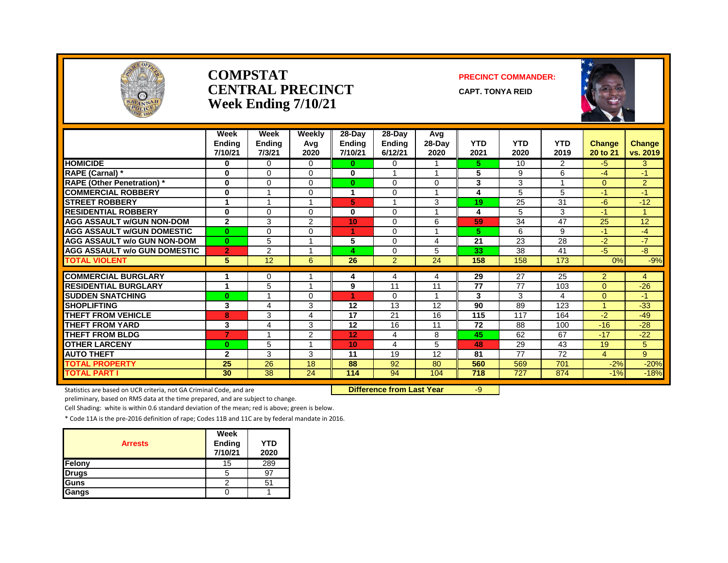

#### **COMPSTAT PRECINCT COMMANDER: CENTRAL PRECINCT** CAPT. TONYA REID **Week Ending 7/10/21**



|                                                     | Week<br><b>Ending</b><br>7/10/21 | Week<br><b>Ending</b><br>7/3/21 | Weekly<br>Avg<br>2020 | $28-Day$<br><b>Ending</b><br>7/10/21 | 28-Day<br><b>Ending</b><br>6/12/21 | Avg<br>$28-Dav$<br>2020 | <b>YTD</b><br>2021 | <b>YTD</b><br>2020 | <b>YTD</b><br>2019 | <b>Change</b><br>20 to 21 | <b>Change</b><br>vs. 2019 |
|-----------------------------------------------------|----------------------------------|---------------------------------|-----------------------|--------------------------------------|------------------------------------|-------------------------|--------------------|--------------------|--------------------|---------------------------|---------------------------|
| <b>HOMICIDE</b>                                     | $\bf{0}$                         | $\Omega$                        | 0                     | $\bf{0}$                             | $\Omega$                           | 1                       | 5.                 | 10                 | $\overline{2}$     | $-5$                      | 3                         |
| RAPE (Carnal) *                                     | 0                                | $\Omega$                        | 0                     | $\bf{0}$                             |                                    | 1                       | 5                  | 9                  | 6                  | $-4$                      | $-1$                      |
| <b>RAPE (Other Penetration)</b> *                   | 0                                | $\Omega$                        | 0                     | $\bf{0}$                             | $\Omega$                           | $\Omega$                | 3                  | 3                  | 1                  | $\Omega$                  | $\overline{2}$            |
| <b>COMMERCIAL ROBBERY</b>                           | 0                                |                                 | 0                     | 1                                    | $\Omega$                           |                         | 4                  | 5                  | 5                  | -1                        | $-1$                      |
| <b>STREET ROBBERY</b>                               | 1                                |                                 |                       | 5                                    |                                    | 3                       | 19                 | 25                 | 31                 | -6                        | $-12$                     |
| <b>RESIDENTIAL ROBBERY</b>                          | $\bf{0}$                         | $\Omega$                        | 0                     | $\bf{0}$                             | $\Omega$                           | $\overline{\mathbf{A}}$ | 4                  | 5                  | 3                  | $-1$                      | 1                         |
| <b>AGG ASSAULT W/GUN NON-DOM</b>                    | $\mathbf{2}$                     | 3                               | 2                     | 10                                   | $\Omega$                           | 6                       | 59                 | 34                 | 47                 | 25                        | 12                        |
| <b>AGG ASSAULT W/GUN DOMESTIC</b>                   | $\bf{0}$                         | $\Omega$                        | 0                     | 1                                    | $\Omega$                           | 1                       | 5.                 | 6                  | 9                  | -1                        | -4                        |
| <b>AGG ASSAULT W/o GUN NON-DOM</b>                  | $\bf{0}$                         | 5                               |                       | 5                                    | $\Omega$                           | 4                       | 21                 | 23                 | 28                 | $-2$                      | $-7$                      |
| <b>AGG ASSAULT w/o GUN DOMESTIC</b>                 | $\overline{2}$                   | $\overline{2}$                  |                       | 4                                    | $\Omega$                           | 5                       | 33                 | 38                 | 41                 | $-5$                      | $-8-$                     |
| TOTAL VIOLENT                                       | 5                                | 12                              | 6                     | 26                                   | $\overline{2}$                     | 24                      | 158                | 158                | 173                | 0%                        | $-9%$                     |
| <b>COMMERCIAL BURGLARY</b>                          |                                  | 0                               |                       |                                      |                                    |                         | 29                 | 27                 | 25                 | 2                         |                           |
| <b>RESIDENTIAL BURGLARY</b>                         | 1                                | 5                               |                       | 4<br>9                               | 4<br>11                            | 4<br>11                 | 77                 | 77                 | 103                | $\Omega$                  | 4<br>$-26$                |
| <b>SUDDEN SNATCHING</b>                             | $\bf{0}$                         |                                 | 0                     | 1                                    | $\Omega$                           | 1                       | 3                  | 3                  | 4                  | $\Omega$                  | -1                        |
|                                                     |                                  |                                 |                       |                                      |                                    |                         | 90                 |                    |                    | 4                         |                           |
| <b>SHOPLIFTING</b>                                  | 3                                | 4                               | 3                     | 12<br>17                             | 13                                 | 12<br>16                |                    | 89<br>117          | 123                | $-2$                      | $-33$<br>$-49$            |
| <b>THEFT FROM VEHICLE</b><br><b>THEFT FROM YARD</b> | 8                                | 3                               | 4<br>3                | 12                                   | 21<br>16                           | 11                      | 115<br>72          | 88                 | 164                | $-16$                     | $-28$                     |
|                                                     | 3<br>$\overline{7}$              | 4                               |                       |                                      |                                    |                         |                    |                    | 100                |                           |                           |
| <b>THEFT FROM BLDG</b>                              |                                  |                                 | 2                     | 12                                   | 4                                  | 8                       | 45                 | 62                 | 67                 | $-17$                     | $-22$                     |
| <b>OTHER LARCENY</b>                                | $\bf{0}$                         | 5                               |                       | 10                                   | 4                                  | 5                       | 48                 | 29                 | 43                 | 19                        | 5 <sup>5</sup>            |
| <b>AUTO THEFT</b>                                   | $\mathbf{2}$                     | 3                               | 3                     | 11                                   | 19                                 | 12                      | 81                 | 77                 | 72                 | 4                         | 9                         |
| <b>TOTAL PROPERTY</b>                               | 25                               | 26                              | 18                    | 88                                   | 92                                 | 80                      | 560                | 569                | 701                | $-2%$                     | $-20%$                    |
| <b>TOTAL PART I</b>                                 | 30                               | 38                              | 24                    | 114                                  | 94                                 | 104                     | 718                | 727                | 874                | $-1%$                     | $-18%$                    |

Statistics are based on UCR criteria, not GA Criminal Code, and are **Difference from Last Year** -9

preliminary, based on RMS data at the time prepared, and are subject to change.

Cell Shading: white is within 0.6 standard deviation of the mean; red is above; green is below.

| <b>Arrests</b> | Week<br>Ending<br>7/10/21 | <b>YTD</b><br>2020 |
|----------------|---------------------------|--------------------|
| Felony         | 15                        | 289                |
| <b>Drugs</b>   | b                         | 97                 |
| Guns           |                           | 51                 |
| Gangs          |                           |                    |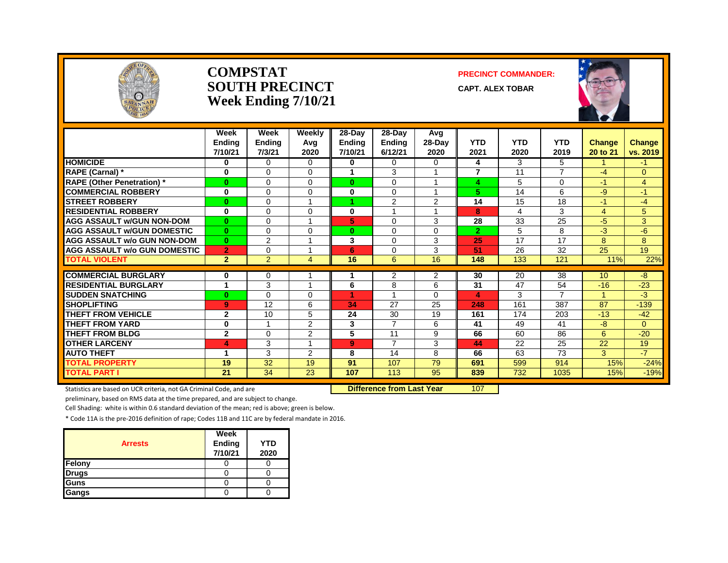

#### **COMPSTAT PRECINCT COMMANDER: SOUTH PRECINCT CAPT. ALEX TOBAR Week Ending 7/10/21**



|                                     | Week<br><b>Endina</b><br>7/10/21 | Week<br><b>Ending</b><br>7/3/21 | Weekly<br>Avg<br>2020 | 28-Day<br><b>Ending</b><br>7/10/21 | 28-Dav<br><b>Ending</b><br>6/12/21 | Avg<br>$28-Day$<br>2020 | <b>YTD</b><br>2021 | <b>YTD</b><br>2020 | <b>YTD</b><br>2019       | <b>Change</b><br>20 to 21 | <b>Change</b><br>vs. 2019 |
|-------------------------------------|----------------------------------|---------------------------------|-----------------------|------------------------------------|------------------------------------|-------------------------|--------------------|--------------------|--------------------------|---------------------------|---------------------------|
| <b>HOMICIDE</b>                     | 0                                | $\Omega$                        | $\Omega$              | 0                                  | $\Omega$                           | 0                       | 4                  | 3                  | 5                        |                           | -1                        |
| RAPE (Carnal) *                     | $\bf{0}$                         | $\Omega$                        | $\Omega$              |                                    | 3                                  |                         | $\overline{7}$     | 11                 | $\overline{\phantom{a}}$ | $-4$                      | 0                         |
| <b>RAPE (Other Penetration)*</b>    | $\bf{0}$                         | $\Omega$                        | $\Omega$              | $\bf{0}$                           | $\Omega$                           |                         | 4                  | 5                  | $\Omega$                 | -1                        | 4                         |
| <b>COMMERCIAL ROBBERY</b>           | 0                                | $\Omega$                        | $\Omega$              | 0                                  | $\Omega$                           |                         | 5                  | 14                 | 6                        | -9                        | 47                        |
| <b>STREET ROBBERY</b>               | $\bf{0}$                         | $\Omega$                        |                       |                                    | 2                                  | 2                       | 14                 | 15                 | 18                       | $-1$                      | $-4$                      |
| <b>RESIDENTIAL ROBBERY</b>          | 0                                | $\Omega$                        | $\Omega$              | 0                                  |                                    |                         | 8                  | 4                  | 3                        | 4                         | 5                         |
| <b>AGG ASSAULT W/GUN NON-DOM</b>    | $\bf{0}$                         | $\Omega$                        |                       | 5                                  | $\Omega$                           | 3                       | 28                 | 33                 | 25                       | $-5$                      | 3                         |
| <b>AGG ASSAULT W/GUN DOMESTIC</b>   | $\bf{0}$                         | $\Omega$                        | $\Omega$              | $\bf{0}$                           | $\Omega$                           | $\Omega$                | $\overline{2}$     | 5                  | 8                        | $-3$                      | -6                        |
| <b>AGG ASSAULT w/o GUN NON-DOM</b>  | $\mathbf{0}$                     | 2                               |                       | 3                                  | $\Omega$                           | 3                       | 25                 | 17                 | 17                       | 8                         | 8                         |
| <b>AGG ASSAULT W/o GUN DOMESTIC</b> | $\overline{2}$                   | $\Omega$                        |                       | 6                                  | $\Omega$                           | 3                       | 51                 | 26                 | 32                       | 25                        | 19                        |
| <b>TOTAL VIOLENT</b>                | $\overline{2}$                   | $\overline{2}$                  | $\overline{4}$        | 16                                 | 6                                  | 16                      | 148                | 133                | 121                      | 11%                       | 22%                       |
|                                     |                                  |                                 |                       |                                    |                                    |                         |                    |                    |                          |                           |                           |
| <b>COMMERCIAL BURGLARY</b>          | 0                                | 0                               |                       | 1                                  | 2                                  | 2                       | 30                 | 20                 | 38                       | 10 <sup>1</sup>           | $-8$                      |
| <b>RESIDENTIAL BURGLARY</b>         | 1                                | 3                               |                       | 6                                  | 8                                  | 6                       | 31                 | 47                 | 54                       | $-16$                     | $-23$                     |
| <b>SUDDEN SNATCHING</b>             | $\bf{0}$                         | $\Omega$                        | $\Omega$              |                                    |                                    | 0                       | 4                  | 3                  | $\overline{ }$           | 4.                        | $-3$                      |
| <b>SHOPLIFTING</b>                  | 9                                | 12                              | 6                     | 34                                 | 27                                 | 25                      | 248                | 161                | 387                      | 87                        | $-139$                    |
| <b>THEFT FROM VEHICLE</b>           | $\mathbf{2}$                     | 10                              | 5                     | 24                                 | 30                                 | 19                      | 161                | 174                | 203                      | $-13$                     | $-42$                     |
| <b>THEFT FROM YARD</b>              | $\bf{0}$                         | -4                              | 2                     | 3                                  | $\overline{7}$                     | 6                       | 41                 | 49                 | 41                       | -8                        | $\Omega$                  |
| <b>THEFT FROM BLDG</b>              | $\mathbf{2}$                     | $\Omega$                        | 2                     | 5                                  | 11                                 | 9                       | 66                 | 60                 | 86                       | 6                         | $-20$                     |
| <b>OTHER LARCENY</b>                | 4                                | 3                               |                       | 9                                  | $\overline{7}$                     | 3                       | 44                 | 22                 | 25                       | 22                        | 19                        |
| <b>AUTO THEFT</b>                   | 1                                | 3                               | $\overline{2}$        | 8                                  | 14                                 | 8                       | 66                 | 63                 | 73                       | 3                         | $-7$                      |
| TOTAL PROPERTY                      | 19                               | 32                              | 19                    | 91                                 | 107                                | 79                      | 691                | 599                | 914                      | 15%                       | $-24%$                    |
| <b>TOTAL PART I</b>                 | 21                               | 34                              | 23                    | 107                                | 113                                | 95                      | 839                | 732                | 1035                     | 15%                       | $-19%$                    |

Statistics are based on UCR criteria, not GA Criminal Code, and are **Difference from Last Year** 107

preliminary, based on RMS data at the time prepared, and are subject to change.

Cell Shading: white is within 0.6 standard deviation of the mean; red is above; green is below.

| <b>Arrests</b> | Week<br>Ending<br>7/10/21 | <b>YTD</b><br>2020 |
|----------------|---------------------------|--------------------|
| Felony         |                           |                    |
| <b>Drugs</b>   |                           |                    |
| Guns           |                           |                    |
| Gangs          |                           |                    |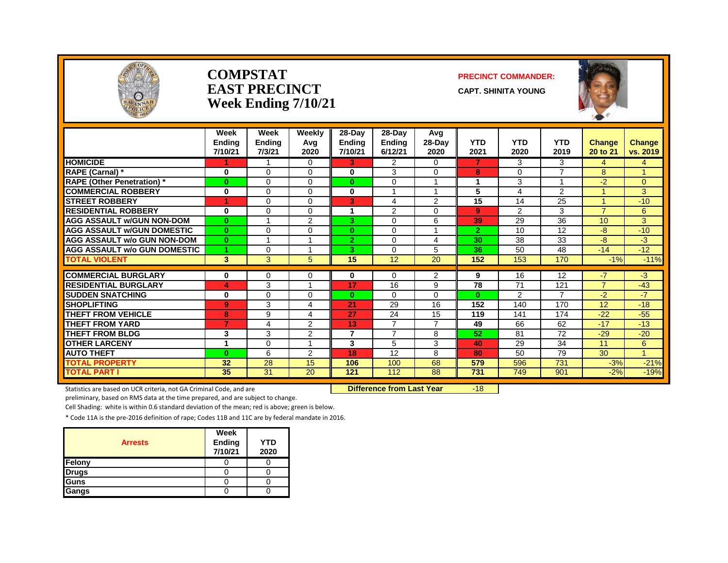

#### **COMPSTAT PRECINCT COMMANDER: EAST PRECINCT** CAPT. SHINITA YOUNG **Week Ending 7/10/21**



|                                     | Week<br><b>Endina</b><br>7/10/21 | Week<br><b>Ending</b><br>7/3/21 | Weekly<br>Avq<br>2020 | 28-Day<br><b>Ending</b><br>7/10/21 | 28-Day<br><b>Ending</b><br>6/12/21 | Avg<br>$28-Day$<br>2020 | <b>YTD</b><br>2021 | <b>YTD</b><br>2020 | <b>YTD</b><br>2019 | <b>Change</b><br>20 to 21 | <b>Change</b><br>vs. 2019 |
|-------------------------------------|----------------------------------|---------------------------------|-----------------------|------------------------------------|------------------------------------|-------------------------|--------------------|--------------------|--------------------|---------------------------|---------------------------|
| <b>HOMICIDE</b>                     |                                  |                                 | 0                     | 3                                  | $\overline{2}$                     | $\Omega$                | $\overline{7}$     | 3                  | 3                  | 4                         | 4                         |
| RAPE (Carnal) *                     | $\bf{0}$                         | $\Omega$                        | $\Omega$              | 0                                  | 3                                  | $\Omega$                | 8                  | $\Omega$           | $\overline{ }$     | 8                         | $\mathbf{1}$              |
| <b>RAPE (Other Penetration)</b> *   | $\bf{0}$                         | $\Omega$                        | $\Omega$              | $\bf{0}$                           | $\Omega$                           | $\overline{\mathbf{A}}$ | 1                  | 3                  |                    | $-2$                      | $\Omega$                  |
| <b>COMMERCIAL ROBBERY</b>           | $\bf{0}$                         | $\Omega$                        | 0                     | 0                                  |                                    |                         | 5                  | 4                  | 2                  |                           | 3                         |
| <b>STREET ROBBERY</b>               | 1                                | $\Omega$                        | $\Omega$              | 3                                  | 4                                  | 2                       | 15                 | 14                 | 25                 |                           | $-10$                     |
| <b>RESIDENTIAL ROBBERY</b>          | $\bf{0}$                         | $\Omega$                        | $\Omega$              |                                    | $\overline{2}$                     | 0                       | 9                  | 2                  | 3                  | $\overline{z}$            | 6                         |
| <b>AGG ASSAULT w/GUN NON-DOM</b>    | $\bf{0}$                         |                                 | 2                     | 3.                                 | 0                                  | 6                       | 39                 | 29                 | 36                 | 10                        | 3                         |
| <b>AGG ASSAULT w/GUN DOMESTIC</b>   | $\bf{0}$                         | $\Omega$                        | $\Omega$              | $\bf{0}$                           | $\Omega$                           | $\overline{\mathbf{A}}$ | $\overline{2}$     | 10                 | 12                 | $-8$                      | $-10$                     |
| AGG ASSAULT w/o GUN NON-DOM         | $\bf{0}$                         |                                 |                       | $\overline{2}$                     | $\Omega$                           | 4                       | 30                 | 38                 | 33                 | $-8$                      | $-3$                      |
| <b>AGG ASSAULT w/o GUN DOMESTIC</b> | 1                                | 0                               |                       | 3.                                 | $\mathbf 0$                        | 5                       | 36                 | 50                 | 48                 | $-14$                     | $-12$                     |
| <b>TOTAL VIOLENT</b>                | 3                                | $\overline{3}$                  | 5.                    | $\overline{15}$                    | 12                                 | $\overline{20}$         | 152                | 153                | 170                | $-1%$                     | $-11%$                    |
|                                     |                                  |                                 |                       |                                    |                                    |                         |                    |                    |                    |                           |                           |
| <b>COMMERCIAL BURGLARY</b>          | 0                                | 0                               | 0                     | 0                                  | $\Omega$                           | $\overline{2}$          | 9                  | 16                 | 12                 | $-7$<br>$\overline{7}$    | $-3$                      |
| <b>RESIDENTIAL BURGLARY</b>         | 4                                | 3                               |                       | 17                                 | 16                                 | 9                       | 78                 | 71                 | 121<br>7           |                           | $-43$                     |
| <b>SUDDEN SNATCHING</b>             | 0                                | $\Omega$                        | 0                     | $\bf{0}$                           | $\Omega$                           | 0                       | $\mathbf{0}$       | 2                  |                    | $-2$                      | $-7$                      |
| <b>SHOPLIFTING</b>                  | 9                                | 3                               | 4                     | 21                                 | 29                                 | 16                      | 152                | 140                | 170                | 12                        | $-18$                     |
| <b>THEFT FROM VEHICLE</b>           | 8                                | 9                               | 4                     | 27                                 | 24                                 | 15                      | 119                | 141                | 174                | $-22$                     | $-55$                     |
| <b>THEFT FROM YARD</b>              | 7                                | 4                               | 2                     | 13                                 | $\overline{7}$                     | $\overline{7}$          | 49                 | 66                 | 62                 | $-17$                     | $-13$                     |
| <b>THEFT FROM BLDG</b>              | 3                                | 3                               | 2                     | 7                                  | $\overline{7}$                     | 8                       | 52                 | 81                 | 72                 | $-29$                     | $-20$                     |
| <b>OTHER LARCENY</b>                | 1                                | $\Omega$                        |                       | 3                                  | 5                                  | 3                       | 40                 | 29                 | 34                 | 11                        | 6                         |
| <b>AUTO THEFT</b>                   | $\mathbf{0}$                     | 6                               | 2                     | 18                                 | 12                                 | 8                       | 80                 | 50                 | 79                 | 30                        | $\blacktriangleleft$      |
| <b>TOTAL PROPERTY</b>               | 32                               | 28                              | 15                    | 106                                | 100                                | 68                      | 579                | 596                | 731                | $-3%$                     | $-21%$                    |
| <b>TOTAL PART I</b>                 | 35                               | $\overline{31}$                 | 20                    | 121                                | 112                                | 88                      | 731                | 749                | 901                | $-2%$                     | $-19%$                    |

Statistics are based on UCR criteria, not GA Criminal Code, and are **Difference from Last Year** -18

preliminary, based on RMS data at the time prepared, and are subject to change.

Cell Shading: white is within 0.6 standard deviation of the mean; red is above; green is below.

| <b>Arrests</b> | Week<br>Ending<br>7/10/21 | <b>YTD</b><br>2020 |
|----------------|---------------------------|--------------------|
| Felony         |                           |                    |
| <b>Drugs</b>   |                           |                    |
| Guns           |                           |                    |
| Gangs          |                           |                    |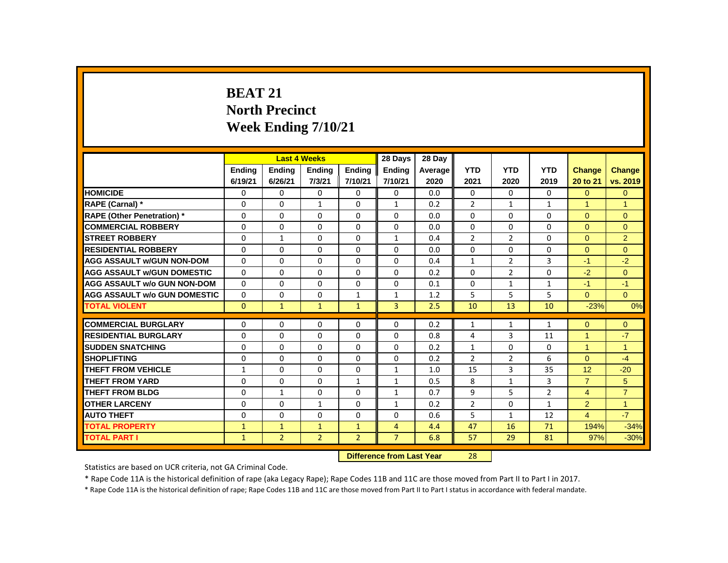# **BEAT 21 North Precinct Week Ending 7/10/21**

|                                     |               |                           | <b>Last 4 Weeks</b> |                | 28 Days        | 28 Day  |                |                |                |                |                      |
|-------------------------------------|---------------|---------------------------|---------------------|----------------|----------------|---------|----------------|----------------|----------------|----------------|----------------------|
|                                     | <b>Ending</b> | <b>Ending</b>             | <b>Ending</b>       | <b>Ending</b>  | <b>Ending</b>  | Average | <b>YTD</b>     | <b>YTD</b>     | <b>YTD</b>     | Change         | <b>Change</b>        |
|                                     | 6/19/21       | 6/26/21                   | 7/3/21              | 7/10/21        | 7/10/21        | 2020    | 2021           | 2020           | 2019           | 20 to 21       | vs. 2019             |
| <b>HOMICIDE</b>                     | 0             | $\mathbf{0}$              | 0                   | $\mathbf{0}$   | $\mathbf{0}$   | 0.0     | $\mathbf{0}$   | $\mathbf{0}$   | $\Omega$       | $\overline{0}$ | $\overline{0}$       |
| RAPE (Carnal) *                     | 0             | 0                         | 1                   | $\Omega$       | $\mathbf{1}$   | 0.2     | $\overline{2}$ | $\mathbf{1}$   | $\mathbf{1}$   | 1              | $\mathbf{1}$         |
| <b>RAPE (Other Penetration) *</b>   | 0             | $\mathbf{0}$              | $\Omega$            | $\Omega$       | $\Omega$       | 0.0     | $\Omega$       | $\Omega$       | $\Omega$       | $\Omega$       | $\Omega$             |
| <b>COMMERCIAL ROBBERY</b>           | $\Omega$      | $\mathbf{0}$              | $\Omega$            | $\Omega$       | $\mathbf{0}$   | 0.0     | $\Omega$       | $\Omega$       | $\Omega$       | $\Omega$       | $\Omega$             |
| <b>STREET ROBBERY</b>               | 0             | $\mathbf{1}$              | $\Omega$            | $\Omega$       | $\mathbf{1}$   | 0.4     | $\overline{2}$ | $\overline{2}$ | $\Omega$       | $\Omega$       | 2                    |
| <b>RESIDENTIAL ROBBERY</b>          | 0             | $\mathbf{0}$              | 0                   | $\mathbf{0}$   | 0              | 0.0     | $\mathbf{0}$   | 0              | 0              | $\Omega$       | $\Omega$             |
| <b>AGG ASSAULT w/GUN NON-DOM</b>    | 0             | $\Omega$                  | $\Omega$            | $\mathbf{0}$   | 0              | 0.4     | $\mathbf{1}$   | $\overline{2}$ | 3              | $-1$           | $-2$                 |
| <b>AGG ASSAULT W/GUN DOMESTIC</b>   | $\Omega$      | $\mathbf{0}$              | $\Omega$            | $\mathbf{0}$   | $\Omega$       | 0.2     | $\Omega$       | $\overline{2}$ | $\Omega$       | $-2$           | $\overline{0}$       |
| <b>AGG ASSAULT w/o GUN NON-DOM</b>  | $\Omega$      | $\Omega$                  | $\Omega$            | $\Omega$       | 0              | 0.1     | $\Omega$       | $\mathbf{1}$   | $\mathbf{1}$   | $-1$           | $-1$                 |
| <b>AGG ASSAULT w/o GUN DOMESTIC</b> | 0             | $\Omega$                  | 0                   | $\mathbf{1}$   | $\mathbf{1}$   | 1.2     | 5              | 5              | 5              | $\Omega$       | $\Omega$             |
| <b>TOTAL VIOLENT</b>                | $\Omega$      | $\mathbf{1}$              | $\mathbf{1}$        | $\mathbf{1}$   | $\overline{3}$ | 2.5     | 10             | 13             | 10             | $-23%$         | 0%                   |
| <b>COMMERCIAL BURGLARY</b>          | 0             | $\Omega$                  | $\Omega$            | $\Omega$       | $\Omega$       | 0.2     | $\mathbf{1}$   | $\mathbf{1}$   | $\mathbf{1}$   | $\Omega$       | $\overline{0}$       |
| <b>RESIDENTIAL BURGLARY</b>         | 0             | $\mathbf{0}$              | $\Omega$            | $\mathbf{0}$   | 0              | 0.8     | 4              | 3              | 11             | $\mathbf{1}$   | $-7$                 |
| <b>SUDDEN SNATCHING</b>             | 0             | 0                         | $\Omega$            | $\mathbf{0}$   | 0              | 0.2     | $\mathbf{1}$   | $\Omega$       | 0              | $\mathbf{1}$   | $\blacktriangleleft$ |
| <b>SHOPLIFTING</b>                  | 0             | $\mathbf{0}$              | $\Omega$            | $\mathbf{0}$   | $\mathbf 0$    | 0.2     | $\overline{2}$ | $\overline{2}$ | 6              | $\Omega$       | $-4$                 |
| <b>THEFT FROM VEHICLE</b>           | $\mathbf{1}$  | $\Omega$                  | $\Omega$            | $\Omega$       | $\mathbf{1}$   | 1.0     | 15             | 3              | 35             | 12             | $-20$                |
| <b>THEFT FROM YARD</b>              | 0             | 0                         | 0                   | $\mathbf{1}$   | $\mathbf{1}$   | 0.5     | 8              | $\mathbf{1}$   | 3              | $\overline{7}$ | 5                    |
| <b>THEFT FROM BLDG</b>              | 0             | $\mathbf{1}$              | $\Omega$            | $\Omega$       | $\mathbf{1}$   | 0.7     | 9              | 5              | $\overline{2}$ | $\overline{4}$ | $\overline{7}$       |
| <b>OTHER LARCENY</b>                | $\Omega$      | $\mathbf{0}$              | $\mathbf{1}$        | $\mathbf{0}$   | $\mathbf{1}$   | 0.2     | $\overline{2}$ | $\Omega$       | $\mathbf{1}$   | $\overline{2}$ | $\mathbf{1}$         |
| <b>AUTO THEFT</b>                   | 0             | 0                         | 0                   | $\mathbf{0}$   | $\Omega$       | 0.6     | 5              | $\mathbf{1}$   | 12             | $\overline{4}$ | $-7$                 |
| <b>TOTAL PROPERTY</b>               | $\mathbf{1}$  | $\mathbf{1}$              | $\mathbf{1}$        | $\mathbf{1}$   | 4              | 4.4     | 47             | 16             | 71             | 194%           | $-34%$               |
| <b>TOTAL PART I</b>                 | $\mathbf{1}$  | $\overline{2}$            | $\overline{2}$      | $\overline{2}$ | $\overline{7}$ | 6.8     | 57             | 29             | 81             | 97%            | $-30%$               |
|                                     |               | Difference from Last Year |                     | <b>28</b>      |                |         |                |                |                |                |                      |

**Difference from Last Year** 

Statistics are based on UCR criteria, not GA Criminal Code.

\* Rape Code 11A is the historical definition of rape (aka Legacy Rape); Rape Codes 11B and 11C are those moved from Part II to Part I in 2017.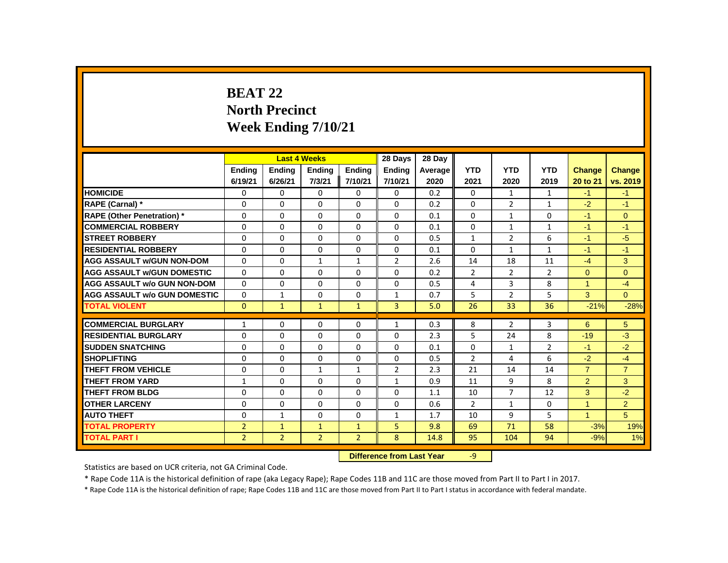# **BEAT 22 North Precinct Week Ending 7/10/21**

|                                     |                |                | <b>Last 4 Weeks</b> |                | 28 Days                   | 28 Day  |                |                |                |                |                |
|-------------------------------------|----------------|----------------|---------------------|----------------|---------------------------|---------|----------------|----------------|----------------|----------------|----------------|
|                                     | <b>Ending</b>  | <b>Ending</b>  | <b>Ending</b>       | <b>Ending</b>  | <b>Ending</b>             | Average | <b>YTD</b>     | <b>YTD</b>     | <b>YTD</b>     | <b>Change</b>  | Change         |
|                                     | 6/19/21        | 6/26/21        | 7/3/21              | 7/10/21        | 7/10/21                   | 2020    | 2021           | 2020           | 2019           | 20 to 21       | vs. 2019       |
| <b>HOMICIDE</b>                     | 0              | 0              | 0                   | 0              | 0                         | 0.2     | 0              | $\mathbf{1}$   | $\mathbf{1}$   | $-1$           | $-1$           |
| RAPE (Carnal) *                     | 0              | $\Omega$       | $\Omega$            | $\Omega$       | 0                         | 0.2     | 0              | $\overline{2}$ | $\mathbf{1}$   | $-2$           | $-1$           |
| <b>RAPE (Other Penetration)*</b>    | 0              | $\Omega$       | $\Omega$            | $\Omega$       | $\Omega$                  | 0.1     | $\Omega$       | $\mathbf{1}$   | 0              | $-1$           | $\mathbf{0}$   |
| <b>COMMERCIAL ROBBERY</b>           | 0              | 0              | 0                   | 0              | 0                         | 0.1     | 0              | $\mathbf{1}$   | $\mathbf{1}$   | $-1$           | $-1$           |
| <b>STREET ROBBERY</b>               | 0              | $\Omega$       | $\Omega$            | $\Omega$       | 0                         | 0.5     | $\mathbf{1}$   | $\overline{2}$ | 6              | $-1$           | $-5$           |
| <b>RESIDENTIAL ROBBERY</b>          | $\Omega$       | $\Omega$       | $\Omega$            | $\Omega$       | 0                         | 0.1     | 0              | $\mathbf{1}$   | $\mathbf{1}$   | $-1$           | $-1$           |
| <b>AGG ASSAULT w/GUN NON-DOM</b>    | 0              | 0              | $\mathbf{1}$        | $\mathbf{1}$   | $\overline{2}$            | 2.6     | 14             | 18             | 11             | $-4$           | 3              |
| <b>AGG ASSAULT w/GUN DOMESTIC</b>   | $\Omega$       | $\Omega$       | $\Omega$            | $\Omega$       | 0                         | 0.2     | $\overline{2}$ | $\overline{2}$ | $\overline{2}$ | $\Omega$       | $\Omega$       |
| <b>AGG ASSAULT w/o GUN NON-DOM</b>  | $\Omega$       | 0              | 0                   | 0              | 0                         | 0.5     | 4              | 3              | 8              | $\mathbf{1}$   | $-4$           |
| <b>AGG ASSAULT w/o GUN DOMESTIC</b> | $\Omega$       | 1              | 0                   | 0              | $\mathbf{1}$              | 0.7     | 5              | $\overline{2}$ | 5              | 3              | $\Omega$       |
| <b>TOTAL VIOLENT</b>                | $\mathbf{0}$   | $\mathbf{1}$   | $\mathbf{1}$        | $\mathbf{1}$   | 3                         | 5.0     | 26             | 33             | 36             | $-21%$         | $-28%$         |
| <b>COMMERCIAL BURGLARY</b>          | 1              | 0              | 0                   | 0              | 1                         | 0.3     | 8              | $\overline{2}$ | 3              | 6              | 5              |
| <b>RESIDENTIAL BURGLARY</b>         | $\Omega$       | $\Omega$       | $\Omega$            | $\Omega$       | 0                         | 2.3     | 5              | 24             | 8              | $-19$          | $-3$           |
| <b>SUDDEN SNATCHING</b>             | $\Omega$       | $\Omega$       | $\Omega$            | $\Omega$       | $\Omega$                  | 0.1     | $\Omega$       | $\mathbf{1}$   | $\overline{2}$ | $-1$           | $-2$           |
| <b>SHOPLIFTING</b>                  | $\Omega$       | $\Omega$       | $\Omega$            | $\Omega$       | $\Omega$                  | 0.5     | $\overline{2}$ | 4              | 6              | $-2$           | $-4$           |
| THEFT FROM VEHICLE                  | 0              | 0              | 1                   | 1              | $\overline{2}$            | 2.3     | 21             | 14             | 14             | $\overline{7}$ | $\overline{7}$ |
| THEFT FROM YARD                     | $\mathbf{1}$   | 0              | 0                   | 0              | $\mathbf{1}$              | 0.9     | 11             | 9              | 8              | $\overline{2}$ | 3              |
| <b>THEFT FROM BLDG</b>              | 0              | $\Omega$       | $\Omega$            | $\Omega$       | $\Omega$                  | 1.1     | 10             | $\overline{7}$ | 12             | 3              | $-2$           |
| <b>OTHER LARCENY</b>                | $\Omega$       | $\Omega$       | $\Omega$            | $\Omega$       | $\Omega$                  | 0.6     | $\overline{2}$ | $\mathbf{1}$   | $\Omega$       | $\mathbf{1}$   | $\overline{2}$ |
| <b>AUTO THEFT</b>                   | 0              | $\mathbf{1}$   | 0                   | 0              | $\mathbf{1}$              | 1.7     | 10             | 9              | 5              | $\mathbf{1}$   | 5              |
| <b>TOTAL PROPERTY</b>               | $\overline{2}$ | $\mathbf{1}$   | $\mathbf{1}$        | $\mathbf{1}$   | 5                         | 9.8     | 69             | 71             | 58             | $-3%$          | 19%            |
| <b>TOTAL PART I</b>                 | $\overline{2}$ | $\overline{2}$ | $\overline{2}$      | $\overline{2}$ | 8                         | 14.8    | 95             | 104            | 94             | $-9%$          | 1%             |
|                                     |                |                |                     |                | Difference from Last Year |         | $Q_{-}$        |                |                |                |                |

 **Difference from Last Year** -9

Statistics are based on UCR criteria, not GA Criminal Code.

\* Rape Code 11A is the historical definition of rape (aka Legacy Rape); Rape Codes 11B and 11C are those moved from Part II to Part I in 2017.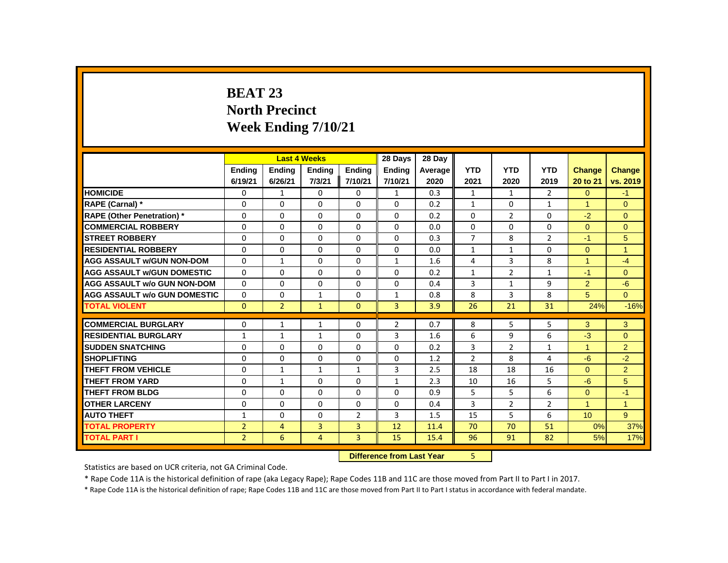# **BEAT 23 North Precinct Week Ending 7/10/21**

|                                     | <b>Last 4 Weeks</b><br><b>Ending</b><br><b>Ending</b><br><b>Ending</b> |                |                                  | 28 Days        | 28 Day         |         |                |                |                |                      |                |
|-------------------------------------|------------------------------------------------------------------------|----------------|----------------------------------|----------------|----------------|---------|----------------|----------------|----------------|----------------------|----------------|
|                                     |                                                                        |                |                                  | <b>Ending</b>  | <b>Ending</b>  | Average | <b>YTD</b>     | <b>YTD</b>     | <b>YTD</b>     | <b>Change</b>        | Change         |
|                                     | 6/19/21                                                                | 6/26/21        | 7/3/21                           | 7/10/21        | 7/10/21        | 2020    | 2021           | 2020           | 2019           | 20 to 21             | vs. 2019       |
| <b>HOMICIDE</b>                     | 0                                                                      | $\mathbf{1}$   | 0                                | 0              | $\mathbf{1}$   | 0.3     | $\mathbf{1}$   | $\mathbf{1}$   | $\overline{2}$ | $\overline{0}$       | $-1$           |
| RAPE (Carnal) *                     | 0                                                                      | 0              | 0                                | 0              | 0              | 0.2     | $\mathbf{1}$   | $\mathbf{0}$   | $\mathbf{1}$   | $\blacktriangleleft$ | $\Omega$       |
| <b>RAPE (Other Penetration)*</b>    | $\Omega$                                                               | $\Omega$       | $\Omega$                         | $\Omega$       | $\Omega$       | 0.2     | $\Omega$       | $\overline{2}$ | $\Omega$       | $-2$                 | $\Omega$       |
| <b>COMMERCIAL ROBBERY</b>           | 0                                                                      | 0              | 0                                | 0              | 0              | 0.0     | 0              | $\mathbf{0}$   | 0              | $\Omega$             | $\mathbf{0}$   |
| <b>STREET ROBBERY</b>               | 0                                                                      | 0              | 0                                | 0              | 0              | 0.3     | $\overline{7}$ | 8              | $\overline{2}$ | $-1$                 | 5              |
| <b>RESIDENTIAL ROBBERY</b>          | 0                                                                      | 0              | $\Omega$                         | 0              | 0              | 0.0     | $\mathbf{1}$   | $\mathbf{1}$   | 0              | $\Omega$             | $\mathbf{1}$   |
| <b>AGG ASSAULT w/GUN NON-DOM</b>    | $\Omega$                                                               | $\mathbf{1}$   | $\Omega$                         | $\Omega$       | $\mathbf{1}$   | 1.6     | 4              | 3              | 8              | $\mathbf{1}$         | $-4$           |
| <b>AGG ASSAULT w/GUN DOMESTIC</b>   | $\Omega$                                                               | $\Omega$       | $\Omega$                         | $\Omega$       | 0              | 0.2     | $\mathbf{1}$   | $\overline{2}$ | $\mathbf{1}$   | $-1$                 | $\Omega$       |
| <b>AGG ASSAULT w/o GUN NON-DOM</b>  | $\Omega$                                                               | 0              | 0                                | 0              | 0              | 0.4     | 3              | $\mathbf{1}$   | 9              | $\overline{2}$       | $-6$           |
| <b>AGG ASSAULT w/o GUN DOMESTIC</b> | 0                                                                      | 0              | 1                                | 0              | 1              | 0.8     | 8              | 3              | 8              | 5                    | $\Omega$       |
| <b>TOTAL VIOLENT</b>                | $\Omega$                                                               | $\overline{2}$ | $\mathbf{1}$                     | $\Omega$       | 3              | 3.9     | 26             | 21             | 31             | 24%                  | $-16%$         |
| <b>COMMERCIAL BURGLARY</b>          | 0                                                                      | $\mathbf{1}$   | $\mathbf{1}$                     | 0              | $\overline{2}$ | 0.7     | 8              | 5              | 5              | 3                    | 3              |
| <b>RESIDENTIAL BURGLARY</b>         | $\mathbf{1}$                                                           | $\mathbf{1}$   | $\mathbf{1}$                     | $\Omega$       | 3              | 1.6     | 6              | 9              | 6              | $-3$                 | $\mathbf{0}$   |
| <b>SUDDEN SNATCHING</b>             | $\Omega$                                                               | $\Omega$       | $\Omega$                         | $\Omega$       | $\Omega$       | 0.2     | 3              | $\overline{2}$ | $\mathbf{1}$   | $\mathbf{1}$         | $\overline{2}$ |
| <b>SHOPLIFTING</b>                  | 0                                                                      | 0              | 0                                | 0              | 0              | 1.2     | $\overline{2}$ | 8              | 4              | $-6$                 | $-2$           |
| <b>THEFT FROM VEHICLE</b>           | $\Omega$                                                               | $\mathbf{1}$   | $\mathbf{1}$                     | $\mathbf{1}$   | 3              | 2.5     | 18             | 18             | 16             | $\Omega$             | $\overline{2}$ |
| <b>THEFT FROM YARD</b>              | $\Omega$                                                               | $\mathbf{1}$   | $\Omega$                         | $\Omega$       | $\mathbf{1}$   | 2.3     | 10             | 16             | 5              | $-6$                 | 5              |
| <b>THEFT FROM BLDG</b>              | 0                                                                      | $\Omega$       | $\Omega$                         | $\Omega$       | $\Omega$       | 0.9     | 5              | 5              | 6              | $\Omega$             | $-1$           |
| <b>OTHER LARCENY</b>                | 0                                                                      | 0              | 0                                | 0              | 0              | 0.4     | 3              | $\overline{2}$ | $\overline{2}$ | $\blacktriangleleft$ | $\overline{1}$ |
| <b>AUTO THEFT</b>                   | $\mathbf{1}$                                                           | 0              | 0                                | $\overline{2}$ | 3              | 1.5     | 15             | 5              | 6              | 10                   | 9              |
| <b>TOTAL PROPERTY</b>               | $\overline{2}$                                                         | $\overline{4}$ | 3                                | 3              | 12             | 11.4    | 70             | 70             | 51             | 0%                   | 37%            |
| <b>TOTAL PART I</b>                 | $\overline{2}$                                                         | 6              | $\overline{4}$                   | 3              | 15             | 15.4    | 96             | 91             | 82             | 5%                   | 17%            |
|                                     |                                                                        |                |                                  |                |                |         |                |                |                |                      |                |
|                                     |                                                                        |                | <b>Difference from Last Year</b> |                | 5              |         |                |                |                |                      |                |

Statistics are based on UCR criteria, not GA Criminal Code.

\* Rape Code 11A is the historical definition of rape (aka Legacy Rape); Rape Codes 11B and 11C are those moved from Part II to Part I in 2017.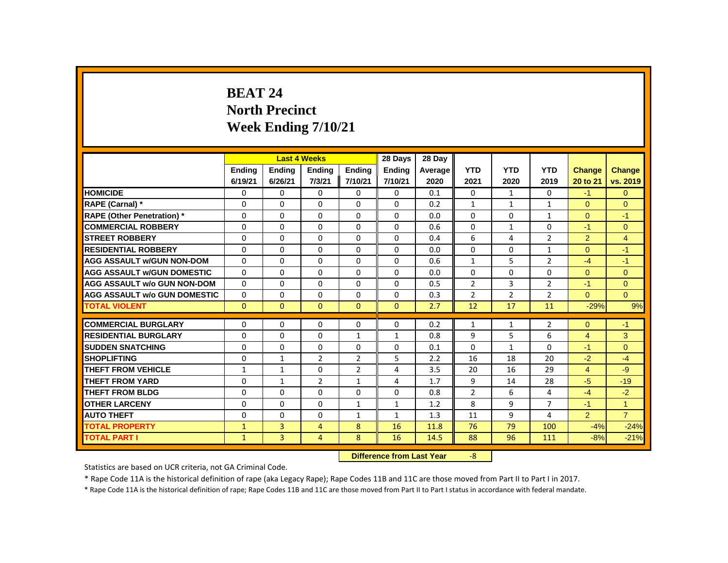# **BEAT 24 North Precinct Week Ending 7/10/21**

|                                     |               |                           | <b>Last 4 Weeks</b> |                | 28 Days      | 28 Day  |                |                |                |                |                |
|-------------------------------------|---------------|---------------------------|---------------------|----------------|--------------|---------|----------------|----------------|----------------|----------------|----------------|
|                                     | <b>Ending</b> | <b>Ending</b>             | Ending              | Ending         | Ending       | Average | <b>YTD</b>     | <b>YTD</b>     | <b>YTD</b>     | <b>Change</b>  | Change         |
|                                     | 6/19/21       | 6/26/21                   | 7/3/21              | 7/10/21        | 7/10/21      | 2020    | 2021           | 2020           | 2019           | 20 to 21       | vs. 2019       |
| <b>HOMICIDE</b>                     | 0             | 0                         | 0                   | 0              | 0            | 0.1     | 0              | $\mathbf{1}$   | 0              | $-1$           | $\mathbf{0}$   |
| RAPE (Carnal) *                     | 0             | $\Omega$                  | $\Omega$            | $\Omega$       | 0            | 0.2     | $\mathbf{1}$   | $\mathbf{1}$   | $\mathbf{1}$   | $\Omega$       | $\Omega$       |
| <b>RAPE (Other Penetration)</b> *   | 0             | 0                         | 0                   | 0              | 0            | 0.0     | 0              | 0              | $\mathbf{1}$   | $\mathbf{0}$   | $-1$           |
| <b>COMMERCIAL ROBBERY</b>           | $\Omega$      | $\Omega$                  | $\Omega$            | $\Omega$       | $\Omega$     | 0.6     | $\Omega$       | $\mathbf{1}$   | $\Omega$       | $-1$           | $\Omega$       |
| <b>STREET ROBBERY</b>               | $\Omega$      | $\Omega$                  | $\Omega$            | $\Omega$       | 0            | 0.4     | 6              | 4              | $\overline{2}$ | $\overline{2}$ | $\overline{4}$ |
| <b>RESIDENTIAL ROBBERY</b>          | 0             | 0                         | 0                   | 0              | 0            | 0.0     | 0              | 0              | $\mathbf{1}$   | $\Omega$       | $-1$           |
| <b>AGG ASSAULT w/GUN NON-DOM</b>    | $\Omega$      | $\Omega$                  | $\Omega$            | $\Omega$       | $\Omega$     | 0.6     | $\mathbf{1}$   | 5              | $\overline{2}$ | $-4$           | $-1$           |
| <b>AGG ASSAULT w/GUN DOMESTIC</b>   | $\Omega$      | $\Omega$                  | $\Omega$            | $\Omega$       | $\Omega$     | 0.0     | $\Omega$       | $\Omega$       | $\Omega$       | $\Omega$       | $\overline{0}$ |
| <b>AGG ASSAULT w/o GUN NON-DOM</b>  | $\Omega$      | $\Omega$                  | $\Omega$            | $\Omega$       | $\Omega$     | 0.5     | $\overline{2}$ | 3              | $\overline{2}$ | $-1$           | $\Omega$       |
| <b>AGG ASSAULT w/o GUN DOMESTIC</b> | $\Omega$      | 0                         | 0                   | 0              | 0            | 0.3     | $\overline{2}$ | $\overline{2}$ | $\overline{2}$ | $\Omega$       | $\Omega$       |
| <b>TOTAL VIOLENT</b>                | $\mathbf{0}$  | $\mathbf{0}$              | $\mathbf{0}$        | $\mathbf{0}$   | $\mathbf{0}$ | 2.7     | 12             | 17             | 11             | $-29%$         | 9%             |
| <b>COMMERCIAL BURGLARY</b>          | 0             | 0                         | 0                   | 0              | 0            | 0.2     | $\mathbf{1}$   | $\mathbf{1}$   | $\overline{2}$ | $\overline{0}$ | $-1$           |
| <b>RESIDENTIAL BURGLARY</b>         | 0             | $\Omega$                  | $\Omega$            | $\mathbf{1}$   | $\mathbf{1}$ | 0.8     | 9              | 5              | 6              | $\overline{4}$ | 3              |
| <b>SUDDEN SNATCHING</b>             | $\Omega$      | $\Omega$                  | $\Omega$            | $\Omega$       | 0            | 0.1     | $\Omega$       | $\mathbf{1}$   | $\Omega$       | $-1$           | $\mathbf{0}$   |
| <b>SHOPLIFTING</b>                  | 0             | $\mathbf{1}$              | $\overline{2}$      | $\overline{2}$ | 5            | 2.2     | 16             | 18             | 20             | $-2$           | $-4$           |
| THEFT FROM VEHICLE                  | $\mathbf{1}$  | $\mathbf{1}$              | 0                   | $\overline{2}$ | 4            | 3.5     | 20             | 16             | 29             | $\overline{4}$ | $-9$           |
| THEFT FROM YARD                     | $\Omega$      | $\mathbf{1}$              | $\overline{2}$      | $\mathbf{1}$   | 4            | 1.7     | 9              | 14             | 28             | $-5$           | $-19$          |
| <b>THEFT FROM BLDG</b>              | $\Omega$      | $\Omega$                  | $\Omega$            | $\Omega$       | 0            | 0.8     | $\overline{2}$ | 6              | 4              | $-4$           | $-2$           |
| <b>OTHER LARCENY</b>                | 0             | $\Omega$                  | $\Omega$            | $\mathbf{1}$   | $\mathbf{1}$ | 1.2     | 8              | 9              | $\overline{7}$ | $-1$           | $\mathbf{1}$   |
| <b>AUTO THEFT</b>                   | $\Omega$      | 0                         | $\Omega$            | $\mathbf{1}$   | $\mathbf{1}$ | 1.3     | 11             | 9              | 4              | $\overline{2}$ | $\overline{7}$ |
| <b>TOTAL PROPERTY</b>               | $\mathbf{1}$  | 3                         | $\overline{4}$      | 8              | 16           | 11.8    | 76             | 79             | 100            | $-4%$          | $-24%$         |
| <b>TOTAL PART I</b>                 | $\mathbf{1}$  | $\overline{3}$            | $\overline{4}$      | 8              | 16           | 14.5    | 88             | 96             | 111            | $-8%$          | $-21%$         |
|                                     |               | Difference from Last Year |                     | $-8$           |              |         |                |                |                |                |                |

*<u>IIIEIENCE IIOIII LAST TEAR</u>* 

Statistics are based on UCR criteria, not GA Criminal Code.

\* Rape Code 11A is the historical definition of rape (aka Legacy Rape); Rape Codes 11B and 11C are those moved from Part II to Part I in 2017.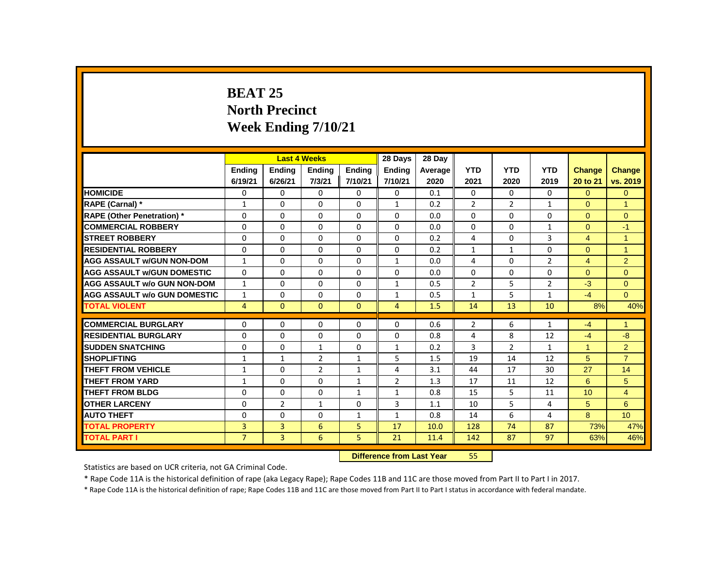# **BEAT 25 North Precinct Week Ending 7/10/21**

|                                     |                |                | <b>Last 4 Weeks</b> |               | 28 Days                          | 28 Dav  |                |                |                |                      |                      |
|-------------------------------------|----------------|----------------|---------------------|---------------|----------------------------------|---------|----------------|----------------|----------------|----------------------|----------------------|
|                                     | Ending         | Ending         | <b>Ending</b>       | <b>Ending</b> | <b>Ending</b>                    | Average | <b>YTD</b>     | <b>YTD</b>     | <b>YTD</b>     | <b>Change</b>        | <b>Change</b>        |
|                                     | 6/19/21        | 6/26/21        | 7/3/21              | 7/10/21       | 7/10/21                          | 2020    | 2021           | 2020           | 2019           | 20 to 21             | vs. 2019             |
| <b>HOMICIDE</b>                     | 0              | $\Omega$       | 0                   | $\Omega$      | 0                                | 0.1     | $\Omega$       | 0              | 0              | $\overline{0}$       | $\mathbf{0}$         |
| RAPE (Carnal) *                     | $\mathbf{1}$   | $\Omega$       | $\Omega$            | $\Omega$      | 1                                | 0.2     | 2              | $\overline{2}$ | $\mathbf{1}$   | $\Omega$             | $\overline{1}$       |
| <b>RAPE (Other Penetration)</b> *   | $\Omega$       | $\Omega$       | $\Omega$            | $\Omega$      | $\Omega$                         | 0.0     | $\Omega$       | $\Omega$       | $\Omega$       | $\Omega$             | $\mathbf{0}$         |
| <b>COMMERCIAL ROBBERY</b>           | $\Omega$       | $\Omega$       | $\Omega$            | $\Omega$      | $\mathbf{0}$                     | 0.0     | $\Omega$       | $\Omega$       | $\mathbf{1}$   | $\Omega$             | $-1$                 |
| <b>ISTREET ROBBERY</b>              | 0              | 0              | 0                   | 0             | 0                                | 0.2     | 4              | $\mathbf{0}$   | 3              | $\overline{4}$       | $\overline{1}$       |
| <b>RESIDENTIAL ROBBERY</b>          | $\Omega$       | $\Omega$       | $\Omega$            | $\Omega$      | $\Omega$                         | 0.2     | 1              | $\mathbf{1}$   | $\Omega$       | $\Omega$             | $\overline{1}$       |
| <b>AGG ASSAULT W/GUN NON-DOM</b>    | $\mathbf{1}$   | $\Omega$       | $\Omega$            | $\Omega$      | $\mathbf{1}$                     | 0.0     | 4              | $\Omega$       | $\overline{2}$ | $\overline{4}$       | 2                    |
| <b>AGG ASSAULT W/GUN DOMESTIC</b>   | $\Omega$       | $\Omega$       | $\Omega$            | $\Omega$      | $\Omega$                         | 0.0     | $\Omega$       | $\Omega$       | $\Omega$       | $\Omega$             | $\Omega$             |
| <b>AGG ASSAULT w/o GUN NON-DOM</b>  | $\mathbf{1}$   | $\Omega$       | $\Omega$            | $\Omega$      | 1                                | 0.5     | $\overline{2}$ | 5              | $\overline{2}$ | $-3$                 | $\Omega$             |
| <b>AGG ASSAULT w/o GUN DOMESTIC</b> | $\mathbf{1}$   | $\Omega$       | $\Omega$            | $\Omega$      | 1                                | 0.5     | $\mathbf{1}$   | 5              | $\mathbf{1}$   | $-4$                 | $\Omega$             |
| <b>TOTAL VIOLENT</b>                | $\overline{4}$ | $\mathbf{0}$   | $\mathbf{0}$        | $\mathbf{0}$  | $\overline{4}$                   | 1.5     | 14             | 13             | 10             | 8%                   | 40%                  |
| <b>COMMERCIAL BURGLARY</b>          | 0              | $\Omega$       | $\Omega$            | $\Omega$      | $\mathbf{0}$                     | 0.6     | 2              | 6              | 1              | $-4$                 | $\blacktriangleleft$ |
| <b>RESIDENTIAL BURGLARY</b>         | $\Omega$       | $\Omega$       | $\Omega$            | $\Omega$      | $\mathbf{0}$                     | 0.8     | 4              | 8              | 12             | $-4$                 | $-8$                 |
| <b>SUDDEN SNATCHING</b>             | $\Omega$       | $\Omega$       | $\mathbf{1}$        | $\Omega$      | $\mathbf{1}$                     | 0.2     | 3              | $\overline{2}$ | $\mathbf{1}$   | $\blacktriangleleft$ | $\overline{2}$       |
| <b>SHOPLIFTING</b>                  | $\mathbf{1}$   | $\mathbf{1}$   | $\overline{2}$      | 1             | 5                                | 1.5     | 19             | 14             | 12             | 5                    | $\overline{7}$       |
| <b>THEFT FROM VEHICLE</b>           | $\mathbf{1}$   | $\Omega$       | $\overline{2}$      | 1             | 4                                | 3.1     | 44             | 17             | 30             | 27                   | 14                   |
| <b>THEFT FROM YARD</b>              | $\mathbf{1}$   | $\Omega$       | $\Omega$            | $\mathbf{1}$  | $\overline{2}$                   | 1.3     | 17             | 11             | 12             | 6                    | 5                    |
| <b>THEFT FROM BLDG</b>              | $\Omega$       | $\Omega$       | $\Omega$            | $\mathbf{1}$  | 1                                | 0.8     | 15             | 5              | 11             | 10                   | $\overline{4}$       |
| <b>OTHER LARCENY</b>                | 0              | $\overline{2}$ | 1                   | $\mathbf 0$   | 3                                | 1.1     | 10             | 5              | 4              | 5 <sup>5</sup>       | 6                    |
| <b>AUTO THEFT</b>                   | $\Omega$       | $\Omega$       | $\Omega$            | 1             | $\mathbf{1}$                     | 0.8     | 14             | 6              | 4              | 8                    | 10 <sup>10</sup>     |
| <b>TOTAL PROPERTY</b>               | 3              | 3              | 6                   | 5             | 17                               | 10.0    | 128            | 74             | 87             | 73%                  | 47%                  |
| <b>TOTAL PART I</b>                 | 7 <sup>1</sup> | 3              | 6                   | 5.            | 21                               | 11.4    | 142            | 87             | 97             | 63%                  | 46%                  |
|                                     |                |                |                     |               | <b>Difference from Last Year</b> |         | 55             |                |                |                      |                      |

Statistics are based on UCR criteria, not GA Criminal Code.

\* Rape Code 11A is the historical definition of rape (aka Legacy Rape); Rape Codes 11B and 11C are those moved from Part II to Part I in 2017.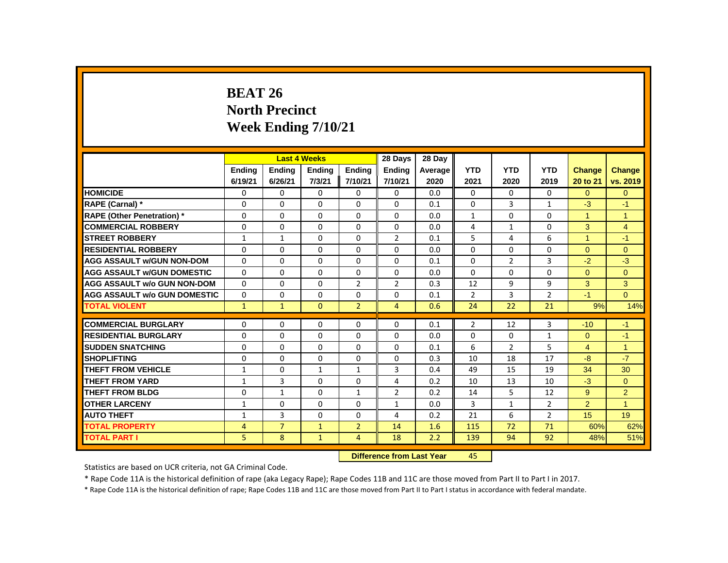# **BEAT 26 North Precinct Week Ending 7/10/21**

|                                     |               |                | <b>Last 4 Weeks</b>       |                | 28 Days        | 28 Day  |                |                |                |                      |                |
|-------------------------------------|---------------|----------------|---------------------------|----------------|----------------|---------|----------------|----------------|----------------|----------------------|----------------|
|                                     | <b>Ending</b> | <b>Ending</b>  | <b>Ending</b>             | <b>Ending</b>  | <b>Ending</b>  | Average | <b>YTD</b>     | <b>YTD</b>     | <b>YTD</b>     | <b>Change</b>        | Change         |
|                                     | 6/19/21       | 6/26/21        | 7/3/21                    | 7/10/21        | 7/10/21        | 2020    | 2021           | 2020           | 2019           | 20 to 21             | vs. 2019       |
| <b>HOMICIDE</b>                     | 0             | 0              | 0                         | 0              | 0              | 0.0     | 0              | 0              | 0              | $\Omega$             | $\mathbf{0}$   |
| <b>RAPE (Carnal) *</b>              | 0             | 0              | 0                         | 0              | 0              | 0.1     | $\Omega$       | 3              | $\mathbf{1}$   | $-3$                 | $-1$           |
| <b>RAPE (Other Penetration)</b> *   | $\Omega$      | $\Omega$       | $\Omega$                  | $\Omega$       | $\Omega$       | 0.0     | $\mathbf{1}$   | $\Omega$       | $\Omega$       | $\mathbf{1}$         | $\mathbf{1}$   |
| <b>COMMERCIAL ROBBERY</b>           | $\Omega$      | $\Omega$       | $\Omega$                  | $\Omega$       | $\Omega$       | 0.0     | 4              | $\mathbf{1}$   | $\Omega$       | 3                    | $\overline{4}$ |
| <b>STREET ROBBERY</b>               | 1             | $\mathbf{1}$   | 0                         | 0              | $\overline{2}$ | 0.1     | 5              | 4              | 6              | $\blacktriangleleft$ | $-1$           |
| <b>RESIDENTIAL ROBBERY</b>          | $\Omega$      | 0              | $\Omega$                  | $\Omega$       | $\Omega$       | 0.0     | $\Omega$       | 0              | $\Omega$       | $\Omega$             | $\Omega$       |
| <b>AGG ASSAULT W/GUN NON-DOM</b>    | 0             | 0              | 0                         | $\Omega$       | $\Omega$       | 0.1     | $\Omega$       | $\overline{2}$ | 3              | $-2$                 | $-3$           |
| <b>AGG ASSAULT w/GUN DOMESTIC</b>   | $\mathbf{0}$  | $\Omega$       | $\Omega$                  | $\Omega$       | $\Omega$       | 0.0     | $\Omega$       | $\Omega$       | $\Omega$       | $\Omega$             | $\Omega$       |
| <b>AGG ASSAULT w/o GUN NON-DOM</b>  | $\Omega$      | $\Omega$       | $\Omega$                  | $\overline{2}$ | $\overline{2}$ | 0.3     | 12             | 9              | 9              | 3                    | 3              |
| <b>AGG ASSAULT W/o GUN DOMESTIC</b> | 0             | 0              | 0                         | 0              | 0              | 0.1     | $\overline{2}$ | 3              | $\overline{2}$ | $-1$                 | $\Omega$       |
| <b>TOTAL VIOLENT</b>                | $\mathbf{1}$  | $\mathbf{1}$   | $\mathbf{0}$              | $\overline{2}$ | 4              | 0.6     | 24             | 22             | 21             | 9%                   | 14%            |
| <b>COMMERCIAL BURGLARY</b>          | 0             | 0              | 0                         | 0              | 0              | 0.1     | $\overline{2}$ | 12             | 3              | $-10$                | $-1$           |
| <b>RESIDENTIAL BURGLARY</b>         | 0             | $\Omega$       | $\Omega$                  | $\Omega$       | $\Omega$       | 0.0     | $\Omega$       | $\Omega$       | $\mathbf{1}$   | $\Omega$             | $-1$           |
| <b>SUDDEN SNATCHING</b>             | $\Omega$      | $\Omega$       | $\Omega$                  | 0              | 0              | 0.1     | 6              | $\overline{2}$ | 5              | $\overline{4}$       | $\mathbf{1}$   |
| <b>SHOPLIFTING</b>                  | $\Omega$      | $\Omega$       | $\Omega$                  | $\Omega$       | $\Omega$       | 0.3     | 10             | 18             | 17             | $-8$                 | $-7$           |
| <b>THEFT FROM VEHICLE</b>           | $\mathbf{1}$  | $\Omega$       | $\mathbf{1}$              | $\mathbf{1}$   | 3              | 0.4     | 49             | 15             | 19             | 34                   | 30             |
| <b>THEFT FROM YARD</b>              | $\mathbf{1}$  | 3              | 0                         | 0              | 4              | 0.2     | 10             | 13             | 10             | $-3$                 | $\mathbf{0}$   |
| <b>THEFT FROM BLDG</b>              | $\Omega$      | $\mathbf{1}$   | $\Omega$                  | $\mathbf{1}$   | $\overline{2}$ | 0.2     | 14             | 5              | 12             | 9                    | $\overline{2}$ |
| <b>OTHER LARCENY</b>                | $\mathbf{1}$  | $\Omega$       | $\Omega$                  | $\Omega$       | $\mathbf{1}$   | 0.0     | 3              | $\mathbf{1}$   | $\overline{2}$ | $\overline{2}$       | $\overline{1}$ |
| <b>AUTO THEFT</b>                   | $\mathbf{1}$  | 3              | $\Omega$                  | $\Omega$       | 4              | 0.2     | 21             | 6              | $\overline{2}$ | 15                   | 19             |
| <b>TOTAL PROPERTY</b>               | 4             | $\overline{7}$ | 1                         | $\overline{2}$ | 14             | 1.6     | 115            | 72             | 71             | 60%                  | 62%            |
| <b>TOTAL PART I</b>                 | 5             | 8              | $\mathbf{1}$              | 4              | 18             | 2.2     | 139            | 94             | 92             | 48%                  | 51%            |
|                                     |               |                | Difference from Last Year |                | $\sqrt{5}$     |         |                |                |                |                      |                |

 **Difference from Last Year** 45

Statistics are based on UCR criteria, not GA Criminal Code.

\* Rape Code 11A is the historical definition of rape (aka Legacy Rape); Rape Codes 11B and 11C are those moved from Part II to Part I in 2017.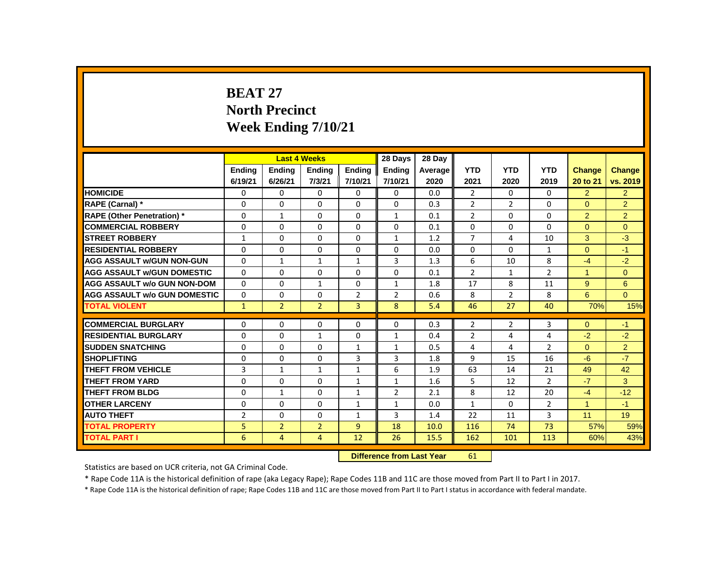# **BEAT 27 North Precinct Week Ending 7/10/21**

|                                     | <b>Last 4 Weeks</b><br><b>Ending</b><br><b>Ending</b><br><b>Ending</b> |                           |                |                | 28 Days        | 28 Day  |                |                |                |                |                |
|-------------------------------------|------------------------------------------------------------------------|---------------------------|----------------|----------------|----------------|---------|----------------|----------------|----------------|----------------|----------------|
|                                     |                                                                        |                           |                | <b>Ending</b>  | <b>Ending</b>  | Average | <b>YTD</b>     | <b>YTD</b>     | <b>YTD</b>     | Change         | <b>Change</b>  |
|                                     | 6/19/21                                                                | 6/26/21                   | 7/3/21         | 7/10/21        | 7/10/21        | 2020    | 2021           | 2020           | 2019           | 20 to 21       | vs. 2019       |
| <b>HOMICIDE</b>                     | 0                                                                      | $\Omega$                  | 0              | $\Omega$       | 0              | 0.0     | $\overline{2}$ | $\Omega$       | 0              | $\overline{2}$ | 2 <sup>1</sup> |
| RAPE (Carnal) *                     | 0                                                                      | $\Omega$                  | $\Omega$       | 0              | 0              | 0.3     | $\overline{2}$ | $\overline{2}$ | 0              | $\Omega$       | $\overline{2}$ |
| <b>RAPE (Other Penetration) *</b>   | $\mathbf{0}$                                                           | $\mathbf{1}$              | $\Omega$       | $\Omega$       | $\mathbf{1}$   | 0.1     | $\overline{2}$ | $\Omega$       | 0              | $\overline{2}$ | $\overline{2}$ |
| <b>COMMERCIAL ROBBERY</b>           | $\mathbf{0}$                                                           | $\Omega$                  | $\Omega$       | $\Omega$       | $\Omega$       | 0.1     | $\Omega$       | $\Omega$       | $\Omega$       | $\Omega$       | $\Omega$       |
| <b>STREET ROBBERY</b>               | $\mathbf{1}$                                                           | $\Omega$                  | $\Omega$       | $\Omega$       | 1              | 1.2     | $\overline{7}$ | 4              | 10             | 3              | $-3$           |
| <b>RESIDENTIAL ROBBERY</b>          | $\Omega$                                                               | $\Omega$                  | $\Omega$       | $\Omega$       | $\Omega$       | 0.0     | $\Omega$       | $\Omega$       | $\mathbf{1}$   | $\Omega$       | $-1$           |
| <b>AGG ASSAULT W/GUN NON-GUN</b>    | $\Omega$                                                               | $\mathbf{1}$              | $\mathbf{1}$   | $\mathbf{1}$   | 3              | 1.3     | 6              | 10             | 8              | $-4$           | $-2$           |
| <b>AGG ASSAULT W/GUN DOMESTIC</b>   | $\Omega$                                                               | 0                         | 0              | 0              | $\mathbf 0$    | 0.1     | $\overline{2}$ | $\mathbf{1}$   | $\overline{2}$ | $\mathbf{1}$   | $\overline{0}$ |
| <b>AGG ASSAULT w/o GUN NON-DOM</b>  | $\Omega$                                                               | $\mathbf{0}$              | $\mathbf{1}$   | $\Omega$       | $\mathbf{1}$   | 1.8     | 17             | 8              | 11             | $9^{\circ}$    | 6              |
| <b>AGG ASSAULT w/o GUN DOMESTIC</b> | $\Omega$                                                               | 0                         | $\Omega$       | $\overline{2}$ | $\overline{2}$ | 0.6     | 8              | $\overline{2}$ | 8              | 6              | $\Omega$       |
| <b>TOTAL VIOLENT</b>                | $\mathbf{1}$                                                           | $\overline{2}$            | $\overline{2}$ | $\overline{3}$ | 8              | 5.4     | 46             | 27             | 40             | 70%            | 15%            |
| <b>COMMERCIAL BURGLARY</b>          | 0                                                                      | $\Omega$                  | $\Omega$       | $\Omega$       | 0              | 0.3     | $\overline{2}$ | $\overline{2}$ | 3              | $\Omega$       | $-1$           |
| <b>RESIDENTIAL BURGLARY</b>         | $\mathbf{0}$                                                           | $\Omega$                  | 1              | $\Omega$       | $\mathbf{1}$   | 0.4     | $\overline{2}$ | 4              | 4              | $-2$           | $-2$           |
| <b>SUDDEN SNATCHING</b>             | 0                                                                      | 0                         | $\Omega$       | $\mathbf{1}$   | 1              | 0.5     | 4              | 4              | $\overline{2}$ | $\Omega$       | $\overline{2}$ |
| <b>SHOPLIFTING</b>                  | 0                                                                      | $\mathbf 0$               | 0              | 3              | 3              | 1.8     | 9              | 15             | 16             | $-6$           | $-7$           |
| <b>THEFT FROM VEHICLE</b>           | 3                                                                      | $\mathbf{1}$              | $\mathbf{1}$   | $\mathbf{1}$   | 6              | 1.9     | 63             | 14             | 21             | 49             | 42             |
| <b>THEFT FROM YARD</b>              | 0                                                                      | 0                         | $\Omega$       | 1              | $\mathbf{1}$   | 1.6     | 5              | 12             | $\overline{2}$ | $-7$           | 3              |
| <b>THEFT FROM BLDG</b>              | 0                                                                      | $\mathbf{1}$              | 0              | $\mathbf{1}$   | $\overline{2}$ | 2.1     | 8              | 12             | 20             | $-4$           | $-12$          |
| <b>OTHER LARCENY</b>                | 0                                                                      | $\mathbf{0}$              | $\Omega$       | $\mathbf{1}$   | 1              | 0.0     | $\mathbf{1}$   | $\Omega$       | $\overline{2}$ | $\mathbf{1}$   | $-1$           |
| <b>AUTO THEFT</b>                   | $\overline{2}$                                                         | 0                         | 0              | $\mathbf{1}$   | $\overline{3}$ | 1.4     | 22             | 11             | $\overline{3}$ | 11             | 19             |
| <b>TOTAL PROPERTY</b>               | 5                                                                      | $\overline{2}$            | $\overline{2}$ | 9              | 18             | 10.0    | 116            | 74             | 73             | 57%            | 59%            |
| <b>TOTAL PART I</b>                 | 6                                                                      | 4                         | $\overline{4}$ | 12             | 26             | 15.5    | 162            | 101            | 113            | 60%            | 43%            |
|                                     |                                                                        | Difference from Last Year |                | 61             |                |         |                |                |                |                |                |

 **Difference from Last Year** 61

Statistics are based on UCR criteria, not GA Criminal Code.

\* Rape Code 11A is the historical definition of rape (aka Legacy Rape); Rape Codes 11B and 11C are those moved from Part II to Part I in 2017.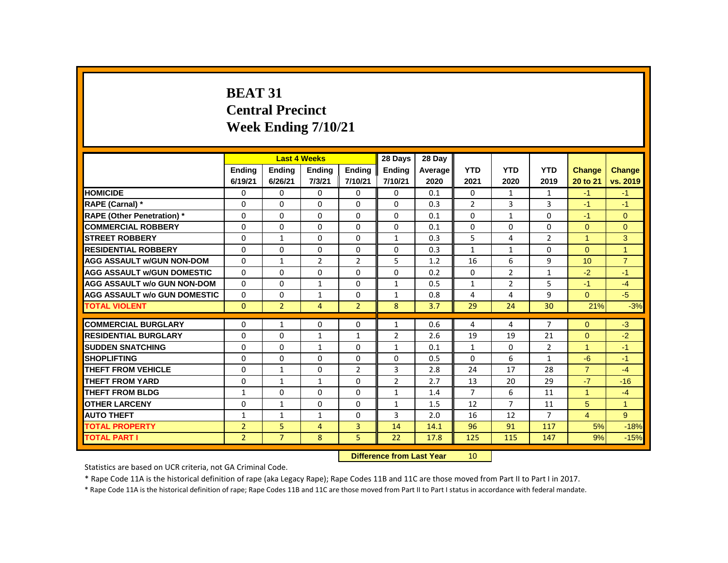# **BEAT 31 Central Precinct Week Ending 7/10/21**

|                                     |                |                | <b>Last 4 Weeks</b> |                | 28 Days                   | 28 Day  |                |                |                |                      |                |
|-------------------------------------|----------------|----------------|---------------------|----------------|---------------------------|---------|----------------|----------------|----------------|----------------------|----------------|
|                                     | Ending         | Ending         | <b>Ending</b>       | Ending         | Ending                    | Average | <b>YTD</b>     | <b>YTD</b>     | <b>YTD</b>     | Change               | Change         |
|                                     | 6/19/21        | 6/26/21        | 7/3/21              | 7/10/21        | 7/10/21                   | 2020    | 2021           | 2020           | 2019           | 20 to 21             | vs. 2019       |
| <b>HOMICIDE</b>                     | 0              | 0              | 0                   | 0              | $\mathbf{0}$              | 0.1     | $\mathbf{0}$   | $\mathbf{1}$   | $\mathbf{1}$   | $-1$                 | $-1$           |
| RAPE (Carnal) *                     | 0              | $\Omega$       | $\Omega$            | $\Omega$       | $\Omega$                  | 0.3     | $\overline{2}$ | 3              | 3              | $-1$                 | $-1$           |
| <b>RAPE (Other Penetration)</b> *   | 0              | 0              | 0                   | 0              | 0                         | 0.1     | $\mathbf{0}$   | $\mathbf{1}$   | 0              | $-1$                 | $\mathbf{0}$   |
| <b>COMMERCIAL ROBBERY</b>           | $\Omega$       | $\mathbf{0}$   | $\Omega$            | $\mathbf{0}$   | $\mathbf{0}$              | 0.1     | $\Omega$       | $\Omega$       | $\Omega$       | $\Omega$             | $\Omega$       |
| <b>STREET ROBBERY</b>               | 0              | $\mathbf{1}$   | $\Omega$            | $\Omega$       | $\mathbf{1}$              | 0.3     | 5              | 4              | $\overline{2}$ | $\blacktriangleleft$ | 3              |
| <b>RESIDENTIAL ROBBERY</b>          | 0              | 0              | 0                   | $\mathbf{0}$   | 0                         | 0.3     | $\mathbf{1}$   | $\mathbf{1}$   | 0              | $\Omega$             | $\mathbf{1}$   |
| <b>AGG ASSAULT w/GUN NON-DOM</b>    | $\Omega$       | $\mathbf{1}$   | $\overline{2}$      | $\overline{2}$ | 5                         | 1.2     | 16             | 6              | 9              | 10                   | $\overline{7}$ |
| <b>AGG ASSAULT W/GUN DOMESTIC</b>   | $\Omega$       | $\Omega$       | $\Omega$            | $\mathbf{0}$   | $\Omega$                  | 0.2     | $\mathbf{0}$   | $\overline{2}$ | $\mathbf{1}$   | $-2$                 | $-1$           |
| <b>AGG ASSAULT w/o GUN NON-DOM</b>  | $\Omega$       | $\Omega$       | $\mathbf{1}$        | $\Omega$       | $\mathbf{1}$              | 0.5     | $\mathbf{1}$   | $\overline{2}$ | 5              | $-1$                 | $-4$           |
| <b>AGG ASSAULT w/o GUN DOMESTIC</b> | $\Omega$       | 0              | $\mathbf{1}$        | $\Omega$       | $\mathbf{1}$              | 0.8     | 4              | 4              | 9              | $\overline{0}$       | $-5$           |
| <b>TOTAL VIOLENT</b>                | $\Omega$       | $\overline{2}$ | 4                   | $\overline{2}$ | 8                         | 3.7     | 29             | 24             | 30             | 21%                  | $-3%$          |
| <b>COMMERCIAL BURGLARY</b>          | 0              | $\mathbf{1}$   | 0                   | $\mathbf{0}$   | $\mathbf{1}$              | 0.6     | 4              | 4              | $\overline{7}$ | $\Omega$             | $-3$           |
| <b>RESIDENTIAL BURGLARY</b>         | 0              | $\Omega$       | $\mathbf{1}$        | $\mathbf{1}$   | $\overline{2}$            | 2.6     | 19             | 19             | 21             | $\Omega$             | $-2$           |
| <b>SUDDEN SNATCHING</b>             | $\Omega$       | $\Omega$       | $\mathbf{1}$        | $\Omega$       | $\mathbf{1}$              | 0.1     | $\mathbf{1}$   | $\mathbf{0}$   | $\overline{2}$ | $\mathbf{1}$         | $-1$           |
| <b>SHOPLIFTING</b>                  | 0              | $\mathbf{0}$   | $\Omega$            | $\mathbf{0}$   | $\Omega$                  | 0.5     | $\Omega$       | 6              | $\mathbf{1}$   | $-6$                 | $-1$           |
| THEFT FROM VEHICLE                  | 0              | $\mathbf{1}$   | $\Omega$            | $\overline{2}$ | 3                         | 2.8     | 24             | 17             | 28             | $\overline{7}$       | $-4$           |
| <b>THEFT FROM YARD</b>              | $\Omega$       | $\mathbf{1}$   | $\mathbf{1}$        | $\Omega$       | $\overline{2}$            | 2.7     | 13             | 20             | 29             | $-7$                 | $-16$          |
| <b>THEFT FROM BLDG</b>              | $\mathbf{1}$   | $\Omega$       | $\Omega$            | $\Omega$       | $\mathbf{1}$              | 1.4     | $\overline{7}$ | 6              | 11             | $\blacktriangleleft$ | $-4$           |
| <b>OTHER LARCENY</b>                | 0              | $\mathbf{1}$   | $\Omega$            | $\mathbf{0}$   | $\mathbf{1}$              | 1.5     | 12             | $\overline{7}$ | 11             | 5                    | $\mathbf{1}$   |
| <b>AUTO THEFT</b>                   | 1              | $\mathbf{1}$   | $\mathbf{1}$        | $\Omega$       | 3                         | 2.0     | 16             | 12             | $\overline{7}$ | $\overline{4}$       | 9              |
| <b>TOTAL PROPERTY</b>               | $\overline{2}$ | 5              | $\overline{4}$      | 3              | 14                        | 14.1    | 96             | 91             | 117            | 5%                   | $-18%$         |
| <b>TOTAL PART I</b>                 | $\overline{2}$ | $\overline{7}$ | 8                   | 5              | 22                        | 17.8    | 125            | 115            | 147            | 9%                   | $-15%$         |
|                                     |                |                |                     |                | Difference from Last Year |         | $10^{-1}$      |                |                |                      |                |

 **Difference from Last Year** 10

Statistics are based on UCR criteria, not GA Criminal Code.

\* Rape Code 11A is the historical definition of rape (aka Legacy Rape); Rape Codes 11B and 11C are those moved from Part II to Part I in 2017.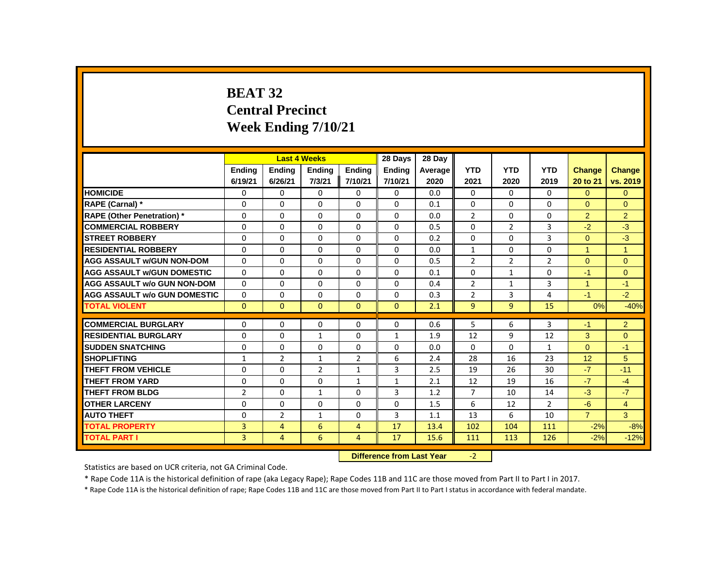# **BEAT 32 Central Precinct Week Ending 7/10/21**

|                                     |                |                | <b>Last 4 Weeks</b>              |                | 28 Days       | 28 Day  |                |                |                |                |                |
|-------------------------------------|----------------|----------------|----------------------------------|----------------|---------------|---------|----------------|----------------|----------------|----------------|----------------|
|                                     | <b>Ending</b>  | <b>Ending</b>  | <b>Ending</b>                    | <b>Ending</b>  | <b>Ending</b> | Average | <b>YTD</b>     | <b>YTD</b>     | <b>YTD</b>     | <b>Change</b>  | Change         |
|                                     | 6/19/21        | 6/26/21        | 7/3/21                           | 7/10/21        | 7/10/21       | 2020    | 2021           | 2020           | 2019           | 20 to 21       | vs. 2019       |
| <b>HOMICIDE</b>                     | 0              | 0              | 0                                | 0              | 0             | 0.0     | 0              | $\mathbf{0}$   | $\mathbf{0}$   | $\Omega$       | $\mathbf{0}$   |
| RAPE (Carnal) *                     | 0              | $\Omega$       | $\Omega$                         | $\Omega$       | 0             | 0.1     | $\Omega$       | $\Omega$       | $\Omega$       | $\Omega$       | $\Omega$       |
| <b>RAPE (Other Penetration)</b> *   | 0              | 0              | $\Omega$                         | $\Omega$       | $\Omega$      | 0.0     | $\overline{2}$ | $\Omega$       | 0              | $\overline{2}$ | $\overline{2}$ |
| <b>COMMERCIAL ROBBERY</b>           | $\Omega$       | $\Omega$       | $\Omega$                         | $\Omega$       | 0             | 0.5     | $\Omega$       | $\overline{2}$ | 3              | $-2$           | $-3$           |
| <b>STREET ROBBERY</b>               | 0              | 0              | 0                                | $\Omega$       | 0             | 0.2     | $\Omega$       | 0              | 3              | $\Omega$       | $-3$           |
| <b>RESIDENTIAL ROBBERY</b>          | $\Omega$       | $\Omega$       | $\Omega$                         | $\Omega$       | 0             | 0.0     | $\mathbf{1}$   | $\Omega$       | $\Omega$       | $\mathbf{1}$   | $\overline{1}$ |
| <b>AGG ASSAULT w/GUN NON-DOM</b>    | $\Omega$       | $\Omega$       | $\Omega$                         | $\Omega$       | $\Omega$      | 0.5     | $\overline{2}$ | $\overline{2}$ | $\overline{2}$ | $\Omega$       | $\mathbf{0}$   |
| <b>AGG ASSAULT w/GUN DOMESTIC</b>   | $\Omega$       | $\Omega$       | $\Omega$                         | $\Omega$       | 0             | 0.1     | $\Omega$       | $\mathbf{1}$   | $\Omega$       | $-1$           | $\mathbf{0}$   |
| <b>AGG ASSAULT w/o GUN NON-DOM</b>  | $\Omega$       | 0              | $\Omega$                         | 0              | 0             | 0.4     | $\overline{2}$ | $\mathbf{1}$   | 3              | $\mathbf{1}$   | $-1$           |
| <b>AGG ASSAULT w/o GUN DOMESTIC</b> | $\Omega$       | $\Omega$       | $\Omega$                         | $\Omega$       | $\Omega$      | 0.3     | $\overline{2}$ | 3              | 4              | $-1$           | $-2$           |
| <b>TOTAL VIOLENT</b>                | $\mathbf{0}$   | $\mathbf{0}$   | $\mathbf{0}$                     | $\mathbf{0}$   | $\mathbf{0}$  | 2.1     | 9              | 9              | 15             | 0%             | $-40%$         |
| <b>COMMERCIAL BURGLARY</b>          | 0              | 0              | 0                                | 0              | 0             | 0.6     | 5              | 6              | 3              | $-1$           | $\overline{2}$ |
| <b>RESIDENTIAL BURGLARY</b>         | $\Omega$       | $\Omega$       | $\mathbf{1}$                     | $\Omega$       | $\mathbf{1}$  | 1.9     | 12             | 9              | 12             | 3              | $\Omega$       |
| <b>SUDDEN SNATCHING</b>             | 0              | $\Omega$       | $\Omega$                         | 0              | 0             | 0.0     | 0              | 0              | $\mathbf{1}$   | $\Omega$       | $-1$           |
| <b>SHOPLIFTING</b>                  | 1              | $\overline{2}$ | $\mathbf{1}$                     | $\overline{2}$ | 6             | 2.4     | 28             | 16             | 23             | 12             | 5              |
| <b>THEFT FROM VEHICLE</b>           | $\Omega$       | $\Omega$       | $\overline{2}$                   | $\mathbf{1}$   | 3             | 2.5     | 19             | 26             | 30             | $-7$           | $-11$          |
| <b>THEFT FROM YARD</b>              | $\Omega$       | $\Omega$       | $\Omega$                         |                | $\mathbf{1}$  | 2.1     | 12             | 19             | 16             | $-7$           | $-4$           |
| <b>THEFT FROM BLDG</b>              |                |                |                                  | $\mathbf{1}$   |               |         |                |                |                | $-3$           | $-7$           |
|                                     | $\overline{2}$ | 0              | $\mathbf{1}$                     | 0              | 3             | 1.2     | $\overline{7}$ | 10             | 14             |                |                |
| <b>OTHER LARCENY</b>                | $\Omega$       | $\Omega$       | $\Omega$                         | $\Omega$       | 0             | 1.5     | 6              | 12             | $\overline{2}$ | $-6$           | $\overline{4}$ |
| <b>AUTO THEFT</b>                   | $\Omega$       | 2              | 1                                | $\Omega$       | 3             | 1.1     | 13             | 6              | 10             | $\overline{7}$ | $\overline{3}$ |
| <b>TOTAL PROPERTY</b>               | 3              | $\overline{4}$ | 6                                | $\overline{4}$ | 17            | 13.4    | 102            | 104            | 111            | $-2%$          | $-8%$          |
| <b>TOTAL PART I</b>                 | 3              | $\overline{4}$ | 6                                | 4              | 17            | 15.6    | 111            | 113            | 126            | $-2%$          | $-12%$         |
|                                     |                |                | <b>Difference from Last Year</b> |                | $-2$          |         |                |                |                |                |                |

Statistics are based on UCR criteria, not GA Criminal Code.

\* Rape Code 11A is the historical definition of rape (aka Legacy Rape); Rape Codes 11B and 11C are those moved from Part II to Part I in 2017.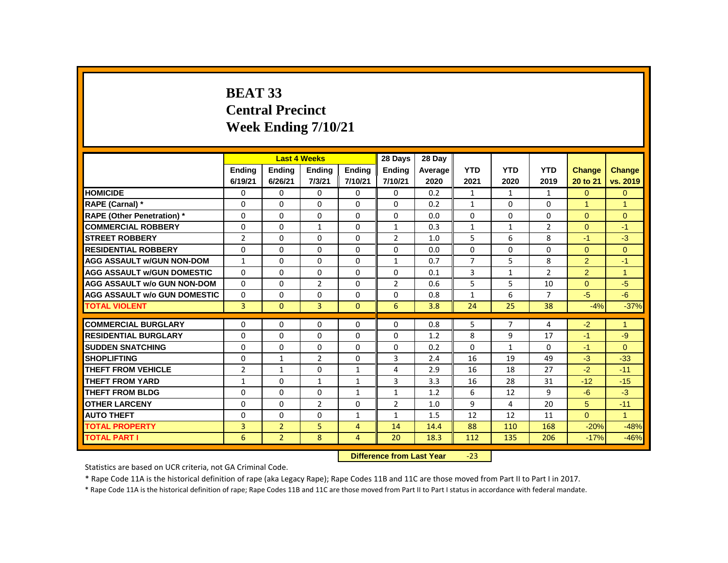# **BEAT 33 Central Precinct Week Ending 7/10/21**

|                                     |                |                           | <b>Last 4 Weeks</b> |                | 28 Days        | 28 Dav  |                |                |                |                      |                |
|-------------------------------------|----------------|---------------------------|---------------------|----------------|----------------|---------|----------------|----------------|----------------|----------------------|----------------|
|                                     | <b>Ending</b>  | <b>Ending</b>             | <b>Ending</b>       | <b>Ending</b>  | <b>Ending</b>  | Average | <b>YTD</b>     | <b>YTD</b>     | <b>YTD</b>     | Change               | Change         |
|                                     | 6/19/21        | 6/26/21                   | 7/3/21              | 7/10/21        | 7/10/21        | 2020    | 2021           | 2020           | 2019           | 20 to 21             | vs. 2019       |
| <b>HOMICIDE</b>                     | 0              | $\Omega$                  | 0                   | 0              | 0              | 0.2     | $\mathbf{1}$   | $\mathbf{1}$   | $\mathbf{1}$   | $\Omega$             | $\mathbf{0}$   |
| RAPE (Carnal) *                     | 0              | $\Omega$                  | $\Omega$            | $\Omega$       | 0              | 0.2     | $\mathbf{1}$   | $\Omega$       | $\Omega$       | $\blacktriangleleft$ | $\overline{1}$ |
| <b>RAPE (Other Penetration)</b> *   | $\Omega$       | $\Omega$                  | $\Omega$            | $\Omega$       | $\Omega$       | 0.0     | $\Omega$       | $\Omega$       | $\Omega$       | $\Omega$             | $\Omega$       |
| <b>COMMERCIAL ROBBERY</b>           | $\Omega$       | $\Omega$                  | 1                   | $\Omega$       | 1              | 0.3     | $\mathbf{1}$   | $\mathbf{1}$   | $\overline{2}$ | $\Omega$             | $-1$           |
| <b>STREET ROBBERY</b>               | $\overline{2}$ | $\Omega$                  | $\Omega$            | $\Omega$       | $\overline{2}$ | 1.0     | 5              | 6              | 8              | $-1$                 | $-3$           |
| <b>RESIDENTIAL ROBBERY</b>          | $\Omega$       | $\Omega$                  | $\Omega$            | $\Omega$       | 0              | 0.0     | $\Omega$       | $\Omega$       | $\Omega$       | $\Omega$             | $\Omega$       |
| <b>AGG ASSAULT w/GUN NON-DOM</b>    | $\mathbf{1}$   | $\Omega$                  | $\Omega$            | $\Omega$       | $\mathbf{1}$   | 0.7     | $\overline{7}$ | 5              | 8              | $\overline{2}$       | $-1$           |
| <b>AGG ASSAULT W/GUN DOMESTIC</b>   | $\Omega$       | 0                         | 0                   | 0              | 0              | 0.1     | 3              | $\mathbf{1}$   | $\overline{2}$ | $\overline{2}$       | $\overline{1}$ |
| <b>AGG ASSAULT w/o GUN NON-DOM</b>  | $\Omega$       | $\Omega$                  | $\overline{2}$      | $\Omega$       | $\overline{2}$ | 0.6     | 5              | 5              | 10             | $\Omega$             | $-5$           |
| <b>AGG ASSAULT w/o GUN DOMESTIC</b> | $\Omega$       | 0                         | $\Omega$            | $\Omega$       | 0              | 0.8     | $\mathbf{1}$   | 6              | $\overline{7}$ | $-5$                 | $-6$           |
| <b>TOTAL VIOLENT</b>                | $\overline{3}$ | $\mathbf{0}$              | 3                   | $\mathbf{0}$   | 6              | 3.8     | 24             | 25             | 38             | $-4%$                | $-37%$         |
| <b>COMMERCIAL BURGLARY</b>          | $\Omega$       | $\Omega$                  | $\Omega$            | $\Omega$       | 0              | 0.8     | 5              | $\overline{7}$ | 4              | $-2$                 | $\overline{1}$ |
| <b>RESIDENTIAL BURGLARY</b>         | $\Omega$       | $\Omega$                  | $\Omega$            | $\Omega$       | 0              | 1.2     | 8              | 9              | 17             | $-1$                 | $-9$           |
| <b>SUDDEN SNATCHING</b>             | $\Omega$       | 0                         | $\Omega$            | $\Omega$       | 0              | 0.2     | $\Omega$       | $\mathbf{1}$   | 0              | $-1$                 | $\Omega$       |
| <b>SHOPLIFTING</b>                  | 0              | $\mathbf{1}$              | $\overline{2}$      | 0              | 3              | 2.4     | 16             | 19             | 49             | $-3$                 | $-33$          |
| <b>THEFT FROM VEHICLE</b>           | $\overline{2}$ | $\mathbf{1}$              | $\Omega$            | $\mathbf{1}$   | 4              | 2.9     | 16             | 18             | 27             | $-2$                 | $-11$          |
| <b>THEFT FROM YARD</b>              | 1              | 0                         | 1                   | 1              | 3              | 3.3     | 16             | 28             | 31             | $-12$                | $-15$          |
| <b>THEFT FROM BLDG</b>              | 0              | 0                         | $\Omega$            | $\mathbf{1}$   | $\mathbf{1}$   | 1.2     | 6              | 12             | 9              | $-6$                 | $-3$           |
| <b>OTHER LARCENY</b>                | $\Omega$       | $\Omega$                  | $\overline{2}$      | $\Omega$       | 2              | 1.0     | 9              | 4              | 20             | 5                    | $-11$          |
| <b>AUTO THEFT</b>                   | 0              | $\Omega$                  | $\Omega$            | $\mathbf{1}$   | $\mathbf{1}$   | 1.5     | 12             | 12             | 11             | $\Omega$             | $\mathbf{1}$   |
| <b>TOTAL PROPERTY</b>               | 3              | $\overline{2}$            | 5                   | $\overline{4}$ | 14             | 14.4    | 88             | 110            | 168            | $-20%$               | $-48%$         |
| <b>TOTAL PART I</b>                 | 6              | $\overline{2}$            | 8                   | $\overline{4}$ | 20             | 18.3    | 112            | 135            | 206            | $-17%$               | $-46%$         |
|                                     |                | Difference from Last Year |                     | $-22$          |                |         |                |                |                |                      |                |

 **Difference from Last Year** -23

Statistics are based on UCR criteria, not GA Criminal Code.

\* Rape Code 11A is the historical definition of rape (aka Legacy Rape); Rape Codes 11B and 11C are those moved from Part II to Part I in 2017.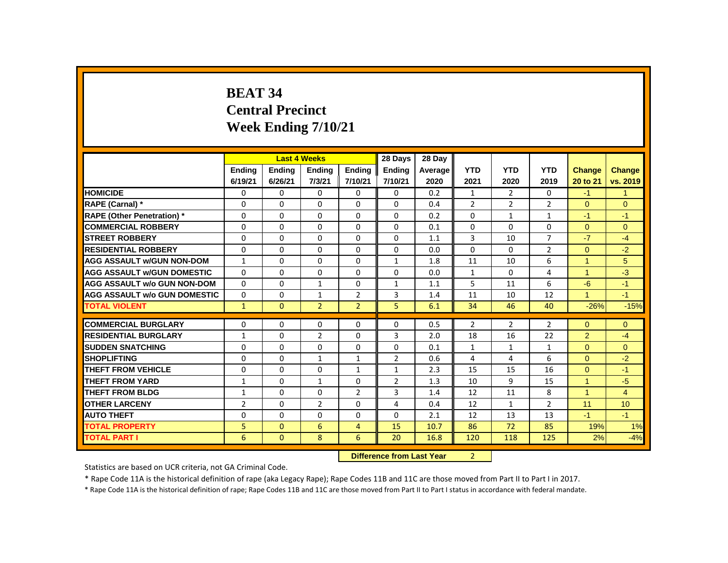# **BEAT 34 Central Precinct Week Ending 7/10/21**

|                                     |                |               | <b>Last 4 Weeks</b> |                | 28 Days                   | 28 Day  |                |                |                |                |                |
|-------------------------------------|----------------|---------------|---------------------|----------------|---------------------------|---------|----------------|----------------|----------------|----------------|----------------|
|                                     | <b>Endina</b>  | <b>Endina</b> | <b>Ending</b>       | <b>Endina</b>  | <b>Endina</b>             | Average | <b>YTD</b>     | <b>YTD</b>     | <b>YTD</b>     | <b>Change</b>  | Change         |
|                                     | 6/19/21        | 6/26/21       | 7/3/21              | 7/10/21        | 7/10/21                   | 2020    | 2021           | 2020           | 2019           | 20 to 21       | vs. 2019       |
| <b>HOMICIDE</b>                     | 0              | 0             | 0                   | $\mathbf{0}$   | $\mathbf{0}$              | 0.2     | $\mathbf{1}$   | 2              | 0              | $-1$           | $\mathbf{1}$   |
| RAPE (Carnal) *                     | 0              | $\Omega$      | $\Omega$            | $\Omega$       | $\Omega$                  | 0.4     | $\overline{2}$ | 2              | $\overline{2}$ | $\Omega$       | $\Omega$       |
| <b>RAPE (Other Penetration)</b> *   | 0              | 0             | 0                   | $\mathbf{0}$   | $\Omega$                  | 0.2     | $\mathbf{0}$   | $\mathbf{1}$   | $\mathbf{1}$   | $-1$           | $-1$           |
| <b>COMMERCIAL ROBBERY</b>           | $\Omega$       | $\mathbf{0}$  | $\Omega$            | $\mathbf{0}$   | $\mathbf{0}$              | 0.1     | $\Omega$       | $\Omega$       | $\Omega$       | $\Omega$       | $\Omega$       |
| <b>STREET ROBBERY</b>               | $\Omega$       | $\Omega$      | $\Omega$            | $\Omega$       | $\Omega$                  | 1.1     | 3              | 10             | $\overline{7}$ | $-7$           | $-4$           |
| <b>RESIDENTIAL ROBBERY</b>          | 0              | 0             | $\Omega$            | $\mathbf{0}$   | 0                         | 0.0     | $\Omega$       | 0              | $\overline{2}$ | $\overline{0}$ | $-2$           |
| <b>AGG ASSAULT w/GUN NON-DOM</b>    | $\mathbf{1}$   | 0             | $\Omega$            | $\mathbf{0}$   | $\mathbf{1}$              | 1.8     | 11             | 10             | 6              | 1              | 5              |
| <b>AGG ASSAULT W/GUN DOMESTIC</b>   | $\Omega$       | $\mathbf{0}$  | 0                   | $\mathbf{0}$   | 0                         | 0.0     | $\mathbf{1}$   | $\mathbf{0}$   | 4              | $\mathbf{1}$   | $-3$           |
| <b>AGG ASSAULT w/o GUN NON-DOM</b>  | $\Omega$       | $\mathbf{0}$  | $\mathbf{1}$        | $\mathbf{0}$   | $\mathbf{1}$              | 1.1     | 5              | 11             | 6              | $-6$           | $-1$           |
| <b>AGG ASSAULT w/o GUN DOMESTIC</b> | $\Omega$       | 0             | $\mathbf{1}$        | $\overline{2}$ | 3                         | 1.4     | 11             | 10             | 12             | $\mathbf{1}$   | $-1$           |
| <b>TOTAL VIOLENT</b>                | $\mathbf{1}$   | $\mathbf{0}$  | $\overline{2}$      | $\overline{2}$ | 5                         | 6.1     | 34             | 46             | 40             | $-26%$         | $-15%$         |
| <b>COMMERCIAL BURGLARY</b>          | 0              | $\Omega$      | $\Omega$            | 0              | $\Omega$                  | 0.5     | $\overline{2}$ | $\overline{2}$ | $\overline{2}$ | $\Omega$       | $\mathbf{0}$   |
| <b>RESIDENTIAL BURGLARY</b>         | 1              | $\Omega$      | $\overline{2}$      | $\Omega$       | 3                         | 2.0     | 18             | 16             | 22             | $\overline{2}$ | $-4$           |
| <b>SUDDEN SNATCHING</b>             | 0              | 0             | $\Omega$            | $\mathbf{0}$   | $\Omega$                  | 0.1     | $\mathbf{1}$   | $\mathbf{1}$   | $\mathbf{1}$   | $\Omega$       | $\Omega$       |
| <b>SHOPLIFTING</b>                  | 0              | $\mathbf{0}$  | 1                   | $\mathbf{1}$   | $\overline{2}$            | 0.6     | 4              | 4              | 6              | $\Omega$       | $-2$           |
| <b>THEFT FROM VEHICLE</b>           | 0              | $\Omega$      | $\Omega$            | $\mathbf{1}$   | $\mathbf{1}$              | 2.3     | 15             | 15             | 16             | $\Omega$       | $-1$           |
| <b>THEFT FROM YARD</b>              | $\mathbf{1}$   | $\mathbf{0}$  | $\mathbf{1}$        | $\mathbf{0}$   | $\overline{2}$            | 1.3     | 10             | 9              | 15             | $\mathbf{1}$   | $-5$           |
| <b>THEFT FROM BLDG</b>              | 1              | $\mathbf{0}$  | $\Omega$            | $\overline{2}$ | 3                         | 1.4     | 12             | 11             | 8              | $\overline{1}$ | $\overline{4}$ |
| <b>OTHER LARCENY</b>                | $\overline{2}$ | $\mathbf{0}$  | $\overline{2}$      | $\Omega$       | $\overline{4}$            | 0.4     | 12             | $\mathbf{1}$   | $\overline{2}$ | 11             | 10             |
| <b>AUTO THEFT</b>                   | 0              | $\mathbf{0}$  | $\Omega$            | $\mathbf{0}$   | $\mathbf{0}$              | 2.1     | 12             | 13             | 13             | $-1$           | $-1$           |
| <b>TOTAL PROPERTY</b>               | 5              | $\Omega$      | 6                   | $\overline{4}$ | 15                        | 10.7    | 86             | 72             | 85             | 19%            | 1%             |
| <b>TOTAL PART I</b>                 | 6              | $\mathbf{0}$  | 8                   | 6              | 20                        | 16.8    | 120            | 118            | 125            | 2%             | $-4%$          |
|                                     |                |               |                     |                | Difference from Loot Vear |         | $\mathcal{D}$  |                |                |                |                |

**Difference from Last Year** 

Statistics are based on UCR criteria, not GA Criminal Code.

\* Rape Code 11A is the historical definition of rape (aka Legacy Rape); Rape Codes 11B and 11C are those moved from Part II to Part I in 2017.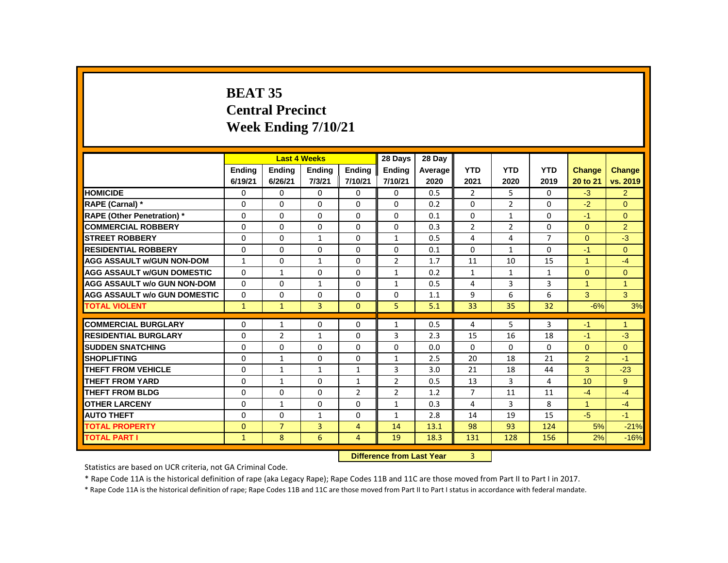# **BEAT 35 Central Precinct Week Ending 7/10/21**

|                                     |               |                | <b>Last 4 Weeks</b> |                                           | 28 Days        | 28 Day  |                |                |                |                |                |
|-------------------------------------|---------------|----------------|---------------------|-------------------------------------------|----------------|---------|----------------|----------------|----------------|----------------|----------------|
|                                     | <b>Ending</b> | <b>Ending</b>  | <b>Ending</b>       | Ending                                    | <b>Ending</b>  | Average | <b>YTD</b>     | <b>YTD</b>     | <b>YTD</b>     | <b>Change</b>  | <b>Change</b>  |
|                                     | 6/19/21       | 6/26/21        | 7/3/21              | 7/10/21                                   | 7/10/21        | 2020    | 2021           | 2020           | 2019           | 20 to 21       | vs. 2019       |
| <b>HOMICIDE</b>                     | 0             | 0              | 0                   | $\mathbf{0}$                              | 0              | 0.5     | $\overline{2}$ | 5              | 0              | $-3$           | $\overline{2}$ |
| RAPE (Carnal) *                     | 0             | $\mathbf{0}$   | $\Omega$            | $\mathbf{0}$                              | $\Omega$       | 0.2     | $\Omega$       | $\overline{2}$ | $\Omega$       | $-2$           | $\Omega$       |
| <b>RAPE (Other Penetration)</b> *   | 0             | 0              | $\Omega$            | 0                                         | $\Omega$       | 0.1     | $\mathbf{0}$   | $\mathbf{1}$   | 0              | $-1$           | $\Omega$       |
| <b>COMMERCIAL ROBBERY</b>           | $\Omega$      | $\mathbf{0}$   | $\Omega$            | $\mathbf{0}$                              | $\mathbf{0}$   | 0.3     | $\overline{2}$ | $\overline{2}$ | $\Omega$       | $\Omega$       | 2              |
| <b>STREET ROBBERY</b>               | 0             | $\Omega$       | $\mathbf{1}$        | $\Omega$                                  | $\mathbf{1}$   | 0.5     | 4              | 4              | $\overline{7}$ | $\Omega$       | $-3$           |
| <b>RESIDENTIAL ROBBERY</b>          | 0             | $\Omega$       | $\Omega$            | $\Omega$                                  | 0              | 0.1     | $\mathbf{0}$   | $\mathbf{1}$   | 0              | $-1$           | $\Omega$       |
| <b>AGG ASSAULT w/GUN NON-DOM</b>    | $\mathbf{1}$  | 0              | $\mathbf{1}$        | $\mathbf{0}$                              | 2              | 1.7     | 11             | 10             | 15             | 1              | $-4$           |
| <b>AGG ASSAULT W/GUN DOMESTIC</b>   | 0             | $\mathbf{1}$   | $\Omega$            | $\Omega$                                  | $\mathbf{1}$   | 0.2     | $\mathbf{1}$   | $\mathbf{1}$   | $\mathbf{1}$   | $\mathbf{0}$   | $\overline{0}$ |
| <b>AGG ASSAULT w/o GUN NON-DOM</b>  | $\Omega$      | $\Omega$       | $\mathbf{1}$        | $\Omega$                                  | $\mathbf{1}$   | 0.5     | 4              | 3              | 3              | $\mathbf{1}$   | $\overline{1}$ |
| <b>AGG ASSAULT w/o GUN DOMESTIC</b> | 0             | 0              | $\Omega$            | 0                                         | 0              | 1.1     | 9              | 6              | 6              | 3              | 3              |
| <b>TOTAL VIOLENT</b>                | $\mathbf{1}$  | $\mathbf{1}$   | 3                   | $\mathbf{0}$                              | 5              | 5.1     | 33             | 35             | 32             | $-6%$          | 3%             |
| <b>COMMERCIAL BURGLARY</b>          | 0             | $\mathbf{1}$   | $\Omega$            | 0                                         | 1              | 0.5     | 4              | 5              | 3              | $-1$           | $\mathbf{1}$   |
| <b>RESIDENTIAL BURGLARY</b>         | 0             | $\overline{2}$ | 1                   | $\Omega$                                  | 3              | 2.3     | 15             | 16             | 18             | $-1$           | $-3$           |
| <b>SUDDEN SNATCHING</b>             | 0             | 0              | $\Omega$            | $\mathbf{0}$                              | 0              | 0.0     | $\Omega$       | 0              | $\Omega$       | $\Omega$       | $\overline{0}$ |
| <b>SHOPLIFTING</b>                  | $\Omega$      | $\mathbf{1}$   | $\Omega$            | $\Omega$                                  | $\mathbf{1}$   | 2.5     | 20             | 18             | 21             | $\overline{2}$ | $-1$           |
| <b>THEFT FROM VEHICLE</b>           | 0             | $\mathbf{1}$   | $\mathbf{1}$        | $\mathbf{1}$                              | 3              | 3.0     | 21             | 18             | 44             | 3              | $-23$          |
| <b>THEFT FROM YARD</b>              | 0             | $\mathbf{1}$   | 0                   | $\mathbf{1}$                              | $\overline{2}$ | 0.5     | 13             | 3              | 4              | 10             | 9              |
| <b>THEFT FROM BLDG</b>              | 0             | 0              | 0                   | $\overline{2}$                            | $\overline{2}$ | 1.2     | $\overline{7}$ | 11             | 11             | $-4$           | $-4$           |
| <b>OTHER LARCENY</b>                | $\Omega$      | $\mathbf{1}$   | $\Omega$            | $\Omega$                                  | $\mathbf{1}$   | 0.3     | 4              | 3              | 8              | $\mathbf{1}$   | $-4$           |
| <b>AUTO THEFT</b>                   | $\Omega$      | $\Omega$       | $\mathbf{1}$        | $\mathbf{0}$                              | $\mathbf{1}$   | 2.8     | 14             | 19             | 15             | $-5$           | $-1$           |
| <b>TOTAL PROPERTY</b>               | $\Omega$      | $\overline{7}$ | 3                   | 4                                         | 14             | 13.1    | 98             | 93             | 124            | 5%             | $-21%$         |
| <b>TOTAL PART I</b>                 | $\mathbf{1}$  | 8              | 6                   | 4                                         | 19             | 18.3    | 131            | 128            | 156            | 2%             | $-16%$         |
|                                     |               |                |                     | Difference from Loot Vear<br>$\mathbf{P}$ |                |         |                |                |                |                |                |

**Difference from Last Year** 

Statistics are based on UCR criteria, not GA Criminal Code.

\* Rape Code 11A is the historical definition of rape (aka Legacy Rape); Rape Codes 11B and 11C are those moved from Part II to Part I in 2017.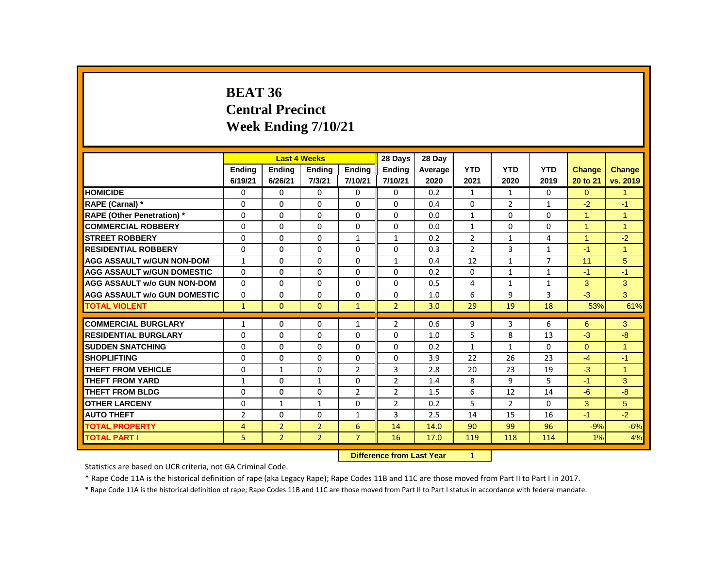# **BEAT 36 Central Precinct Week Ending 7/10/21**

|                                     |                          |                          | <b>Last 4 Weeks</b>     |                          | 28 Days                  | 28 Day          |                    |                    |                    |                           |                           |
|-------------------------------------|--------------------------|--------------------------|-------------------------|--------------------------|--------------------------|-----------------|--------------------|--------------------|--------------------|---------------------------|---------------------------|
|                                     | <b>Endina</b><br>6/19/21 | <b>Endina</b><br>6/26/21 | <b>Ending</b><br>7/3/21 | <b>Endina</b><br>7/10/21 | <b>Endina</b><br>7/10/21 | Average<br>2020 | <b>YTD</b><br>2021 | <b>YTD</b><br>2020 | <b>YTD</b><br>2019 | <b>Change</b><br>20 to 21 | <b>Change</b><br>vs. 2019 |
| <b>HOMICIDE</b>                     | 0                        | $\mathbf{0}$             | 0                       | 0                        | 0                        | 0.2             | $\mathbf{1}$       | $\mathbf{1}$       | 0                  | $\Omega$                  | $\mathbf{1}$              |
| RAPE (Carnal) *                     | 0                        | $\Omega$                 | $\Omega$                | $\Omega$                 | 0                        | 0.4             | $\Omega$           | $\overline{2}$     | $\mathbf{1}$       | $-2$                      | $-1$                      |
| <b>RAPE (Other Penetration)</b> *   | $\Omega$                 | 0                        | 0                       | 0                        | 0                        | 0.0             | 1                  | $\mathbf{0}$       | 0                  | $\blacktriangleleft$      | $\overline{1}$            |
| <b>COMMERCIAL ROBBERY</b>           | $\Omega$                 | $\Omega$                 | $\Omega$                | $\Omega$                 | 0                        | 0.0             | $\mathbf{1}$       | $\Omega$           | $\Omega$           | $\blacktriangleleft$      | $\overline{1}$            |
| <b>STREET ROBBERY</b>               | 0                        | $\Omega$                 | $\Omega$                | $\mathbf{1}$             | $\mathbf{1}$             | 0.2             | $\overline{2}$     | $\mathbf{1}$       | 4                  | $\mathbf{1}$              | $-2$                      |
| <b>RESIDENTIAL ROBBERY</b>          | $\Omega$                 | $\Omega$                 | $\Omega$                | $\Omega$                 | $\Omega$                 | 0.3             | 2                  | 3                  | $\mathbf{1}$       | $-1$                      | $\overline{1}$            |
| <b>AGG ASSAULT W/GUN NON-DOM</b>    | $\mathbf{1}$             | 0                        | 0                       | 0                        | 1                        | 0.4             | 12                 | $\mathbf{1}$       | $\overline{7}$     | 11                        | 5                         |
| <b>AGG ASSAULT W/GUN DOMESTIC</b>   | $\Omega$                 | $\Omega$                 | $\Omega$                | $\Omega$                 | 0                        | 0.2             | $\Omega$           | $\mathbf{1}$       | $\mathbf{1}$       | $-1$                      | $-1$                      |
| <b>AGG ASSAULT w/o GUN NON-DOM</b>  | $\Omega$                 | $\Omega$                 | $\Omega$                | $\Omega$                 | $\Omega$                 | 0.5             | 4                  | $\mathbf{1}$       | $\mathbf{1}$       | 3                         | 3                         |
| <b>AGG ASSAULT W/o GUN DOMESTIC</b> | $\Omega$                 | $\Omega$                 | $\Omega$                | $\Omega$                 | 0                        | 1.0             | 6                  | 9                  | 3                  | $-3$                      | 3                         |
| <b>TOTAL VIOLENT</b>                | $\mathbf{1}$             | $\mathbf{0}$             | $\mathbf{0}$            | $\mathbf{1}$             | $\overline{2}$           | 3.0             | 29                 | 19                 | 18                 | 53%                       | 61%                       |
| <b>COMMERCIAL BURGLARY</b>          | 1                        | $\Omega$                 | $\Omega$                | $\mathbf{1}$             | $\overline{2}$           | 0.6             | 9                  | 3                  | 6                  | 6                         | 3                         |
| <b>RESIDENTIAL BURGLARY</b>         | $\Omega$                 | $\Omega$                 | $\Omega$                | $\Omega$                 | 0                        | 1.0             | 5                  | 8                  | 13                 | $-3$                      | $-8$                      |
| <b>SUDDEN SNATCHING</b>             | $\Omega$                 | 0                        | $\Omega$                | 0                        | $\Omega$                 | 0.2             | $\mathbf{1}$       | $\mathbf{1}$       | 0                  | $\Omega$                  | $\overline{1}$            |
| <b>SHOPLIFTING</b>                  | 0                        | 0                        | $\Omega$                | $\Omega$                 | 0                        | 3.9             | 22                 | 26                 | 23                 | $-4$                      | $-1$                      |
| <b>THEFT FROM VEHICLE</b>           | $\Omega$                 | $\mathbf{1}$             | $\Omega$                | $\overline{2}$           | 3                        | 2.8             | 20                 | 23                 | 19                 | $-3$                      | $\overline{1}$            |
| <b>THEFT FROM YARD</b>              | $\mathbf{1}$             | 0                        | $\mathbf{1}$            | 0                        | $\overline{2}$           | 1.4             | 8                  | 9                  | 5.                 | $-1$                      | 3                         |
| <b>THEFT FROM BLDG</b>              | $\Omega$                 | 0                        | 0                       | 2                        | 2                        | 1.5             | 6                  | 12                 | 14                 | $-6$                      | $-8$                      |
| <b>OTHER LARCENY</b>                | 0                        | $\mathbf{1}$             | $\mathbf{1}$            | 0                        | $\overline{2}$           | 0.2             | 5                  | $\overline{2}$     | 0                  | 3                         | 5                         |
| <b>AUTO THEFT</b>                   | $\overline{2}$           | $\Omega$                 | $\Omega$                | $\mathbf{1}$             | 3                        | 2.5             | 14                 | 15                 | 16                 | $-1$                      | $-2$                      |
| <b>TOTAL PROPERTY</b>               | 4                        | $\overline{2}$           | $\overline{2}$          | 6                        | 14                       | 14.0            | 90                 | 99                 | 96                 | $-9%$                     | $-6%$                     |
| <b>TOTAL PART I</b>                 | 5                        | $\overline{2}$           | $\overline{2}$          | $\overline{7}$           | 16                       | 17.0            | 119                | 118                | 114                | 1%                        | 4%                        |
|                                     |                          |                          |                         |                          |                          |                 |                    |                    |                    |                           |                           |

**Difference from Last Year** 1

Statistics are based on UCR criteria, not GA Criminal Code.

\* Rape Code 11A is the historical definition of rape (aka Legacy Rape); Rape Codes 11B and 11C are those moved from Part II to Part I in 2017.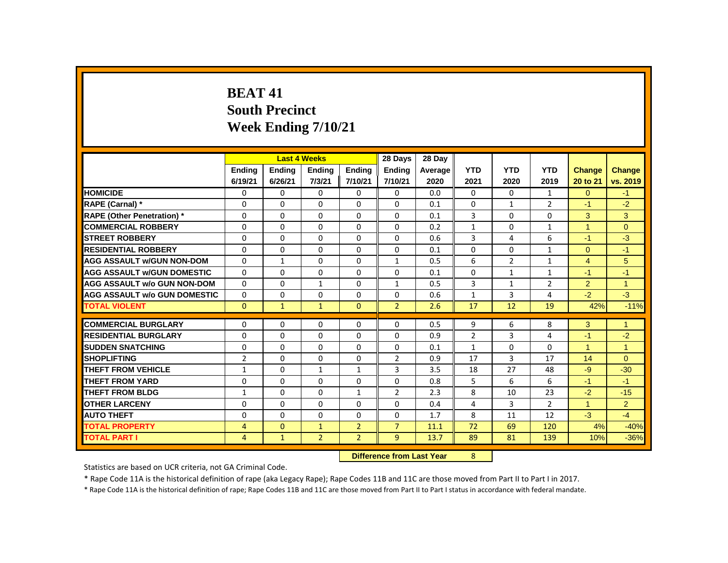# **BEAT 41 South Precinct Week Ending 7/10/21**

|                                     |                |                           | <b>Last 4 Weeks</b> |                | 28 Days        | 28 Dav  |                |                |                |                      |                      |
|-------------------------------------|----------------|---------------------------|---------------------|----------------|----------------|---------|----------------|----------------|----------------|----------------------|----------------------|
|                                     | <b>Ending</b>  | <b>Ending</b>             | <b>Ending</b>       | <b>Ending</b>  | <b>Ending</b>  | Average | <b>YTD</b>     | <b>YTD</b>     | <b>YTD</b>     | <b>Change</b>        | <b>Change</b>        |
|                                     | 6/19/21        | 6/26/21                   | 7/3/21              | 7/10/21        | 7/10/21        | 2020    | 2021           | 2020           | 2019           | 20 to 21             | vs. 2019             |
| <b>HOMICIDE</b>                     | 0              | $\Omega$                  | $\Omega$            | $\mathbf{0}$   | $\Omega$       | 0.0     | $\mathbf{0}$   | $\Omega$       | $\mathbf{1}$   | $\Omega$             | $-1$                 |
| RAPE (Carnal) *                     | 0              | $\Omega$                  | $\Omega$            | $\Omega$       | $\mathbf{0}$   | 0.1     | $\Omega$       | $\mathbf{1}$   | $\overline{2}$ | $-1$                 | $-2$                 |
| <b>RAPE (Other Penetration) *</b>   | $\Omega$       | $\Omega$                  | $\Omega$            | $\Omega$       | $\Omega$       | 0.1     | 3              | $\Omega$       | $\Omega$       | 3                    | 3                    |
| <b>COMMERCIAL ROBBERY</b>           | $\Omega$       | $\Omega$                  | $\Omega$            | $\Omega$       | $\mathbf{0}$   | 0.2     | $\mathbf{1}$   | $\Omega$       | $\mathbf{1}$   | $\overline{1}$       | $\Omega$             |
| <b>STREET ROBBERY</b>               | $\Omega$       | $\Omega$                  | $\Omega$            | $\Omega$       | $\Omega$       | 0.6     | 3              | 4              | 6              | $-1$                 | $-3$                 |
| <b>RESIDENTIAL ROBBERY</b>          | 0              | $\Omega$                  | $\Omega$            | $\Omega$       | $\Omega$       | 0.1     | $\Omega$       | $\Omega$       | $\mathbf{1}$   | $\Omega$             | $-1$                 |
| <b>AGG ASSAULT W/GUN NON-DOM</b>    | 0              | $\mathbf{1}$              | $\Omega$            | $\Omega$       | 1              | 0.5     | 6              | $\overline{2}$ | $\mathbf{1}$   | $\overline{4}$       | 5                    |
| <b>AGG ASSAULT W/GUN DOMESTIC</b>   | $\Omega$       | $\Omega$                  | $\Omega$            | $\Omega$       | $\Omega$       | 0.1     | $\Omega$       | $\mathbf{1}$   | $\mathbf{1}$   | $-1$                 | $-1$                 |
| <b>AGG ASSAULT w/o GUN NON-DOM</b>  | $\Omega$       | $\Omega$                  | $\mathbf{1}$        | $\Omega$       | 1              | 0.5     | 3              | $\mathbf{1}$   | $\overline{2}$ | $\overline{2}$       | $\overline{1}$       |
| <b>AGG ASSAULT W/o GUN DOMESTIC</b> | 0              | $\Omega$                  | $\Omega$            | $\Omega$       | $\Omega$       | 0.6     | $\mathbf{1}$   | 3              | 4              | $-2$                 | $-3$                 |
| <b>TOTAL VIOLENT</b>                | $\Omega$       | $\mathbf{1}$              | $\mathbf{1}$        | $\Omega$       | $\overline{2}$ | 2.6     | 17             | 12             | 19             | 42%                  | $-11%$               |
| <b>COMMERCIAL BURGLARY</b>          | 0              | $\Omega$                  | $\Omega$            | $\Omega$       | $\Omega$       | 0.5     | 9              | 6              | 8              | 3                    | $\overline{1}$       |
| <b>RESIDENTIAL BURGLARY</b>         | 0              | $\Omega$                  | $\Omega$            | $\Omega$       | $\mathbf{0}$   | 0.9     | $\overline{2}$ | $\overline{3}$ | 4              | $-1$                 | $-2$                 |
| <b>SUDDEN SNATCHING</b>             | $\mathbf{0}$   | $\Omega$                  | $\Omega$            | $\Omega$       | $\Omega$       | 0.1     | $\mathbf{1}$   | $\Omega$       | $\Omega$       | $\blacktriangleleft$ | $\blacktriangleleft$ |
| <b>SHOPLIFTING</b>                  | $\overline{2}$ | $\Omega$                  | $\Omega$            | $\Omega$       | $\overline{2}$ | 0.9     | 17             | $\overline{3}$ | 17             | 14                   | $\Omega$             |
| <b>THEFT FROM VEHICLE</b>           | $\mathbf{1}$   | $\Omega$                  | $\mathbf{1}$        | $\mathbf{1}$   | 3              | 3.5     | 18             | 27             | 48             | $-9$                 | $-30$                |
| <b>THEFT FROM YARD</b>              | $\mathbf{0}$   | 0                         | 0                   | $\Omega$       | $\Omega$       | 0.8     | 5              | 6              | 6              | $-1$                 | $-1$                 |
| <b>THEFT FROM BLDG</b>              | $\mathbf{1}$   | $\Omega$                  | $\Omega$            | $\mathbf{1}$   | $\overline{2}$ | 2.3     | 8              | 10             | 23             | $-2$                 | $-15$                |
| <b>OTHER LARCENY</b>                | $\Omega$       | $\Omega$                  | $\Omega$            | $\Omega$       | $\Omega$       | 0.4     | 4              | $\overline{3}$ | $\overline{2}$ | $\blacktriangleleft$ | $\overline{2}$       |
| <b>AUTO THEFT</b>                   | $\Omega$       | $\Omega$                  | $\Omega$            | $\Omega$       | $\mathbf{0}$   | 1.7     | 8              | 11             | 12             | $-3$                 | $-4$                 |
| <b>TOTAL PROPERTY</b>               | 4              | $\mathbf{0}$              | $\mathbf{1}$        | $\overline{2}$ | $\overline{7}$ | 11.1    | 72             | 69             | 120            | 4%                   | $-40%$               |
| <b>TOTAL PART I</b>                 | $\overline{4}$ | $\mathbf{1}$              | 2 <sup>2</sup>      | 2 <sup>1</sup> | $\overline{9}$ | 13.7    | 89             | 81             | 139            | 10%                  | $-36%$               |
|                                     |                | Difference from Last Vear |                     | $\Omega$       |                |         |                |                |                |                      |                      |

 **Difference from Last Year** 8

Statistics are based on UCR criteria, not GA Criminal Code.

\* Rape Code 11A is the historical definition of rape (aka Legacy Rape); Rape Codes 11B and 11C are those moved from Part II to Part I in 2017.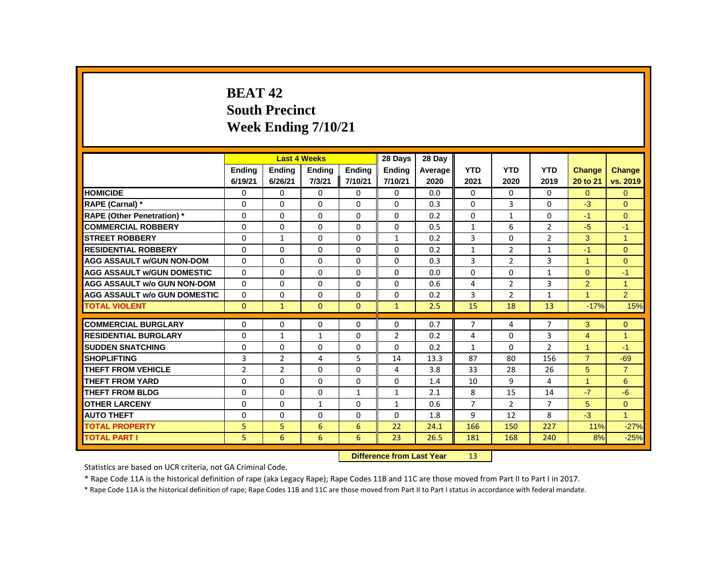# **BEAT 42 South Precinct Week Ending 7/10/21**

|                                     |                |                | <b>Last 4 Weeks</b>              |               | 28 Days        | 28 Day  |                |                |                |                      |                |
|-------------------------------------|----------------|----------------|----------------------------------|---------------|----------------|---------|----------------|----------------|----------------|----------------------|----------------|
|                                     | <b>Ending</b>  | <b>Ending</b>  | <b>Ending</b>                    | <b>Ending</b> | <b>Ending</b>  | Average | <b>YTD</b>     | <b>YTD</b>     | <b>YTD</b>     | <b>Change</b>        | Change         |
|                                     | 6/19/21        | 6/26/21        | 7/3/21                           | 7/10/21       | 7/10/21        | 2020    | 2021           | 2020           | 2019           | 20 to 21             | vs. 2019       |
| <b>HOMICIDE</b>                     | 0              | 0              | 0                                | 0             | 0              | 0.0     | 0              | 0              | 0              | $\overline{0}$       | $\mathbf{0}$   |
| RAPE (Carnal) *                     | 0              | 0              | 0                                | 0             | 0              | 0.3     | 0              | 3              | 0              | $-3$                 | $\Omega$       |
| <b>RAPE (Other Penetration)*</b>    | $\Omega$       | $\Omega$       | $\Omega$                         | $\Omega$      | $\Omega$       | 0.2     | $\Omega$       | $\mathbf{1}$   | $\Omega$       | $-1$                 | $\Omega$       |
| <b>COMMERCIAL ROBBERY</b>           | 0              | 0              | 0                                | 0             | 0              | 0.5     | $\mathbf{1}$   | 6              | $\overline{2}$ | $-5$                 | $-1$           |
| <b>STREET ROBBERY</b>               | 0              | 1              | 0                                | 0             | $\mathbf{1}$   | 0.2     | 3              | $\mathbf{0}$   | $\overline{2}$ | 3                    | $\overline{1}$ |
| <b>RESIDENTIAL ROBBERY</b>          | 0              | 0              | $\Omega$                         | 0             | 0              | 0.2     | $\mathbf{1}$   | $\overline{2}$ | $\mathbf{1}$   | $-1$                 | $\Omega$       |
| <b>AGG ASSAULT w/GUN NON-DOM</b>    | $\Omega$       | $\Omega$       | $\Omega$                         | $\Omega$      | $\Omega$       | 0.3     | 3              | $\overline{2}$ | 3              | $\mathbf{1}$         | $\Omega$       |
| <b>AGG ASSAULT w/GUN DOMESTIC</b>   | $\Omega$       | $\Omega$       | $\Omega$                         | $\Omega$      | 0              | 0.0     | $\Omega$       | 0              | $\mathbf{1}$   | $\Omega$             | $-1$           |
| <b>AGG ASSAULT w/o GUN NON-DOM</b>  | $\Omega$       | 0              | 0                                | 0             | 0              | 0.6     | 4              | $\overline{2}$ | 3              | $\overline{2}$       | $\mathbf{1}$   |
| <b>AGG ASSAULT w/o GUN DOMESTIC</b> | 0              | 0              | $\Omega$                         | 0             | $\Omega$       | 0.2     | 3              | $\overline{2}$ | $\mathbf{1}$   | $\blacktriangleleft$ | $\overline{2}$ |
| <b>TOTAL VIOLENT</b>                | $\Omega$       | $\mathbf{1}$   | $\mathbf{0}$                     | $\mathbf{0}$  | $\mathbf{1}$   | 2.5     | 15             | 18             | 13             | $-17%$               | 15%            |
| <b>COMMERCIAL BURGLARY</b>          | 0              | 0              | 0                                | 0             | 0              | 0.7     | $\overline{7}$ | 4              | 7              | 3                    | $\mathbf{0}$   |
| <b>RESIDENTIAL BURGLARY</b>         | 0              | $\mathbf{1}$   | $\mathbf{1}$                     | $\Omega$      | $\overline{2}$ | 0.2     | 4              | $\Omega$       | 3              | $\overline{4}$       | $\mathbf{1}$   |
| <b>SUDDEN SNATCHING</b>             | 0              | $\Omega$       | $\Omega$                         | $\Omega$      | 0              | 0.2     | $\mathbf{1}$   | $\Omega$       | $\overline{2}$ | $\blacktriangleleft$ | $-1$           |
| <b>SHOPLIFTING</b>                  | 3              | $\overline{2}$ | 4                                | 5             | 14             | 13.3    | 87             | 80             | 156            | $\overline{7}$       | $-69$          |
| <b>THEFT FROM VEHICLE</b>           | $\overline{2}$ | $\overline{2}$ | $\Omega$                         | $\Omega$      | 4              | 3.8     | 33             | 28             | 26             | 5                    | $\overline{7}$ |
| <b>THEFT FROM YARD</b>              | $\Omega$       | $\Omega$       | $\Omega$                         | $\Omega$      | $\Omega$       | 1.4     | 10             | 9              | 4              | $\mathbf{1}$         | 6              |
| <b>THEFT FROM BLDG</b>              | 0              | $\Omega$       | $\Omega$                         | $\mathbf{1}$  | $\mathbf{1}$   | 2.1     | 8              | 15             | 14             | $-7$                 | $-6$           |
| <b>OTHER LARCENY</b>                | 0              | 0              | $\mathbf{1}$                     | 0             | $\mathbf{1}$   | 0.6     | $\overline{7}$ | $\overline{2}$ | 7              | 5                    | $\mathbf{0}$   |
| <b>AUTO THEFT</b>                   | 0              | 0              | 0                                | 0             | 0              | 1.8     | 9              | 12             | 8              | $-3$                 | $\mathbf{1}$   |
| <b>TOTAL PROPERTY</b>               | 5              | 5              | 6                                | 6             | 22             | 24.1    | 166            | 150            | 227            | 11%                  | $-27%$         |
| <b>TOTAL PART I</b>                 | 5              | 6              | 6                                | 6             | 23             | 26.5    | 181            | 168            | 240            | 8%                   | $-25%$         |
|                                     |                |                | <b>Difference from Last Year</b> |               | 13             |         |                |                |                |                      |                |

Statistics are based on UCR criteria, not GA Criminal Code.

\* Rape Code 11A is the historical definition of rape (aka Legacy Rape); Rape Codes 11B and 11C are those moved from Part II to Part I in 2017.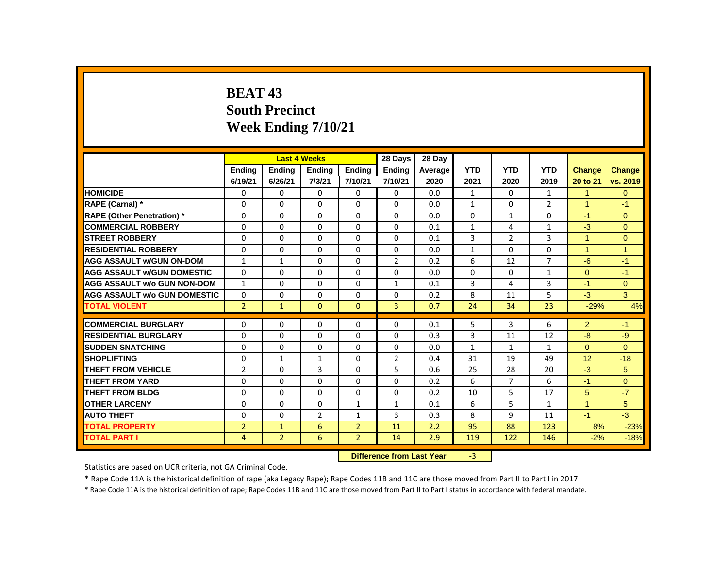# **BEAT 43 South Precinct Week Ending 7/10/21**

|                                     |                |                | <b>Last 4 Weeks</b> |                | 28 Days                   | 28 Day  |              |                |                |              |                |
|-------------------------------------|----------------|----------------|---------------------|----------------|---------------------------|---------|--------------|----------------|----------------|--------------|----------------|
|                                     | <b>Ending</b>  | <b>Ending</b>  | <b>Ending</b>       | <b>Ending</b>  | <b>Ending</b>             | Average | <b>YTD</b>   | <b>YTD</b>     | <b>YTD</b>     | Change       | <b>Change</b>  |
|                                     | 6/19/21        | 6/26/21        | 7/3/21              | 7/10/21        | 7/10/21                   | 2020    | 2021         | 2020           | 2019           | 20 to 21     | vs. 2019       |
| <b>HOMICIDE</b>                     | 0              | $\mathbf{0}$   | 0                   | $\mathbf{0}$   | 0                         | 0.0     | $\mathbf{1}$ | $\mathbf{0}$   | $\mathbf{1}$   | $\mathbf{1}$ | $\overline{0}$ |
| RAPE (Carnal) *                     | 0              | 0              | 0                   | $\mathbf{0}$   | 0                         | 0.0     | $\mathbf{1}$ | 0              | $\overline{2}$ | 1            | $-1$           |
| <b>RAPE (Other Penetration)</b> *   | 0              | $\mathbf{0}$   | $\Omega$            | $\mathbf{0}$   | 0                         | 0.0     | $\mathbf{0}$ | $\mathbf{1}$   | 0              | $-1$         | $\mathbf{0}$   |
| <b>COMMERCIAL ROBBERY</b>           | $\Omega$       | $\mathbf{0}$   | $\Omega$            | $\mathbf{0}$   | $\mathbf{0}$              | 0.1     | $\mathbf{1}$ | 4              | $\mathbf{1}$   | $-3$         | $\Omega$       |
| <b>STREET ROBBERY</b>               | 0              | $\Omega$       | $\Omega$            | 0              | $\Omega$                  | 0.1     | 3            | $\overline{2}$ | 3              | $\mathbf{1}$ | $\Omega$       |
| <b>RESIDENTIAL ROBBERY</b>          | 0              | $\Omega$       | $\Omega$            | $\Omega$       | $\Omega$                  | 0.0     | $\mathbf{1}$ | $\Omega$       | $\Omega$       | 1            | $\mathbf{1}$   |
| <b>AGG ASSAULT w/GUN ON-DOM</b>     | $\mathbf{1}$   | $\mathbf{1}$   | $\Omega$            | $\Omega$       | $\overline{2}$            | 0.2     | 6            | 12             | $\overline{7}$ | $-6$         | $-1$           |
| <b>AGG ASSAULT W/GUN DOMESTIC</b>   | $\mathbf{0}$   | $\mathbf{0}$   | $\Omega$            | $\mathbf{0}$   | $\Omega$                  | 0.0     | $\Omega$     | $\Omega$       | $\mathbf{1}$   | $\Omega$     | $-1$           |
| <b>AGG ASSAULT w/o GUN NON-DOM</b>  | $\mathbf{1}$   | $\Omega$       | $\Omega$            | $\Omega$       | $\mathbf{1}$              | 0.1     | 3            | 4              | 3              | $-1$         | $\overline{0}$ |
| <b>AGG ASSAULT w/o GUN DOMESTIC</b> | 0              | 0              | 0                   | 0              | $\Omega$                  | 0.2     | 8            | 11             | 5              | $-3$         | 3              |
| <b>TOTAL VIOLENT</b>                | $\overline{2}$ | $\mathbf{1}$   | $\Omega$            | $\mathbf{0}$   | $\overline{3}$            | 0.7     | 24           | 34             | 23             | $-29%$       | 4%             |
| <b>COMMERCIAL BURGLARY</b>          | 0              | $\Omega$       | $\Omega$            | $\Omega$       | $\Omega$                  | 0.1     | 5            | 3              | 6              | 2            | $-1$           |
| <b>RESIDENTIAL BURGLARY</b>         | 0              | 0              | 0                   | $\mathbf{0}$   | 0                         | 0.3     | 3            | 11             | 12             | $-8$         | $-9$           |
| <b>SUDDEN SNATCHING</b>             | 0              | 0              | $\Omega$            | $\mathbf{0}$   | $\Omega$                  | 0.0     | $\mathbf{1}$ | $\mathbf{1}$   | $\mathbf{1}$   | $\Omega$     | $\Omega$       |
| <b>SHOPLIFTING</b>                  | 0              | $\mathbf{1}$   | 1                   | $\Omega$       | $\overline{2}$            | 0.4     | 31           | 19             | 49             | 12           | $-18$          |
| <b>THEFT FROM VEHICLE</b>           | $\overline{2}$ | $\Omega$       | 3                   | $\Omega$       | 5                         | 0.6     | 25           | 28             | 20             | $-3$         | 5              |
| <b>THEFT FROM YARD</b>              | 0              | $\mathbf{0}$   | 0                   | $\mathbf{0}$   | 0                         | 0.2     | 6            | 7              | 6              | $-1$         | $\mathbf{0}$   |
| <b>THEFT FROM BLDG</b>              | 0              | 0              | 0                   | $\mathbf{0}$   | 0                         | 0.2     | 10           | 5              | 17             | 5            | $-7$           |
| <b>OTHER LARCENY</b>                | 0              | $\mathbf 0$    | $\Omega$            | $\mathbf{1}$   | $\mathbf{1}$              | 0.1     | 6            | 5              | $\mathbf{1}$   | $\mathbf{1}$ | 5              |
| <b>AUTO THEFT</b>                   | $\Omega$       | $\Omega$       | $\overline{2}$      | $\mathbf{1}$   | $\overline{3}$            | 0.3     | 8            | 9              | 11             | $-1$         | $-3$           |
| <b>TOTAL PROPERTY</b>               | $\overline{2}$ | $\mathbf{1}$   | 6                   | $\overline{2}$ | 11                        | 2.2     | 95           | 88             | 123            | 8%           | $-23%$         |
| <b>TOTAL PART I</b>                 | 4              | $\overline{2}$ | 6                   | $\overline{2}$ | 14                        | 2.9     | 119          | 122            | 146            | $-2%$        | $-18%$         |
|                                     |                |                |                     |                | Difference from Loot Vear |         | $\mathbf{P}$ |                |                |              |                |

**Difference from Last Year** 

Statistics are based on UCR criteria, not GA Criminal Code.

\* Rape Code 11A is the historical definition of rape (aka Legacy Rape); Rape Codes 11B and 11C are those moved from Part II to Part I in 2017.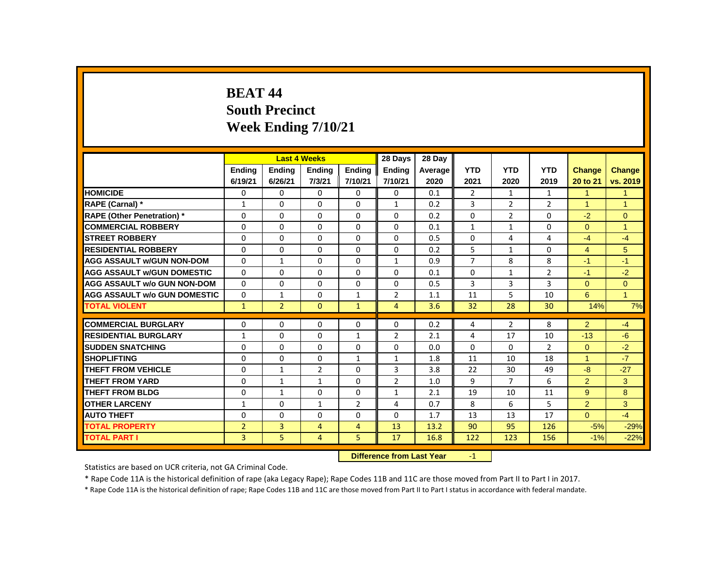# **BEAT 44 South Precinct Week Ending 7/10/21**

|                                     |                |                | <b>Last 4 Weeks</b> |                | 28 Days                   | 28 Day  |                |                |                |                      |                |
|-------------------------------------|----------------|----------------|---------------------|----------------|---------------------------|---------|----------------|----------------|----------------|----------------------|----------------|
|                                     | <b>Endina</b>  | <b>Endina</b>  | <b>Ending</b>       | <b>Endina</b>  | <b>Endina</b>             | Average | <b>YTD</b>     | <b>YTD</b>     | <b>YTD</b>     | <b>Change</b>        | Change         |
|                                     | 6/19/21        | 6/26/21        | 7/3/21              | 7/10/21        | 7/10/21                   | 2020    | 2021           | 2020           | 2019           | 20 to 21             | vs. 2019       |
| <b>HOMICIDE</b>                     | 0              | 0              | 0                   | $\mathbf{0}$   | $\mathbf{0}$              | 0.1     | $\overline{2}$ | $\mathbf{1}$   | $\mathbf{1}$   | $\mathbf{1}$         | $\mathbf{1}$   |
| RAPE (Carnal) *                     | 1              | $\Omega$       | $\Omega$            | $\Omega$       | $\mathbf{1}$              | 0.2     | 3              | 2              | $\overline{2}$ | 1                    | $\mathbf 1$    |
| <b>RAPE (Other Penetration)</b> *   | 0              | 0              | 0                   | $\mathbf{0}$   | $\Omega$                  | 0.2     | $\Omega$       | $\overline{2}$ | 0              | $-2$                 | $\mathbf{0}$   |
| <b>COMMERCIAL ROBBERY</b>           | $\Omega$       | $\mathbf{0}$   | $\Omega$            | $\mathbf{0}$   | $\mathbf{0}$              | 0.1     | $\mathbf{1}$   | $\mathbf{1}$   | $\Omega$       | $\Omega$             | $\overline{1}$ |
| <b>STREET ROBBERY</b>               | $\Omega$       | $\Omega$       | $\Omega$            | $\Omega$       | $\Omega$                  | 0.5     | 0              | 4              | 4              | $-4$                 | $-4$           |
| <b>RESIDENTIAL ROBBERY</b>          | 0              | 0              | $\Omega$            | $\mathbf{0}$   | 0                         | 0.2     | 5              | $\mathbf{1}$   | $\Omega$       | $\overline{4}$       | 5              |
| <b>AGG ASSAULT w/GUN NON-DOM</b>    | 0              | $\mathbf{1}$   | 0                   | $\mathbf{0}$   | $\mathbf{1}$              | 0.9     | 7              | 8              | 8              | $-1$                 | $-1$           |
| <b>AGG ASSAULT W/GUN DOMESTIC</b>   | $\Omega$       | $\mathbf{0}$   | 0                   | $\mathbf{0}$   | 0                         | 0.1     | $\mathbf{0}$   | $\mathbf{1}$   | $\overline{2}$ | $-1$                 | $-2$           |
| <b>AGG ASSAULT w/o GUN NON-DOM</b>  | $\Omega$       | $\mathbf{0}$   | $\Omega$            | $\mathbf{0}$   | 0                         | 0.5     | 3              | 3              | 3              | $\Omega$             | $\overline{0}$ |
| <b>AGG ASSAULT w/o GUN DOMESTIC</b> | $\Omega$       | $\mathbf{1}$   | $\Omega$            | $\mathbf{1}$   | $\overline{2}$            | 1.1     | 11             | 5              | 10             | 6                    | $\overline{1}$ |
| <b>TOTAL VIOLENT</b>                | $\mathbf{1}$   | $\overline{2}$ | $\mathbf{0}$        | $\mathbf{1}$   | 4                         | 3.6     | 32             | 28             | 30             | 14%                  | 7%             |
| <b>COMMERCIAL BURGLARY</b>          | 0              | $\Omega$       | $\Omega$            | 0              | $\Omega$                  | 0.2     | 4              | $\overline{2}$ | 8              | 2                    | $-4$           |
| <b>RESIDENTIAL BURGLARY</b>         | 1              | $\Omega$       | $\Omega$            | 1              | $\overline{2}$            | 2.1     | 4              | 17             | 10             | $-13$                | $-6$           |
| <b>SUDDEN SNATCHING</b>             | 0              | 0              | 0                   | $\mathbf{0}$   | $\Omega$                  | 0.0     | $\Omega$       | 0              | $\overline{2}$ | $\Omega$             | $-2$           |
| <b>SHOPLIFTING</b>                  | 0              | $\mathbf{0}$   | $\Omega$            | $\mathbf{1}$   | $\mathbf{1}$              | 1.8     | 11             | 10             | 18             | $\blacktriangleleft$ | $-7$           |
| <b>THEFT FROM VEHICLE</b>           | 0              | $\mathbf{1}$   | $\overline{2}$      | $\Omega$       | 3                         | 3.8     | 22             | 30             | 49             | $-8$                 | $-27$          |
| <b>THEFT FROM YARD</b>              | 0              | $\mathbf{1}$   | $\mathbf{1}$        | $\Omega$       | $\overline{2}$            | 1.0     | 9              | $\overline{7}$ | 6              | $\overline{2}$       | 3              |
| <b>THEFT FROM BLDG</b>              | 0              | $\mathbf{1}$   | $\Omega$            | $\Omega$       | $\mathbf{1}$              | 2.1     | 19             | 10             | 11             | 9                    | 8              |
| <b>OTHER LARCENY</b>                | $\mathbf{1}$   | $\mathbf{0}$   | $\mathbf{1}$        | $\overline{2}$ | $\overline{4}$            | 0.7     | 8              | 6              | 5              | $\overline{2}$       | 3              |
| <b>AUTO THEFT</b>                   | 0              | $\mathbf{0}$   | $\Omega$            | $\mathbf{0}$   | $\mathbf{0}$              | 1.7     | 13             | 13             | 17             | $\Omega$             | $-4$           |
| <b>TOTAL PROPERTY</b>               | $\overline{2}$ | 3              | $\overline{4}$      | 4              | 13                        | 13.2    | 90             | 95             | 126            | $-5%$                | $-29%$         |
| <b>TOTAL PART I</b>                 | 3              | 5              | 4                   | 5              | 17                        | 16.8    | 122            | 123            | 156            | $-1%$                | $-22%$         |
|                                     |                |                |                     |                | Difference from Loot Vear |         | $\sim$         |                |                |                      |                |

**Difference from Last Year** 

Statistics are based on UCR criteria, not GA Criminal Code.

\* Rape Code 11A is the historical definition of rape (aka Legacy Rape); Rape Codes 11B and 11C are those moved from Part II to Part I in 2017.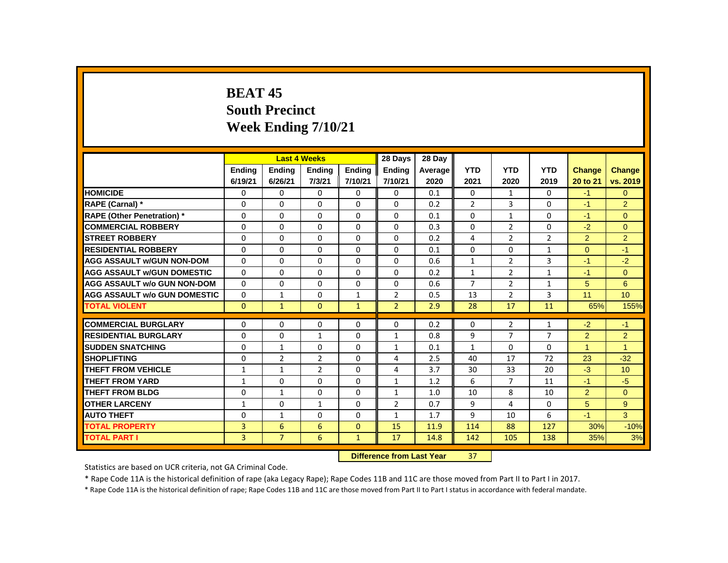# **BEAT 45 South Precinct Week Ending 7/10/21**

|                                     |               |                | <b>Last 4 Weeks</b> |               | 28 Days        | 28 Day                           |                |                |                |                |                      |
|-------------------------------------|---------------|----------------|---------------------|---------------|----------------|----------------------------------|----------------|----------------|----------------|----------------|----------------------|
|                                     | <b>Ending</b> | <b>Ending</b>  | <b>Ending</b>       | <b>Ending</b> | <b>Ending</b>  | Average                          | <b>YTD</b>     | <b>YTD</b>     | <b>YTD</b>     | Change         | <b>Change</b>        |
|                                     | 6/19/21       | 6/26/21        | 7/3/21              | 7/10/21       | 7/10/21        | 2020                             | 2021           | 2020           | 2019           | 20 to 21       | vs. 2019             |
| <b>HOMICIDE</b>                     | 0             | 0              | 0                   | $\Omega$      | 0              | 0.1                              | $\Omega$       | $\mathbf{1}$   | 0              | $-1$           | $\mathbf{0}$         |
| RAPE (Carnal) *                     | 0             | 0              | 0                   | $\mathbf{0}$  | $\Omega$       | 0.2                              | $\overline{2}$ | 3              | $\Omega$       | $-1$           | $\overline{2}$       |
| <b>RAPE (Other Penetration) *</b>   | $\Omega$      | $\Omega$       | $\Omega$            | $\mathbf{0}$  | $\Omega$       | 0.1                              | $\Omega$       | $\mathbf{1}$   | $\Omega$       | $-1$           | $\Omega$             |
| <b>COMMERCIAL ROBBERY</b>           | 0             | $\Omega$       | $\Omega$            | $\Omega$      | $\Omega$       | 0.3                              | $\Omega$       | $\overline{2}$ | $\Omega$       | $-2$           | $\Omega$             |
| <b>STREET ROBBERY</b>               | 0             | $\mathbf{0}$   | $\Omega$            | $\mathbf{0}$  | 0              | 0.2                              | 4              | 2              | $\overline{2}$ | $\overline{2}$ | $\overline{2}$       |
| <b>RESIDENTIAL ROBBERY</b>          | 0             | 0              | 0                   | $\mathbf{0}$  | 0              | 0.1                              | $\Omega$       | 0              | $\mathbf{1}$   | $\Omega$       | $-1$                 |
| <b>AGG ASSAULT w/GUN NON-DOM</b>    | $\Omega$      | $\Omega$       | $\Omega$            | $\Omega$      | $\Omega$       | 0.6                              | $\mathbf{1}$   | $\overline{2}$ | 3              | $-1$           | $-2$                 |
| <b>AGG ASSAULT W/GUN DOMESTIC</b>   | $\Omega$      | $\Omega$       | $\Omega$            | $\Omega$      | $\Omega$       | 0.2                              | $\mathbf{1}$   | $\overline{2}$ | $\mathbf{1}$   | $-1$           | $\Omega$             |
| <b>AGG ASSAULT w/o GUN NON-DOM</b>  | $\Omega$      | $\Omega$       | $\Omega$            | $\mathbf{0}$  | 0              | 0.6                              | $\overline{7}$ | $\overline{2}$ | $\mathbf{1}$   | 5              | 6                    |
| <b>AGG ASSAULT w/o GUN DOMESTIC</b> | $\Omega$      | $\mathbf{1}$   | 0                   | $\mathbf{1}$  | $\overline{2}$ | 0.5                              | 13             | $\overline{2}$ | 3              | 11             | 10                   |
| <b>TOTAL VIOLENT</b>                | $\mathbf{0}$  | $\mathbf{1}$   | $\mathbf{0}$        | $\mathbf{1}$  | $\overline{2}$ | 2.9                              | 28             | 17             | 11             | 65%            | 155%                 |
| <b>COMMERCIAL BURGLARY</b>          | 0             | 0              | 0                   | 0             | 0              | 0.2                              | $\mathbf{0}$   | $\overline{2}$ | 1              | $-2$           | $-1$                 |
| <b>RESIDENTIAL BURGLARY</b>         | 0             | $\Omega$       | $\mathbf{1}$        | $\mathbf{0}$  | $\mathbf{1}$   | 0.8                              | 9              | $\overline{7}$ | $\overline{7}$ | $\overline{2}$ | $\overline{2}$       |
| <b>SUDDEN SNATCHING</b>             | $\Omega$      | $\mathbf{1}$   | $\Omega$            | $\Omega$      | $\mathbf{1}$   | 0.1                              | $\mathbf{1}$   | $\Omega$       | $\Omega$       | $\mathbf{1}$   | $\blacktriangleleft$ |
| <b>SHOPLIFTING</b>                  | 0             | $\overline{2}$ | $\overline{2}$      | $\mathbf{0}$  | 4              | 2.5                              | 40             | 17             | 72             | 23             | $-32$                |
| <b>THEFT FROM VEHICLE</b>           | 1             | $\mathbf{1}$   | $\overline{2}$      | $\mathbf{0}$  | $\overline{4}$ | 3.7                              | 30             | 33             | 20             | $-3$           | 10                   |
| THEFT FROM YARD                     | $\mathbf{1}$  | 0              | $\Omega$            | 0             | $\mathbf{1}$   | 1.2                              | 6              | 7              | 11             | $-1$           | $-5$                 |
| <b>THEFT FROM BLDG</b>              | 0             | $\mathbf{1}$   | $\Omega$            | $\Omega$      | $\mathbf{1}$   | 1.0                              | 10             | 8              | 10             | $\overline{2}$ | $\Omega$             |
| <b>OTHER LARCENY</b>                | $\mathbf{1}$  | $\Omega$       | $\mathbf{1}$        | $\Omega$      | $\overline{2}$ | 0.7                              | 9              | 4              | 0              | 5              | 9                    |
| <b>AUTO THEFT</b>                   | 0             | $\mathbf{1}$   | 0                   | 0             | $\mathbf{1}$   | 1.7                              | 9              | 10             | 6              | $-1$           | 3                    |
| <b>TOTAL PROPERTY</b>               | 3             | 6              | 6                   | $\mathbf{0}$  | 15             | 11.9                             | 114            | 88             | 127            | 30%            | $-10%$               |
| <b>TOTAL PART I</b>                 | 3             | $\overline{7}$ | 6                   | $\mathbf{1}$  | 17             | 14.8                             | 142            | 105            | 138            | 35%            | 3%                   |
|                                     |               |                |                     |               |                | <b>Difference from Last Year</b> | 37             |                |                |                |                      |

Statistics are based on UCR criteria, not GA Criminal Code.

\* Rape Code 11A is the historical definition of rape (aka Legacy Rape); Rape Codes 11B and 11C are those moved from Part II to Part I in 2017.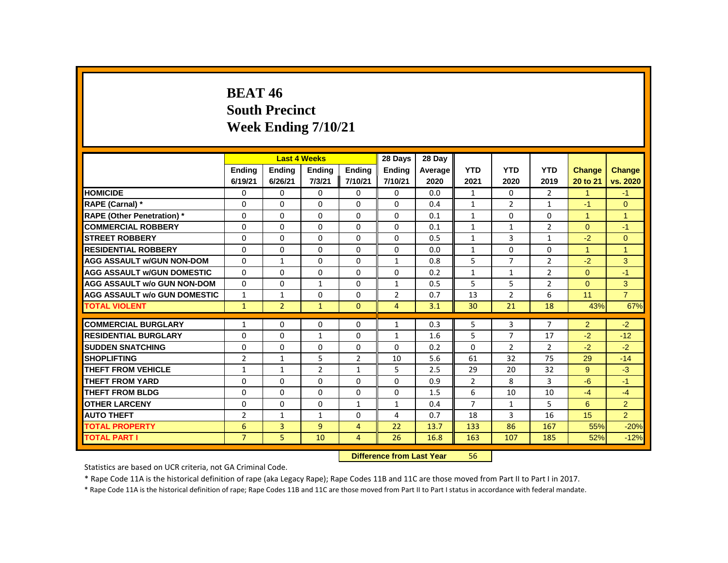# **BEAT 46 South Precinct Week Ending 7/10/21**

|                                     |                |                | <b>Last 4 Weeks</b> |                | 28 Days        | 28 Day                           |                |                |                |                |                |
|-------------------------------------|----------------|----------------|---------------------|----------------|----------------|----------------------------------|----------------|----------------|----------------|----------------|----------------|
|                                     | <b>Ending</b>  | <b>Ending</b>  | <b>Ending</b>       | <b>Ending</b>  | <b>Ending</b>  | Average                          | <b>YTD</b>     | <b>YTD</b>     | <b>YTD</b>     | <b>Change</b>  | <b>Change</b>  |
|                                     | 6/19/21        | 6/26/21        | 7/3/21              | 7/10/21        | 7/10/21        | 2020                             | 2021           | 2020           | 2019           | 20 to 21       | vs. 2020       |
| <b>HOMICIDE</b>                     | 0              | 0              | 0                   | 0              | 0              | 0.0                              | $\mathbf{1}$   | 0              | $\overline{2}$ | $\mathbf{1}$   | $-1$           |
| RAPE (Carnal) *                     | 0              | 0              | 0                   | 0              | 0              | 0.4                              | $\mathbf{1}$   | 2              | $\mathbf{1}$   | $-1$           | $\Omega$       |
| <b>RAPE (Other Penetration)*</b>    | $\Omega$       | $\Omega$       | $\Omega$            | $\Omega$       | $\Omega$       | 0.1                              | $\mathbf{1}$   | $\Omega$       | $\Omega$       | $\mathbf{1}$   | $\mathbf{1}$   |
| <b>COMMERCIAL ROBBERY</b>           | 0              | 0              | 0                   | 0              | 0              | 0.1                              | $\mathbf{1}$   | $\mathbf{1}$   | $\overline{2}$ | $\Omega$       | $-1$           |
| <b>STREET ROBBERY</b>               | 0              | 0              | 0                   | 0              | 0              | 0.5                              | $\mathbf{1}$   | 3              | $\mathbf{1}$   | $-2$           | $\Omega$       |
| <b>RESIDENTIAL ROBBERY</b>          | 0              | 0              | $\Omega$            | 0              | 0              | 0.0                              | $\mathbf{1}$   | $\Omega$       | 0              | $\mathbf{1}$   | $\mathbf{1}$   |
| <b>AGG ASSAULT w/GUN NON-DOM</b>    | $\Omega$       | $\mathbf{1}$   | $\Omega$            | $\Omega$       | $\mathbf{1}$   | 0.8                              | 5              | $\overline{7}$ | $\overline{2}$ | $-2$           | 3              |
| <b>AGG ASSAULT w/GUN DOMESTIC</b>   | $\Omega$       | $\Omega$       | $\Omega$            | $\Omega$       | 0              | 0.2                              | $\mathbf{1}$   | $\mathbf{1}$   | $\overline{2}$ | $\Omega$       | $-1$           |
| <b>AGG ASSAULT w/o GUN NON-DOM</b>  | $\Omega$       | 0              | $\mathbf{1}$        | 0              | $\mathbf{1}$   | 0.5                              | 5              | 5              | $\overline{2}$ | $\Omega$       | 3              |
| <b>AGG ASSAULT w/o GUN DOMESTIC</b> | $\mathbf{1}$   | $\mathbf{1}$   | $\Omega$            | 0              | $\overline{2}$ | 0.7                              | 13             | $\overline{2}$ | 6              | 11             | $\overline{7}$ |
| <b>TOTAL VIOLENT</b>                | $\mathbf{1}$   | $\overline{2}$ | $\mathbf{1}$        | $\Omega$       | 4              | 3.1                              | 30             | 21             | 18             | 43%            | 67%            |
| <b>COMMERCIAL BURGLARY</b>          | $\mathbf{1}$   | 0              | 0                   | 0              | $\mathbf{1}$   | 0.3                              | 5              | 3              | 7              | $\overline{2}$ | $-2$           |
| <b>RESIDENTIAL BURGLARY</b>         | $\Omega$       | $\Omega$       | $\mathbf{1}$        | $\Omega$       | $\mathbf{1}$   | 1.6                              | 5              | $\overline{7}$ | 17             | $-2$           | $-12$          |
| <b>SUDDEN SNATCHING</b>             | 0              | $\Omega$       | $\Omega$            | $\Omega$       | $\Omega$       | 0.2                              | $\Omega$       | $\overline{2}$ | $\overline{2}$ | $-2$           | $-2$           |
| <b>SHOPLIFTING</b>                  | $\overline{2}$ | $\mathbf{1}$   | 5                   | $\overline{2}$ | 10             | 5.6                              | 61             | 32             | 75             | 29             | $-14$          |
| <b>THEFT FROM VEHICLE</b>           | $\mathbf{1}$   | $\mathbf{1}$   | $\overline{2}$      | $\mathbf{1}$   | 5              | 2.5                              | 29             | 20             | 32             | 9              | $-3$           |
| <b>THEFT FROM YARD</b>              | $\Omega$       | $\Omega$       | $\Omega$            | $\Omega$       | $\Omega$       | 0.9                              | $\overline{2}$ | 8              | $\overline{3}$ | $-6$           | $-1$           |
| <b>THEFT FROM BLDG</b>              | 0              | $\Omega$       | $\Omega$            | $\Omega$       | $\Omega$       | 1.5                              | 6              | 10             | 10             | $-4$           | $-4$           |
| <b>OTHER LARCENY</b>                | 0              | 0              | 0                   | $\mathbf{1}$   | $\mathbf{1}$   | 0.4                              | $\overline{7}$ | $\mathbf{1}$   | 5              | 6              | $\overline{2}$ |
| <b>AUTO THEFT</b>                   | $\overline{2}$ | $\mathbf{1}$   | $\mathbf{1}$        | 0              | 4              | 0.7                              | 18             | 3              | 16             | 15             | $\overline{2}$ |
| <b>TOTAL PROPERTY</b>               | 6              | 3              | 9                   | $\overline{4}$ | 22             | 13.7                             | 133            | 86             | 167            | 55%            | $-20%$         |
| <b>TOTAL PART I</b>                 | $\overline{7}$ | 5              | 10                  | $\overline{4}$ | 26             | 16.8                             | 163            | 107            | 185            | 52%            | $-12%$         |
|                                     |                |                |                     |                |                | <b>Difference from Last Year</b> | 56             |                |                |                |                |

Statistics are based on UCR criteria, not GA Criminal Code.

\* Rape Code 11A is the historical definition of rape (aka Legacy Rape); Rape Codes 11B and 11C are those moved from Part II to Part I in 2017.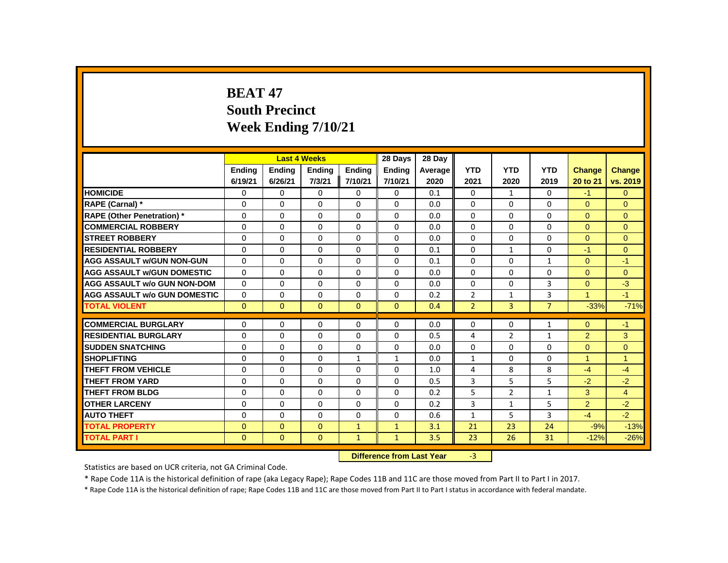# **BEAT 47 South Precinct Week Ending 7/10/21**

|                                     |               |               | <b>Last 4 Weeks</b> |              | 28 Days                   | 28 Day  |                |                |                |                      |                |
|-------------------------------------|---------------|---------------|---------------------|--------------|---------------------------|---------|----------------|----------------|----------------|----------------------|----------------|
|                                     | <b>Ending</b> | <b>Ending</b> | <b>Ending</b>       | Ending       | Ending                    | Average | <b>YTD</b>     | <b>YTD</b>     | <b>YTD</b>     | <b>Change</b>        | Change         |
|                                     | 6/19/21       | 6/26/21       | 7/3/21              | 7/10/21      | 7/10/21                   | 2020    | 2021           | 2020           | 2019           | 20 to 21             | vs. 2019       |
| <b>HOMICIDE</b>                     | 0             | 0             | 0                   | 0            | 0                         | 0.1     | 0              | $\mathbf{1}$   | 0              | $-1$                 | $\mathbf{0}$   |
| RAPE (Carnal) *                     | 0             | 0             | $\Omega$            | $\Omega$     | 0                         | 0.0     | 0              | $\mathbf{0}$   | 0              | $\Omega$             | $\Omega$       |
| <b>RAPE (Other Penetration)</b> *   | $\Omega$      | $\Omega$      | $\Omega$            | $\Omega$     | 0                         | 0.0     | $\Omega$       | $\Omega$       | $\Omega$       | $\Omega$             | $\Omega$       |
| <b>COMMERCIAL ROBBERY</b>           | $\Omega$      | $\Omega$      | $\Omega$            | $\Omega$     | $\Omega$                  | 0.0     | $\Omega$       | $\Omega$       | $\Omega$       | $\Omega$             | $\Omega$       |
| <b>STREET ROBBERY</b>               | 0             | $\Omega$      | $\Omega$            | $\Omega$     | 0                         | 0.0     | $\Omega$       | $\Omega$       | $\Omega$       | $\Omega$             | $\Omega$       |
| <b>RESIDENTIAL ROBBERY</b>          | $\Omega$      | $\Omega$      | $\Omega$            | $\Omega$     | 0                         | 0.1     | $\Omega$       | $\mathbf{1}$   | $\Omega$       | $-1$                 | $\Omega$       |
| <b>AGG ASSAULT w/GUN NON-GUN</b>    | $\Omega$      | $\Omega$      | $\Omega$            | $\Omega$     | 0                         | 0.1     | $\Omega$       | $\Omega$       | $\mathbf{1}$   | $\Omega$             | $-1$           |
| <b>AGG ASSAULT w/GUN DOMESTIC</b>   | $\Omega$      | 0             | $\Omega$            | $\Omega$     | 0                         | 0.0     | $\Omega$       | $\Omega$       | 0              | $\Omega$             | $\mathbf{0}$   |
| <b>AGG ASSAULT w/o GUN NON-DOM</b>  | $\Omega$      | $\Omega$      | $\Omega$            | $\Omega$     | $\Omega$                  | 0.0     | $\Omega$       | $\Omega$       | 3              | $\Omega$             | $-3$           |
| <b>AGG ASSAULT w/o GUN DOMESTIC</b> | $\Omega$      | 0             | $\Omega$            | 0            | 0                         | 0.2     | $\overline{2}$ | $\mathbf{1}$   | 3              | $\blacktriangleleft$ | $-1$           |
| <b>TOTAL VIOLENT</b>                | $\mathbf{0}$  | $\mathbf{0}$  | $\mathbf{0}$        | $\mathbf{0}$ | $\mathbf{0}$              | 0.4     | $\overline{2}$ | 3              | $\overline{7}$ | $-33%$               | $-71%$         |
| <b>COMMERCIAL BURGLARY</b>          | 0             | 0             | 0                   | 0            | 0                         | 0.0     | 0              | 0              | $\mathbf{1}$   | $\Omega$             | $-1$           |
| <b>RESIDENTIAL BURGLARY</b>         | 0             | 0             | 0                   | 0            | 0                         | 0.5     | 4              | $\overline{2}$ | $\mathbf{1}$   | $\overline{2}$       | 3              |
| <b>SUDDEN SNATCHING</b>             | $\Omega$      | $\Omega$      | $\Omega$            | $\Omega$     | $\Omega$                  | 0.0     | $\Omega$       | $\Omega$       | $\Omega$       | $\Omega$             | $\Omega$       |
| <b>SHOPLIFTING</b>                  | $\Omega$      | $\Omega$      | $\Omega$            | $\mathbf{1}$ | $\mathbf{1}$              | 0.0     | $\mathbf{1}$   | $\Omega$       | $\Omega$       | $\mathbf{1}$         | $\overline{1}$ |
| <b>THEFT FROM VEHICLE</b>           | $\Omega$      | $\Omega$      | $\Omega$            | $\Omega$     | 0                         | 1.0     | 4              | 8              | 8              | $-4$                 | $-4$           |
| THEFT FROM YARD                     | $\Omega$      | $\Omega$      | $\Omega$            | $\Omega$     | 0                         | 0.5     | 3              | 5              | 5              | $-2$                 | $-2$           |
| <b>THEFT FROM BLDG</b>              | 0             | $\Omega$      | $\Omega$            | $\Omega$     | 0                         | 0.2     | 5              | $\overline{2}$ | $\mathbf{1}$   | 3                    | $\overline{4}$ |
| <b>OTHER LARCENY</b>                | 0             | 0             | $\Omega$            | $\Omega$     | 0                         | 0.2     | 3              | $\mathbf{1}$   | 5              | $\overline{2}$       | $-2$           |
| <b>AUTO THEFT</b>                   | $\Omega$      | $\Omega$      | $\Omega$            | $\Omega$     | $\Omega$                  | 0.6     | $\mathbf{1}$   | 5              | 3              | $-4$                 | $-2$           |
| <b>TOTAL PROPERTY</b>               | $\Omega$      | $\mathbf{0}$  | $\mathbf{0}$        | $\mathbf{1}$ | $\mathbf{1}$              | 3.1     | 21             | 23             | 24             | $-9%$                | $-13%$         |
| <b>TOTAL PART I</b>                 | $\mathbf{0}$  | $\mathbf{0}$  | $\mathbf{0}$        | $\mathbf{1}$ | $\mathbf{1}$              | 3.5     | 23             | 26             | 31             | $-12%$               | $-26%$         |
|                                     |               |               |                     |              | Difference from Last Year |         | $-2$           |                |                |                      |                |

 **Difference from Last Year** -3

Statistics are based on UCR criteria, not GA Criminal Code.

\* Rape Code 11A is the historical definition of rape (aka Legacy Rape); Rape Codes 11B and 11C are those moved from Part II to Part I in 2017.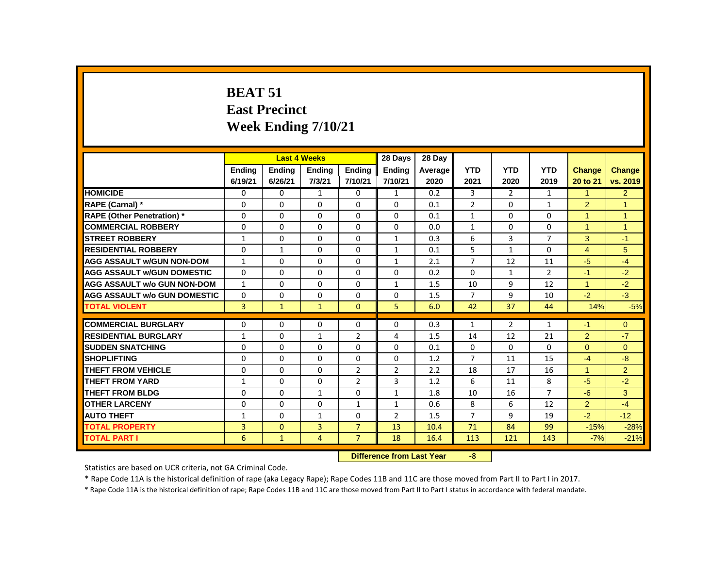# **BEAT 51 East Precinct Week Ending 7/10/21**

|                                     |               | <b>Last 4 Weeks</b> |                |                | 28 Days                   | 28 Day  |                |                |                |                |                |
|-------------------------------------|---------------|---------------------|----------------|----------------|---------------------------|---------|----------------|----------------|----------------|----------------|----------------|
|                                     | <b>Ending</b> | <b>Ending</b>       | <b>Ending</b>  | <b>Ending</b>  | <b>Ending</b>             | Average | <b>YTD</b>     | <b>YTD</b>     | <b>YTD</b>     | <b>Change</b>  | <b>Change</b>  |
|                                     | 6/19/21       | 6/26/21             | 7/3/21         | 7/10/21        | 7/10/21                   | 2020    | 2021           | 2020           | 2019           | 20 to 21       | vs. 2019       |
| <b>HOMICIDE</b>                     | 0             | 0                   | $\mathbf{1}$   | 0              | $\mathbf{1}$              | 0.2     | 3              | $\overline{2}$ | $\mathbf{1}$   | $\mathbf{1}$   | $\overline{2}$ |
| RAPE (Carnal) *                     | 0             | $\Omega$            | $\Omega$       | $\Omega$       | $\Omega$                  | 0.1     | $\overline{2}$ | $\mathbf{0}$   | $\mathbf{1}$   | $\overline{2}$ | $\mathbf{1}$   |
| <b>RAPE (Other Penetration)</b> *   | $\mathbf 0$   | 0                   | $\mathbf 0$    | 0              | $\Omega$                  | 0.1     | $\mathbf{1}$   | $\Omega$       | $\Omega$       | $\mathbf{1}$   | $\mathbf{1}$   |
| <b>COMMERCIAL ROBBERY</b>           | $\Omega$      | $\Omega$            | $\Omega$       | $\Omega$       | $\Omega$                  | 0.0     | $\mathbf{1}$   | $\Omega$       | $\Omega$       | $\mathbf{1}$   | $\mathbf{1}$   |
| <b>STREET ROBBERY</b>               | $\mathbf{1}$  | $\Omega$            | $\Omega$       | $\Omega$       | 1                         | 0.3     | 6              | 3              | 7              | 3              | $-1$           |
| <b>RESIDENTIAL ROBBERY</b>          | $\Omega$      | $\mathbf{1}$        | $\Omega$       | $\Omega$       | $\mathbf{1}$              | 0.1     | 5              | $\mathbf{1}$   | $\Omega$       | $\overline{4}$ | 5              |
| <b>AGG ASSAULT w/GUN NON-DOM</b>    | 1             | 0                   | 0              | $\Omega$       | $\mathbf{1}$              | 2.1     | $\overline{7}$ | 12             | 11             | $-5$           | $-4$           |
| <b>AGG ASSAULT W/GUN DOMESTIC</b>   | 0             | 0                   | 0              | 0              | 0                         | 0.2     | 0              | $\mathbf{1}$   | $\overline{2}$ | $-1$           | $-2$           |
| <b>AGG ASSAULT w/o GUN NON-DOM</b>  | $\mathbf{1}$  | $\Omega$            | $\Omega$       | $\Omega$       | $\mathbf{1}$              | 1.5     | 10             | 9              | 12             | $\mathbf{1}$   | $-2$           |
| <b>AGG ASSAULT w/o GUN DOMESTIC</b> | $\mathbf{0}$  | 0                   | $\Omega$       | 0              | $\Omega$                  | 1.5     | $\overline{7}$ | 9              | 10             | $-2$           | $-3$           |
| <b>TOTAL VIOLENT</b>                | 3             | $\mathbf{1}$        | $\mathbf{1}$   | $\mathbf{0}$   | 5                         | 6.0     | 42             | 37             | 44             | 14%            | $-5%$          |
| <b>COMMERCIAL BURGLARY</b>          | 0             | 0                   | $\Omega$       | $\mathbf{0}$   | 0                         | 0.3     | $\mathbf{1}$   | $\overline{2}$ | $\mathbf{1}$   | $-1$           | $\Omega$       |
| <b>RESIDENTIAL BURGLARY</b>         | $\mathbf{1}$  | 0                   | $\mathbf{1}$   | 2              | 4                         | 1.5     | 14             | 12             | 21             | $\overline{2}$ | $-7$           |
| <b>SUDDEN SNATCHING</b>             | $\Omega$      | $\Omega$            | $\Omega$       | $\Omega$       | $\Omega$                  | 0.1     | $\Omega$       | $\mathbf{0}$   | $\Omega$       | $\Omega$       | $\Omega$       |
| <b>SHOPLIFTING</b>                  | 0             | 0                   | 0              | 0              | 0                         | 1.2     | $\overline{7}$ | 11             | 15             | $-4$           | $-8$           |
| <b>THEFT FROM VEHICLE</b>           | $\Omega$      | $\Omega$            | $\Omega$       | $\overline{2}$ | $\overline{2}$            | 2.2     | 18             | 17             | 16             | $\mathbf{1}$   | $\overline{2}$ |
| <b>THEFT FROM YARD</b>              | 1             | 0                   | $\Omega$       | $\overline{2}$ | 3                         | 1.2     | 6              | 11             | 8              | $-5$           | $-2$           |
| <b>THEFT FROM BLDG</b>              | 0             | 0                   | 1              | 0              | $\mathbf{1}$              | 1.8     | 10             | 16             | 7              | $-6$           | 3              |
| <b>OTHER LARCENY</b>                | $\Omega$      | 0                   | $\Omega$       | $\mathbf{1}$   | $\mathbf{1}$              | 0.6     | 8              | 6              | 12             | $\overline{2}$ | $-4$           |
| <b>AUTO THEFT</b>                   | $\mathbf{1}$  | 0                   | $\mathbf{1}$   | $\mathbf 0$    | $\overline{2}$            | 1.5     | $\overline{7}$ | 9              | 19             | $-2$           | $-12$          |
| <b>TOTAL PROPERTY</b>               | 3             | $\mathbf{0}$        | $\overline{3}$ | $\overline{7}$ | 13                        | 10.4    | 71             | 84             | 99             | $-15%$         | $-28%$         |
| <b>TOTAL PART I</b>                 | 6             | $\mathbf{1}$        | 4              | $\overline{7}$ | 18                        | 16.4    | 113            | 121            | 143            | $-7%$          | $-21%$         |
|                                     |               |                     |                |                | Difference from Lost Vesr |         | $\circ$        |                |                |                |                |

#### **Difference from Last Year** -8

Statistics are based on UCR criteria, not GA Criminal Code.

\* Rape Code 11A is the historical definition of rape (aka Legacy Rape); Rape Codes 11B and 11C are those moved from Part II to Part I in 2017.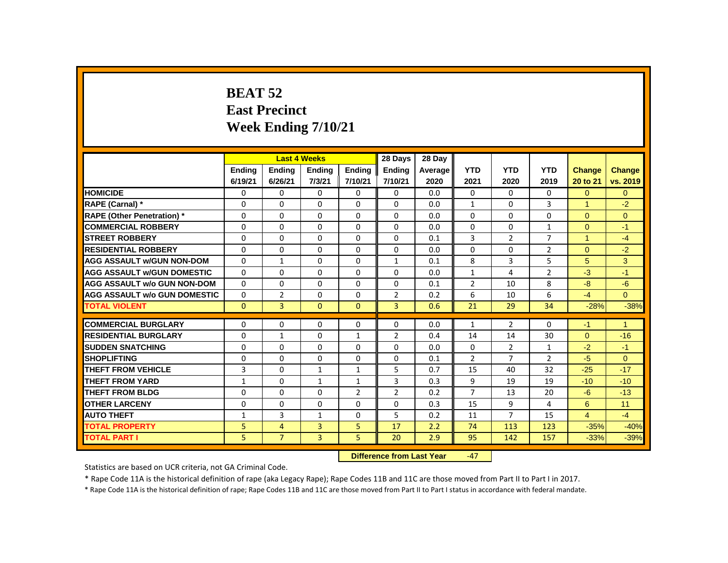# **BEAT 52 East Precinct Week Ending 7/10/21**

|                                     |               |                | <b>Last 4 Weeks</b> |                | 28 Days                   | 28 Day  |                 |                |                |                |                |
|-------------------------------------|---------------|----------------|---------------------|----------------|---------------------------|---------|-----------------|----------------|----------------|----------------|----------------|
|                                     | <b>Endina</b> | <b>Endina</b>  | <b>Ending</b>       | <b>Endina</b>  | <b>Endina</b>             | Average | <b>YTD</b>      | <b>YTD</b>     | <b>YTD</b>     | <b>Change</b>  | Change         |
|                                     | 6/19/21       | 6/26/21        | 7/3/21              | 7/10/21        | 7/10/21                   | 2020    | 2021            | 2020           | 2019           | 20 to 21       | vs. 2019       |
| <b>HOMICIDE</b>                     | 0             | 0              | 0                   | $\mathbf{0}$   | $\mathbf{0}$              | 0.0     | $\mathbf{0}$    | $\mathbf{0}$   | 0              | $\overline{0}$ | $\overline{0}$ |
| RAPE (Carnal) *                     | 0             | $\Omega$       | $\Omega$            | $\Omega$       | $\Omega$                  | 0.0     | $\mathbf{1}$    | 0              | 3              | 1              | $-2$           |
| <b>RAPE (Other Penetration)*</b>    | 0             | 0              | 0                   | $\mathbf{0}$   | $\Omega$                  | 0.0     | $\Omega$        | 0              | 0              | $\Omega$       | $\overline{0}$ |
| <b>COMMERCIAL ROBBERY</b>           | $\Omega$      | $\mathbf{0}$   | $\Omega$            | $\mathbf{0}$   | $\Omega$                  | 0.0     | $\Omega$        | $\Omega$       | $\mathbf{1}$   | $\Omega$       | $-1$           |
| <b>STREET ROBBERY</b>               | $\Omega$      | $\Omega$       | $\Omega$            | $\Omega$       | $\Omega$                  | 0.1     | 3               | $\overline{2}$ | $\overline{7}$ | $\mathbf{1}$   | $-4$           |
| <b>RESIDENTIAL ROBBERY</b>          | 0             | 0              | $\Omega$            | $\mathbf{0}$   | 0                         | 0.0     | $\Omega$        | 0              | $\overline{2}$ | $\overline{0}$ | $-2$           |
| <b>AGG ASSAULT w/GUN NON-DOM</b>    | 0             | $\mathbf{1}$   | 0                   | $\mathbf{0}$   | $\mathbf{1}$              | 0.1     | 8               | 3              | 5              | 5              | 3              |
| <b>AGG ASSAULT W/GUN DOMESTIC</b>   | $\Omega$      | $\mathbf{0}$   | 0                   | $\mathbf{0}$   | 0                         | 0.0     | $\mathbf{1}$    | 4              | 2              | $-3$           | $-1$           |
| <b>AGG ASSAULT w/o GUN NON-DOM</b>  | $\Omega$      | $\mathbf{0}$   | $\Omega$            | $\Omega$       | 0                         | 0.1     | $\overline{2}$  | 10             | 8              | $-8$           | $-6$           |
| <b>AGG ASSAULT w/o GUN DOMESTIC</b> | $\Omega$      | $\overline{2}$ | $\Omega$            | $\Omega$       | $\overline{2}$            | 0.2     | 6               | 10             | 6              | $-4$           | $\Omega$       |
| <b>TOTAL VIOLENT</b>                | $\mathbf{0}$  | 3              | $\mathbf{0}$        | $\mathbf{0}$   | 3                         | 0.6     | 21              | 29             | 34             | $-28%$         | $-38%$         |
| <b>COMMERCIAL BURGLARY</b>          | 0             | $\Omega$       | $\Omega$            | 0              | $\Omega$                  | 0.0     | $\mathbf{1}$    | $\overline{2}$ | $\Omega$       | $-1$           | $\mathbf{1}$   |
| <b>RESIDENTIAL BURGLARY</b>         | 0             | 1              | $\Omega$            | 1              | $\overline{2}$            | 0.4     | 14              | 14             | 30             | $\Omega$       | $-16$          |
| <b>SUDDEN SNATCHING</b>             | 0             | 0              | 0                   | $\mathbf{0}$   | $\Omega$                  | 0.0     | $\Omega$        | $\overline{2}$ | $\mathbf{1}$   | $-2$           | $-1$           |
| <b>SHOPLIFTING</b>                  | 0             | $\mathbf{0}$   | $\Omega$            | $\mathbf{0}$   | 0                         | 0.1     | $\overline{2}$  | 7              | $\overline{2}$ | $-5$           | $\mathbf{0}$   |
| <b>THEFT FROM VEHICLE</b>           | 3             | $\mathbf{0}$   | $\mathbf{1}$        | $\mathbf{1}$   | 5                         | 0.7     | 15              | 40             | 32             | $-25$          | $-17$          |
| <b>THEFT FROM YARD</b>              | $\mathbf{1}$  | $\mathbf{0}$   | $\mathbf{1}$        | $\mathbf{1}$   | 3                         | 0.3     | 9               | 19             | 19             | $-10$          | $-10$          |
| <b>THEFT FROM BLDG</b>              | 0             | $\Omega$       | $\Omega$            | $\overline{2}$ | $\overline{2}$            | 0.2     | $\overline{7}$  | 13             | 20             | $-6$           | $-13$          |
| <b>OTHER LARCENY</b>                | $\Omega$      | $\mathbf{0}$   | $\Omega$            | $\Omega$       | $\Omega$                  | 0.3     | 15              | 9              | $\overline{4}$ | 6              | 11             |
| <b>AUTO THEFT</b>                   | 1             | $\overline{3}$ | $\mathbf{1}$        | $\mathbf{0}$   | 5                         | 0.2     | 11              | $\overline{7}$ | 15             | $\overline{4}$ | $-4$           |
| <b>TOTAL PROPERTY</b>               | 5             | $\overline{4}$ | 3                   | 5              | 17                        | 2.2     | 74              | 113            | 123            | $-35%$         | $-40%$         |
| <b>TOTAL PART I</b>                 | 5             | $\overline{7}$ | 3                   | 5.             | 20                        | 2.9     | 95              | 142            | 157            | $-33%$         | $-39%$         |
|                                     |               |                |                     |                | Difference from Loot Vear |         | $\overline{17}$ |                |                |                |                |

**Difference from Last Year** 

Statistics are based on UCR criteria, not GA Criminal Code.

\* Rape Code 11A is the historical definition of rape (aka Legacy Rape); Rape Codes 11B and 11C are those moved from Part II to Part I in 2017.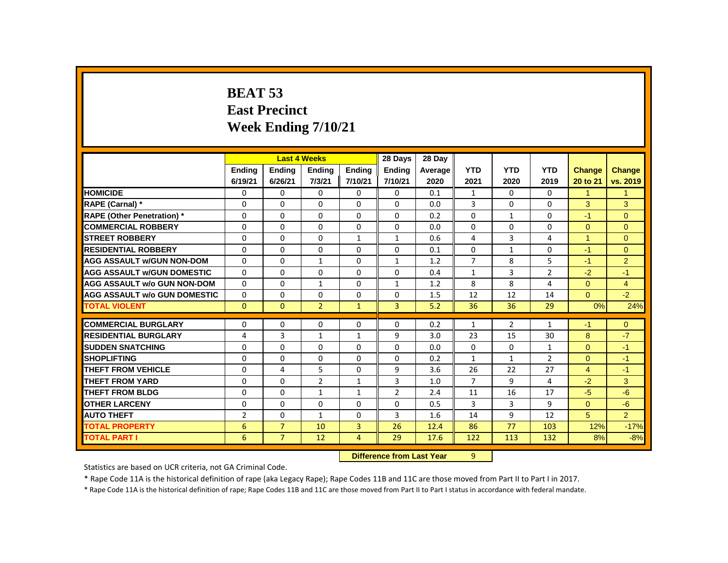# **BEAT 53 East Precinct Week Ending 7/10/21**

|                                     |                |                | <b>Last 4 Weeks</b> |                | 28 Days                          | 28 Dav  |                |                |                |                      |                |
|-------------------------------------|----------------|----------------|---------------------|----------------|----------------------------------|---------|----------------|----------------|----------------|----------------------|----------------|
|                                     | <b>Ending</b>  | <b>Ending</b>  | <b>Ending</b>       | <b>Endina</b>  | <b>Endina</b>                    | Average | <b>YTD</b>     | <b>YTD</b>     | <b>YTD</b>     | <b>Change</b>        | <b>Change</b>  |
|                                     | 6/19/21        | 6/26/21        | 7/3/21              | 7/10/21        | 7/10/21                          | 2020    | 2021           | 2020           | 2019           | 20 to 21             | vs. 2019       |
| <b>HOMICIDE</b>                     | 0              | $\Omega$       | 0                   | $\Omega$       | 0                                | 0.1     | 1              | $\Omega$       | 0              | $\blacktriangleleft$ | $\mathbf{1}$   |
| RAPE (Carnal) *                     | $\Omega$       | $\Omega$       | $\Omega$            | $\Omega$       | $\mathbf{0}$                     | 0.0     | 3              | $\Omega$       | $\Omega$       | 3                    | 3              |
| <b>RAPE (Other Penetration) *</b>   | $\Omega$       | $\Omega$       | $\Omega$            | $\Omega$       | $\Omega$                         | 0.2     | $\Omega$       | $\mathbf{1}$   | $\Omega$       | $-1$                 | $\overline{0}$ |
| <b>COMMERCIAL ROBBERY</b>           | $\Omega$       | $\Omega$       | $\Omega$            | $\Omega$       | $\mathbf{0}$                     | 0.0     | $\Omega$       | $\Omega$       | $\Omega$       | $\Omega$             | $\Omega$       |
| <b>STREET ROBBERY</b>               | 0              | 0              | $\Omega$            | $\mathbf{1}$   | $\mathbf{1}$                     | 0.6     | 4              | $\overline{3}$ | 4              | $\blacktriangleleft$ | $\mathbf{0}$   |
| <b>RESIDENTIAL ROBBERY</b>          | 0              | 0              | $\Omega$            | $\Omega$       | $\Omega$                         | 0.1     | $\Omega$       | $\mathbf{1}$   | 0              | $-1$                 | $\mathbf{0}$   |
| <b>AGG ASSAULT W/GUN NON-DOM</b>    | $\Omega$       | $\Omega$       | $\mathbf{1}$        | $\mathbf{0}$   | $\mathbf{1}$                     | 1.2     | $\overline{7}$ | 8              | 5              | $-1$                 | 2              |
| <b>AGG ASSAULT W/GUN DOMESTIC</b>   | $\Omega$       | $\Omega$       | $\Omega$            | $\Omega$       | $\Omega$                         | 0.4     | $\mathbf{1}$   | $\overline{3}$ | $\overline{2}$ | $-2$                 | $-1$           |
| <b>AGG ASSAULT w/o GUN NON-DOM</b>  | 0              | $\Omega$       | $\mathbf{1}$        | $\Omega$       | 1                                | 1.2     | 8              | 8              | 4              | $\Omega$             | $\overline{4}$ |
| <b>AGG ASSAULT w/o GUN DOMESTIC</b> | 0              | 0              | $\Omega$            | 0              | $\Omega$                         | 1.5     | 12             | 12             | 14             | $\overline{0}$       | $-2$           |
| <b>TOTAL VIOLENT</b>                | $\Omega$       | $\mathbf{0}$   | $\overline{2}$      | $\mathbf{1}$   | $\overline{3}$                   | 5.2     | 36             | 36             | 29             | 0%                   | 24%            |
| <b>COMMERCIAL BURGLARY</b>          | $\Omega$       | 0              | $\Omega$            | $\Omega$       | $\mathbf{0}$                     | 0.2     | $\mathbf{1}$   | $\overline{2}$ | $\mathbf{1}$   | $-1$                 | $\mathbf{0}$   |
| <b>RESIDENTIAL BURGLARY</b>         | 4              | 3              | $\mathbf{1}$        | $\mathbf{1}$   | 9                                | 3.0     | 23             | 15             | 30             | 8                    | $-7$           |
| <b>SUDDEN SNATCHING</b>             | $\Omega$       | $\Omega$       | $\Omega$            | $\Omega$       | $\Omega$                         | 0.0     | $\Omega$       | $\Omega$       | $\mathbf{1}$   | $\Omega$             | $-1$           |
| <b>SHOPLIFTING</b>                  | 0              | 0              | 0                   | 0              | 0                                | 0.2     | $\mathbf{1}$   | $\mathbf{1}$   | $\overline{2}$ | $\overline{0}$       | $-1$           |
| <b>THEFT FROM VEHICLE</b>           | 0              | 4              | 5                   | $\Omega$       | 9                                | 3.6     | 26             | 22             | 27             | $\overline{4}$       | $-1$           |
| THEFT FROM YARD                     | $\Omega$       | $\Omega$       | $\overline{2}$      | $\mathbf{1}$   | 3                                | 1.0     | $\overline{7}$ | 9              | 4              | $-2$                 | 3              |
| <b>THEFT FROM BLDG</b>              | $\Omega$       | $\Omega$       | $\mathbf{1}$        | $\mathbf{1}$   | $\overline{2}$                   | 2.4     | 11             | 16             | 17             | $-5$                 | $-6$           |
| <b>OTHER LARCENY</b>                | 0              | $\Omega$       | $\Omega$            | $\Omega$       | $\Omega$                         | 0.5     | 3              | 3              | 9              | $\Omega$             | $-6$           |
| <b>AUTO THEFT</b>                   | $\overline{2}$ | 0              | $\mathbf{1}$        | $\Omega$       | 3                                | 1.6     | 14             | 9              | 12             | 5 <sup>5</sup>       | $\overline{2}$ |
| <b>TOTAL PROPERTY</b>               | 6              | $\overline{7}$ | 10                  | 3              | 26                               | 12.4    | 86             | 77             | 103            | 12%                  | $-17%$         |
| <b>TOTAL PART I</b>                 | 6              | $\overline{7}$ | 12                  | $\overline{4}$ | 29                               | 17.6    | 122            | 113            | 132            | 8%                   | $-8%$          |
|                                     |                |                |                     |                | <b>Difference from Last Year</b> |         | 9              |                |                |                      |                |

Statistics are based on UCR criteria, not GA Criminal Code.

\* Rape Code 11A is the historical definition of rape (aka Legacy Rape); Rape Codes 11B and 11C are those moved from Part II to Part I in 2017.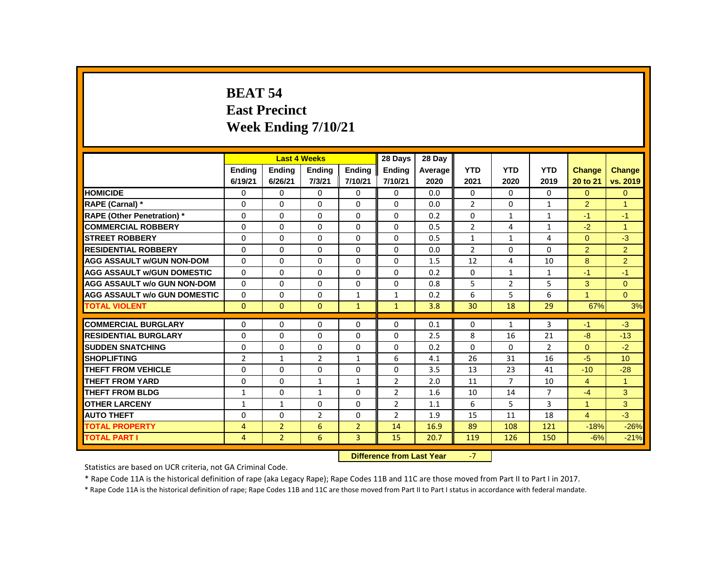# **BEAT 54 East Precinct Week Ending 7/10/21**

|                                     |                |                | <b>Last 4 Weeks</b> |                | 28 Days                   | 28 Day  |                |                |                |                |                 |
|-------------------------------------|----------------|----------------|---------------------|----------------|---------------------------|---------|----------------|----------------|----------------|----------------|-----------------|
|                                     | <b>Ending</b>  | <b>Ending</b>  | <b>Ending</b>       | <b>Ending</b>  | <b>Ending</b>             | Average | <b>YTD</b>     | <b>YTD</b>     | <b>YTD</b>     | Change         | <b>Change</b>   |
|                                     | 6/19/21        | 6/26/21        | 7/3/21              | 7/10/21        | 7/10/21                   | 2020    | 2021           | 2020           | 2019           | 20 to 21       | vs. 2019        |
| <b>HOMICIDE</b>                     | 0              | 0              | 0                   | 0              | 0                         | 0.0     | $\mathbf{0}$   | $\Omega$       | 0              | $\overline{0}$ | $\overline{0}$  |
| RAPE (Carnal) *                     | 0              | 0              | $\Omega$            | $\Omega$       | $\Omega$                  | 0.0     | $\overline{2}$ | 0              | $\mathbf{1}$   | $\overline{2}$ | 1               |
| <b>RAPE (Other Penetration)</b> *   | 0              | 0              | $\Omega$            | 0              | 0                         | 0.2     | 0              | $\mathbf{1}$   | $\mathbf{1}$   | $-1$           | $-1$            |
| <b>COMMERCIAL ROBBERY</b>           | $\mathbf{0}$   | $\Omega$       | $\Omega$            | $\Omega$       | $\Omega$                  | 0.5     | $\overline{2}$ | 4              | $\mathbf{1}$   | $-2$           | $\mathbf{1}$    |
| <b>STREET ROBBERY</b>               | $\Omega$       | $\Omega$       | $\Omega$            | $\Omega$       | $\Omega$                  | 0.5     | $\mathbf{1}$   | $\mathbf{1}$   | 4              | $\Omega$       | $-3$            |
| <b>RESIDENTIAL ROBBERY</b>          | $\mathbf{0}$   | $\Omega$       | $\Omega$            | $\Omega$       | $\Omega$                  | 0.0     | $\overline{2}$ | $\Omega$       | 0              | $\overline{2}$ | $\overline{2}$  |
| <b>AGG ASSAULT w/GUN NON-DOM</b>    | $\mathbf{0}$   | $\Omega$       | $\Omega$            | 0              | 0                         | 1.5     | 12             | 4              | 10             | 8              | $\overline{2}$  |
| <b>AGG ASSAULT W/GUN DOMESTIC</b>   | 0              | 0              | 0                   | $\mathbf 0$    | 0                         | 0.2     | 0              | $\mathbf{1}$   | 1              | $-1$           | $-1$            |
| <b>AGG ASSAULT w/o GUN NON-DOM</b>  | $\Omega$       | $\Omega$       | $\Omega$            | $\Omega$       | $\Omega$                  | 0.8     | 5              | $\overline{2}$ | 5              | 3              | $\Omega$        |
| <b>AGG ASSAULT w/o GUN DOMESTIC</b> | 0              | 0              | 0                   | $\mathbf{1}$   | 1                         | 0.2     | 6              | 5              | 6              | 1              | $\Omega$        |
| <b>TOTAL VIOLENT</b>                | $\mathbf{0}$   | $\mathbf{0}$   | $\overline{0}$      | $\mathbf{1}$   | $\mathbf{1}$              | 3.8     | 30             | 18             | 29             | 67%            | 3%              |
| <b>COMMERCIAL BURGLARY</b>          | 0              | 0              | $\Omega$            | $\Omega$       | 0                         | 0.1     | $\Omega$       | $\mathbf{1}$   | 3              | $-1$           | $-3$            |
| <b>RESIDENTIAL BURGLARY</b>         | 0              | 0              | $\Omega$            | $\Omega$       | 0                         | 2.5     | 8              | 16             | 21             | $-8$           | $-13$           |
| <b>SUDDEN SNATCHING</b>             | 0              | 0              | 0                   | 0              | $\Omega$                  | 0.2     | $\Omega$       | 0              | $\overline{2}$ | $\Omega$       | $-2$            |
| <b>SHOPLIFTING</b>                  | $\overline{2}$ | $\mathbf{1}$   | $\overline{2}$      | $\mathbf{1}$   | 6                         | 4.1     | 26             | 31             | 16             | $-5$           | 10 <sup>1</sup> |
| <b>THEFT FROM VEHICLE</b>           | 0              | $\Omega$       | $\Omega$            | 0              | 0                         | 3.5     | 13             | 23             | 41             | $-10$          | $-28$           |
| <b>THEFT FROM YARD</b>              | $\Omega$       | 0              | $\mathbf{1}$        | $\mathbf{1}$   | 2                         | 2.0     | 11             | $\overline{7}$ | 10             | $\overline{4}$ | $\mathbf{1}$    |
| <b>THEFT FROM BLDG</b>              | $\mathbf{1}$   | 0              | $\mathbf{1}$        | 0              | $\overline{2}$            | 1.6     | 10             | 14             | 7              | $-4$           | 3               |
| <b>OTHER LARCENY</b>                | $\mathbf{1}$   | $\mathbf{1}$   | $\Omega$            | $\Omega$       | $\overline{2}$            | 1.1     | 6              | 5              | 3              | $\mathbf{1}$   | 3               |
| <b>AUTO THEFT</b>                   | $\Omega$       | $\Omega$       | $\overline{2}$      | $\Omega$       | $\overline{2}$            | 1.9     | 15             | 11             | 18             | $\overline{4}$ | $-3$            |
| <b>TOTAL PROPERTY</b>               | $\overline{4}$ | $\overline{2}$ | 6                   | $\overline{2}$ | 14                        | 16.9    | 89             | 108            | 121            | $-18%$         | $-26%$          |
| <b>TOTAL PART I</b>                 | 4              | $\overline{2}$ | 6                   | $\overline{3}$ | 15                        | 20.7    | 119            | 126            | 150            | $-6%$          | $-21%$          |
|                                     |                |                |                     |                | Difference from Lost Vesr |         |                |                |                |                |                 |

**Difference from Last Year** 

Statistics are based on UCR criteria, not GA Criminal Code.

\* Rape Code 11A is the historical definition of rape (aka Legacy Rape); Rape Codes 11B and 11C are those moved from Part II to Part I in 2017.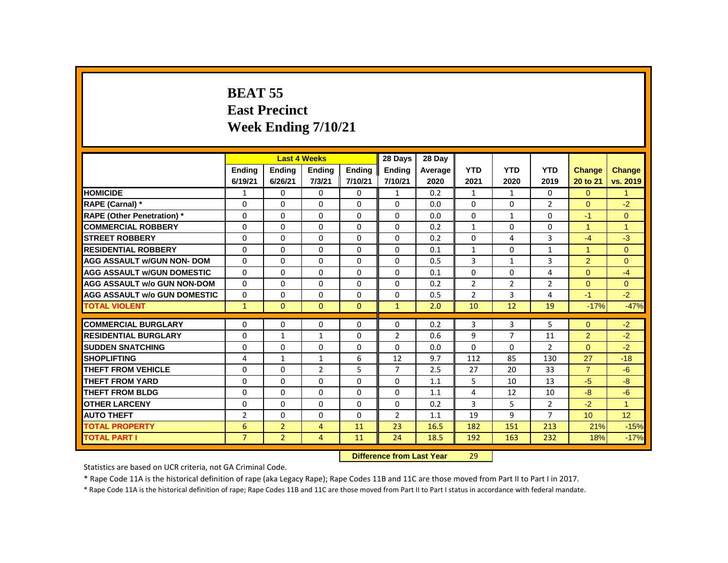# **BEAT 55 East Precinct Week Ending 7/10/21**

|                                     |                |                | <b>Last 4 Weeks</b> |               | 28 Days                   | 28 Dav  |                |                |                |                      |                |
|-------------------------------------|----------------|----------------|---------------------|---------------|---------------------------|---------|----------------|----------------|----------------|----------------------|----------------|
|                                     | <b>Ending</b>  | <b>Ending</b>  | <b>Ending</b>       | <b>Ending</b> | <b>Ending</b>             | Average | <b>YTD</b>     | <b>YTD</b>     | <b>YTD</b>     | <b>Change</b>        | <b>Change</b>  |
|                                     | 6/19/21        | 6/26/21        | 7/3/21              | 7/10/21       | 7/10/21                   | 2020    | 2021           | 2020           | 2019           | 20 to 21             | vs. 2019       |
| <b>HOMICIDE</b>                     | $\mathbf{1}$   | $\Omega$       | $\Omega$            | $\Omega$      | $\mathbf{1}$              | 0.2     | $\mathbf{1}$   | 1              | $\Omega$       | $\Omega$             | $\mathbf{1}$   |
| RAPE (Carnal) *                     | $\Omega$       | $\Omega$       | $\Omega$            | $\Omega$      | $\Omega$                  | 0.0     | $\Omega$       | $\Omega$       | $\overline{2}$ | $\Omega$             | $-2$           |
| <b>RAPE (Other Penetration) *</b>   | $\Omega$       | $\Omega$       | $\Omega$            | $\Omega$      | $\Omega$                  | 0.0     | $\Omega$       | $\mathbf{1}$   | $\Omega$       | $-1$                 | $\overline{0}$ |
| <b>COMMERCIAL ROBBERY</b>           | $\Omega$       | $\Omega$       | $\Omega$            | $\Omega$      | $\Omega$                  | 0.2     | $\mathbf{1}$   | $\Omega$       | $\Omega$       | $\blacktriangleleft$ | $\overline{1}$ |
| <b>STREET ROBBERY</b>               | $\Omega$       | $\Omega$       | $\Omega$            | $\Omega$      | $\Omega$                  | 0.2     | $\Omega$       | 4              | $\overline{3}$ | $-4$                 | $-3$           |
| <b>RESIDENTIAL ROBBERY</b>          | $\Omega$       | $\Omega$       | $\Omega$            | $\Omega$      | $\Omega$                  | 0.1     | $\mathbf{1}$   | $\Omega$       | $\mathbf{1}$   | $\blacktriangleleft$ | $\Omega$       |
| <b>AGG ASSAULT w/GUN NON- DOM</b>   | $\Omega$       | $\Omega$       | $\Omega$            | $\Omega$      | $\Omega$                  | 0.5     | 3              | $\mathbf{1}$   | $\overline{3}$ | $\overline{2}$       | $\Omega$       |
| <b>AGG ASSAULT W/GUN DOMESTIC</b>   | $\Omega$       | $\Omega$       | 0                   | $\Omega$      | 0                         | 0.1     | $\Omega$       | $\Omega$       | 4              | $\overline{0}$       | $-4$           |
| <b>AGG ASSAULT w/o GUN NON-DOM</b>  | $\Omega$       | $\Omega$       | $\Omega$            | $\Omega$      | $\Omega$                  | 0.2     | $\overline{2}$ | $\overline{2}$ | $\overline{2}$ | $\Omega$             | $\Omega$       |
| <b>AGG ASSAULT W/o GUN DOMESTIC</b> | 0              | $\Omega$       | $\Omega$            | 0             | $\Omega$                  | 0.5     | $\overline{2}$ | 3              | 4              | $-1$                 | $-2$           |
| <b>TOTAL VIOLENT</b>                | $\mathbf{1}$   | $\Omega$       | $\Omega$            | $\Omega$      | $\mathbf{1}$              | 2.0     | 10             | 12             | 19             | $-17%$               | $-47%$         |
| <b>COMMERCIAL BURGLARY</b>          | $\Omega$       | $\Omega$       | $\Omega$            | 0             | $\Omega$                  | 0.2     | 3              | 3              | 5              | $\Omega$             | $-2$           |
| <b>RESIDENTIAL BURGLARY</b>         | 0              | 1              | $\mathbf{1}$        | 0             | $\overline{2}$            | 0.6     | 9              | $\overline{7}$ | 11             | $\overline{2}$       | $-2$           |
| <b>SUDDEN SNATCHING</b>             | $\Omega$       | $\Omega$       | $\Omega$            | $\Omega$      | $\Omega$                  | 0.0     | $\Omega$       | $\Omega$       | $\overline{2}$ | $\Omega$             | $-2$           |
| <b>SHOPLIFTING</b>                  | 4              | $\mathbf{1}$   | $\mathbf{1}$        | 6             | 12                        | 9.7     | 112            | 85             | 130            | 27                   | $-18$          |
| <b>THEFT FROM VEHICLE</b>           | $\Omega$       | $\Omega$       | $\overline{2}$      | 5             | $\overline{7}$            | 2.5     | 27             | 20             | 33             | $\overline{7}$       | $-6$           |
| <b>THEFT FROM YARD</b>              | 0              | $\Omega$       | 0                   | 0             | 0                         | 1.1     | 5              | 10             | 13             | $-5$                 | $-8$           |
| <b>THEFT FROM BLDG</b>              | $\Omega$       | $\Omega$       | $\Omega$            | $\Omega$      | $\Omega$                  | 1.1     | 4              | 12             | 10             | $-8$                 | $-6$           |
| <b>OTHER LARCENY</b>                | $\Omega$       | $\Omega$       | $\Omega$            | $\Omega$      | $\Omega$                  | 0.2     | $\overline{3}$ | 5              | $\overline{2}$ | $-2$                 | $\overline{1}$ |
| <b>AUTO THEFT</b>                   | $\overline{2}$ | $\Omega$       | $\Omega$            | $\Omega$      | $\overline{2}$            | 1.1     | 19             | 9              | $\overline{7}$ | 10                   | 12             |
| <b>TOTAL PROPERTY</b>               | 6              | $\overline{2}$ | $\overline{4}$      | 11            | 23                        | 16.5    | 182            | 151            | 213            | 21%                  | $-15%$         |
| <b>TOTAL PART I</b>                 | $\overline{7}$ | 2 <sup>1</sup> | $\overline{4}$      | 11            | 24                        | 18.5    | 192            | 163            | 232            | 18%                  | $-17%$         |
|                                     |                |                |                     |               | Difference from Last Year |         | າດ             |                |                |                      |                |

 **Difference from Last Year** 29

Statistics are based on UCR criteria, not GA Criminal Code.

\* Rape Code 11A is the historical definition of rape (aka Legacy Rape); Rape Codes 11B and 11C are those moved from Part II to Part I in 2017.